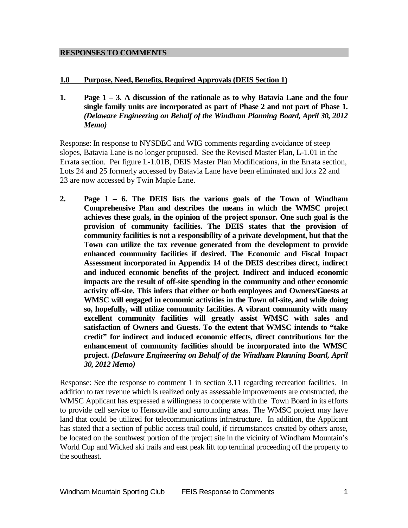#### **RESPONSES TO COMMENTS**

### **1.0 Purpose, Need, Benefits, Required Approvals (DEIS Section 1)**

**1. Page 1 – 3. A discussion of the rationale as to why Batavia Lane and the four single family units are incorporated as part of Phase 2 and not part of Phase 1.**  *(Delaware Engineering on Behalf of the Windham Planning Board, April 30, 2012 Memo)*

Response: In response to NYSDEC and WIG comments regarding avoidance of steep slopes, Batavia Lane is no longer proposed. See the Revised Master Plan, L-1.01 in the Errata section. Per figure L-1.01B, DEIS Master Plan Modifications, in the Errata section, Lots 24 and 25 formerly accessed by Batavia Lane have been eliminated and lots 22 and 23 are now accessed by Twin Maple Lane.

**2. Page 1 – 6. The DEIS lists the various goals of the Town of Windham Comprehensive Plan and describes the means in which the WMSC project achieves these goals, in the opinion of the project sponsor. One such goal is the provision of community facilities. The DEIS states that the provision of community facilities is not a responsibility of a private development, but that the Town can utilize the tax revenue generated from the development to provide enhanced community facilities if desired. The Economic and Fiscal Impact Assessment incorporated in Appendix 14 of the DEIS describes direct, indirect and induced economic benefits of the project. Indirect and induced economic impacts are the result of off-site spending in the community and other economic activity off-site. This infers that either or both employees and Owners/Guests at WMSC will engaged in economic activities in the Town off-site, and while doing so, hopefully, will utilize community facilities. A vibrant community with many excellent community facilities will greatly assist WMSC with sales and satisfaction of Owners and Guests. To the extent that WMSC intends to "take credit" for indirect and induced economic effects, direct contributions for the enhancement of community facilities should be incorporated into the WMSC project.** *(Delaware Engineering on Behalf of the Windham Planning Board, April 30, 2012 Memo)*

Response: See the response to comment 1 in section 3.11 regarding recreation facilities. In addition to tax revenue which is realized only as assessable improvements are constructed, the WMSC Applicant has expressed a willingness to cooperate with the Town Board in its efforts to provide cell service to Hensonville and surrounding areas. The WMSC project may have land that could be utilized for telecommunications infrastructure. In addition, the Applicant has stated that a section of public access trail could, if circumstances created by others arose, be located on the southwest portion of the project site in the vicinity of Windham Mountain's World Cup and Wicked ski trails and east peak lift top terminal proceeding off the property to the southeast.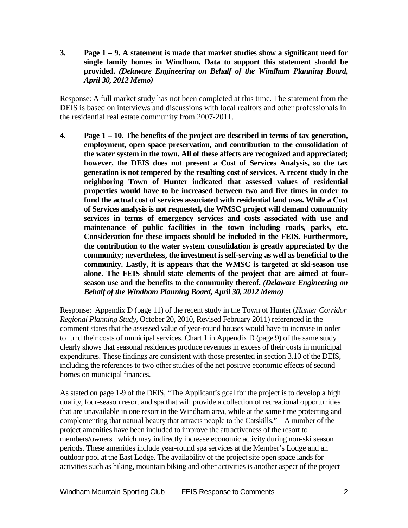**3. Page 1 – 9. A statement is made that market studies show a significant need for single family homes in Windham. Data to support this statement should be provided.** *(Delaware Engineering on Behalf of the Windham Planning Board, April 30, 2012 Memo)*

Response: A full market study has not been completed at this time. The statement from the DEIS is based on interviews and discussions with local realtors and other professionals in the residential real estate community from 2007-2011.

**4. Page 1 – 10. The benefits of the project are described in terms of tax generation, employment, open space preservation, and contribution to the consolidation of the water system in the town. All of these affects are recognized and appreciated; however, the DEIS does not present a Cost of Services Analysis, so the tax generation is not tempered by the resulting cost of services. A recent study in the neighboring Town of Hunter indicated that assessed values of residential properties would have to be increased between two and five times in order to fund the actual cost of services associated with residential land uses. While a Cost of Services analysis is not requested, the WMSC project will demand community services in terms of emergency services and costs associated with use and maintenance of public facilities in the town including roads, parks, etc. Consideration for these impacts should be included in the FEIS. Furthermore, the contribution to the water system consolidation is greatly appreciated by the community; nevertheless, the investment is self-serving as well as beneficial to the community. Lastly, it is appears that the WMSC is targeted at ski-season use alone. The FEIS should state elements of the project that are aimed at fourseason use and the benefits to the community thereof.** *(Delaware Engineering on Behalf of the Windham Planning Board, April 30, 2012 Memo)*

Response: Appendix D (page 11) of the recent study in the Town of Hunter (*Hunter Corridor Regional Planning Study*, October 20, 2010, Revised February 2011) referenced in the comment states that the assessed value of year-round houses would have to increase in order to fund their costs of municipal services. Chart 1 in Appendix D (page 9) of the same study clearly shows that seasonal residences produce revenues in excess of their costs in municipal expenditures. These findings are consistent with those presented in section 3.10 of the DEIS, including the references to two other studies of the net positive economic effects of second homes on municipal finances.

As stated on page 1-9 of the DEIS, "The Applicant's goal for the project is to develop a high quality, four-season resort and spa that will provide a collection of recreational opportunities that are unavailable in one resort in the Windham area, while at the same time protecting and complementing that natural beauty that attracts people to the Catskills." A number of the project amenities have been included to improve the attractiveness of the resort to members/owners which may indirectly increase economic activity during non-ski season periods. These amenities include year-round spa services at the Member's Lodge and an outdoor pool at the East Lodge. The availability of the project site open space lands for activities such as hiking, mountain biking and other activities is another aspect of the project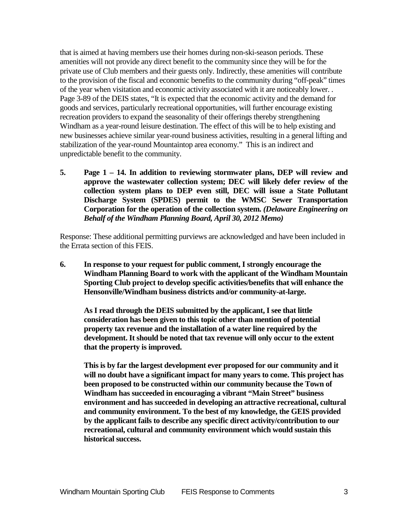that is aimed at having members use their homes during non-ski-season periods. These amenities will not provide any direct benefit to the community since they will be for the private use of Club members and their guests only. Indirectly, these amenities will contribute to the provision of the fiscal and economic benefits to the community during "off-peak" times of the year when visitation and economic activity associated with it are noticeably lower. . Page 3-89 of the DEIS states, "It is expected that the economic activity and the demand for goods and services, particularly recreational opportunities, will further encourage existing recreation providers to expand the seasonality of their offerings thereby strengthening Windham as a year-round leisure destination. The effect of this will be to help existing and new businesses achieve similar year-round business activities, resulting in a general lifting and stabilization of the year-round Mountaintop area economy." This is an indirect and unpredictable benefit to the community.

**5. Page 1 – 14. In addition to reviewing stormwater plans, DEP will review and approve the wastewater collection system; DEC will likely defer review of the collection system plans to DEP even still, DEC will issue a State Pollutant Discharge System (SPDES) permit to the WMSC Sewer Transportation Corporation for the operation of the collection system.** *(Delaware Engineering on Behalf of the Windham Planning Board, April 30, 2012 Memo)*

Response: These additional permitting purviews are acknowledged and have been included in the Errata section of this FEIS.

**6. In response to your request for public comment, I strongly encourage the Windham Planning Board to work with the applicant of the Windham Mountain Sporting Club project to develop specific activities/benefits that will enhance the Hensonville/Windham business districts and/or community-at-large.**

**As I read through the DEIS submitted by the applicant, I see that little consideration has been given to this topic other than mention of potential property tax revenue and the installation of a water line required by the development. It should be noted that tax revenue will only occur to the extent that the property is improved.**

**This is by far the largest development ever proposed for our community and it will no doubt have a significant impact for many years to come. This project has been proposed to be constructed within our community because the Town of Windham has succeeded in encouraging a vibrant "Main Street" business environment and has succeeded in developing an attractive recreational, cultural and community environment. To the best of my knowledge, the GEIS provided by the applicant fails to describe any specific direct activity/contribution to our recreational, cultural and community environment which would sustain this historical success.**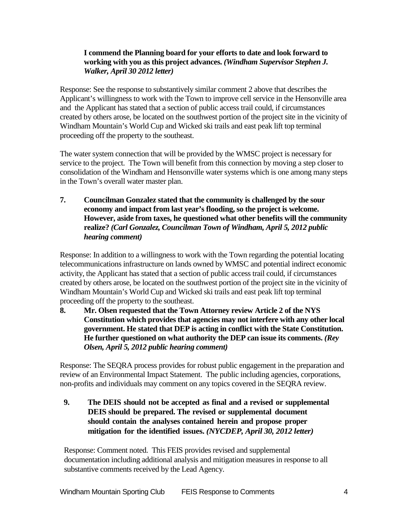# **I commend the Planning board for your efforts to date and look forward to working with you as this project advances.** *(Windham Supervisor Stephen J. Walker, April 30 2012 letter)*

Response: See the response to substantively similar comment 2 above that describes the Applicant's willingness to work with the Town to improve cell service in the Hensonville area and the Applicant has stated that a section of public access trail could, if circumstances created by others arose, be located on the southwest portion of the project site in the vicinity of Windham Mountain's World Cup and Wicked ski trails and east peak lift top terminal proceeding off the property to the southeast.

The water system connection that will be provided by the WMSC project is necessary for service to the project. The Town will benefit from this connection by moving a step closer to consolidation of the Windham and Hensonville water systems which is one among many steps in the Town's overall water master plan.

**7. Councilman Gonzalez stated that the community is challenged by the sour economy and impact from last year's flooding, so the project is welcome. However, aside from taxes, he questioned what other benefits will the community realize?** *(Carl Gonzalez, Councilman Town of Windham, April 5, 2012 public hearing comment)*

Response: In addition to a willingness to work with the Town regarding the potential locating telecommunications infrastructure on lands owned by WMSC and potential indirect economic activity, the Applicant has stated that a section of public access trail could, if circumstances created by others arose, be located on the southwest portion of the project site in the vicinity of Windham Mountain's World Cup and Wicked ski trails and east peak lift top terminal proceeding off the property to the southeast.

**8. Mr. Olsen requested that the Town Attorney review Article 2 of the NYS Constitution which provides that agencies may not interfere with any other local government. He stated that DEP is acting in conflict with the State Constitution. He further questioned on what authority the DEP can issue its comments.** *(Rey Olsen, April 5, 2012 public hearing comment)*

Response: The SEQRA process provides for robust public engagement in the preparation and review of an Environmental Impact Statement. The public including agencies, corporations, non-profits and individuals may comment on any topics covered in the SEQRA review.

**9. The DEIS should not be accepted as final and a revised or supplemental DEIS should be prepared. The revised or supplemental document should contain the analyses contained herein and propose proper mitigation for the identified issues.** *(NYCDEP, April 30, 2012 letter)*

Response: Comment noted. This FEIS provides revised and supplemental documentation including additional analysis and mitigation measures in response to all substantive comments received by the Lead Agency.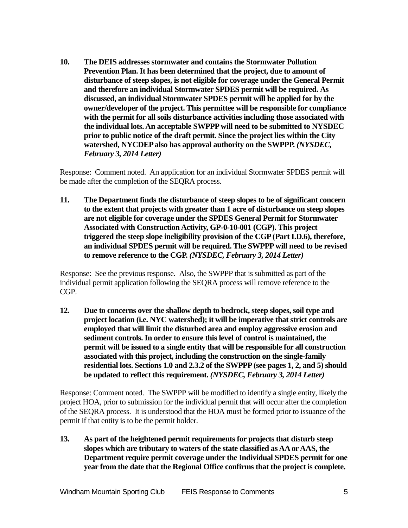**10. The DEIS addresses stormwater and contains the Stormwater Pollution Prevention Plan. It has been determined that the project, due to amount of disturbance of steep slopes, is not eligible for coverage under the General Permit and therefore an individual Stormwater SPDES permit will be required. As discussed, an individual Stormwater SPDES permit will be applied for by the owner/developer of the project. This permittee will be responsible for compliance with the permit for all soils disturbance activities including those associated with the individual lots. An acceptable SWPPP will need to be submitted to NYSDEC prior to public notice of the draft permit. Since the project lies within the City watershed, NYCDEP also has approval authority on the SWPPP.** *(NYSDEC, February 3, 2014 Letter)*

Response: Comment noted. An application for an individual Stormwater SPDES permit will be made after the completion of the SEQRA process.

**11. The Department finds the disturbance of steep slopes to be of significant concern to the extent that projects with greater than 1 acre of disturbance on steep slopes are not eligible for coverage under the SPDES General Permit for Stormwater Associated with Construction Activity, GP-0-10-001 (CGP). This project triggered the steep slope ineligibility provision of the CGP (Part I.D.6), therefore, an individual SPDES permit will be required. The SWPPP will need to be revised to remove reference to the CGP.** *(NYSDEC, February 3, 2014 Letter)*

Response: See the previous response. Also, the SWPPP that is submitted as part of the individual permit application following the SEQRA process will remove reference to the CGP.

**12. Due to concerns over the shallow depth to bedrock, steep slopes, soil type and project location (i.e. NYC watershed); it will be imperative that strict controls are employed that will limit the disturbed area and employ aggressive erosion and sediment controls. In order to ensure this level of control is maintained, the permit will be issued to a single entity that will be responsible for all construction associated with this project, including the construction on the single-family residential lots. Sections 1.0 and 2.3.2 of the SWPPP (see pages 1, 2, and 5) should be updated to reflect this requirement.** *(NYSDEC, February 3, 2014 Letter)*

Response: Comment noted. The SWPPP will be modified to identify a single entity, likely the project HOA, prior to submission for the individual permit that will occur after the completion of the SEQRA process. It is understood that the HOA must be formed prior to issuance of the permit if that entity is to be the permit holder.

**13. As part of the heightened permit requirements for projects that disturb steep slopes which are tributary to waters of the state classified as AA or AAS, the Department require permit coverage under the Individual SPDES permit for one year from the date that the Regional Office confirms that the project is complete.**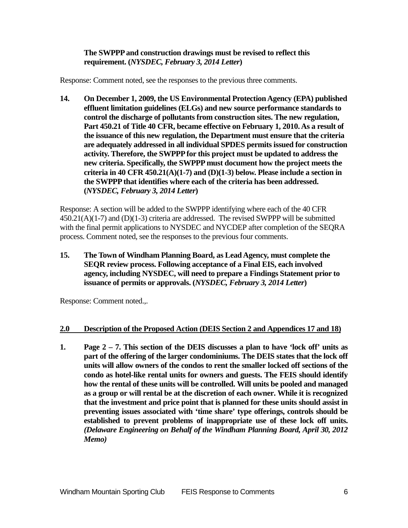# **The SWPPP and construction drawings must be revised to reflect this requirement. (***NYSDEC, February 3, 2014 Letter***)**

Response: Comment noted, see the responses to the previous three comments.

**14. On December 1, 2009, the US Environmental Protection Agency (EPA) published effluent limitation guidelines (ELGs) and new source performance standards to control the discharge of pollutants from construction sites. The new regulation, Part 450.21 of Title 40 CFR, became effective on February 1, 2010. As a result of the issuance of this new regulation, the Department must ensure that the criteria are adequately addressed in all individual SPDES permits issued for construction activity. Therefore, the SWPPP for this project must be updated to address the new criteria. Specifically, the SWPPP must document how the project meets the criteria in 40 CFR 450.21(A)(1-7) and (D)(1-3) below. Please include a section in the SWPPP that identifies where each of the criteria has been addressed. (***NYSDEC, February 3, 2014 Letter***)**

Response: A section will be added to the SWPPP identifying where each of the 40 CFR 450.21(A)(1-7) and (D)(1-3) criteria are addressed. The revised SWPPP will be submitted with the final permit applications to NYSDEC and NYCDEP after completion of the SEQRA process. Comment noted, see the responses to the previous four comments.

**15. The Town of Windham Planning Board, as Lead Agency, must complete the SEQR review process. Following acceptance of a Final EIS, each involved agency, including NYSDEC, will need to prepare a Findings Statement prior to issuance of permits or approvals. (***NYSDEC, February 3, 2014 Letter***)**

Response: Comment noted.,.

### **2.0 Description of the Proposed Action (DEIS Section 2 and Appendices 17 and 18)**

**1. Page 2 – 7. This section of the DEIS discusses a plan to have 'lock off' units as part of the offering of the larger condominiums. The DEIS states that the lock off units will allow owners of the condos to rent the smaller locked off sections of the condo as hotel-like rental units for owners and guests. The FEIS should identify how the rental of these units will be controlled. Will units be pooled and managed as a group or will rental be at the discretion of each owner. While it is recognized that the investment and price point that is planned for these units should assist in preventing issues associated with 'time share' type offerings, controls should be established to prevent problems of inappropriate use of these lock off units.** *(Delaware Engineering on Behalf of the Windham Planning Board, April 30, 2012 Memo)*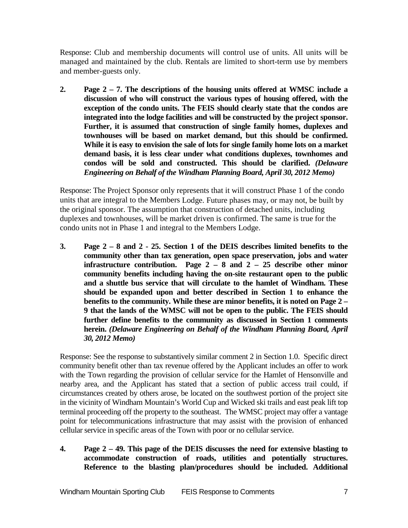Response: Club and membership documents will control use of units. All units will be managed and maintained by the club. Rentals are limited to short-term use by members and member-guests only.

**2. Page 2 – 7. The descriptions of the housing units offered at WMSC include a discussion of who will construct the various types of housing offered, with the exception of the condo units. The FEIS should clearly state that the condos are integrated into the lodge facilities and will be constructed by the project sponsor. Further, it is assumed that construction of single family homes, duplexes and townhouses will be based on market demand, but this should be confirmed. While it is easy to envision the sale of lots for single family home lots on a market demand basis, it is less clear under what conditions duplexes, townhomes and condos will be sold and constructed. This should be clarified.** *(Delaware Engineering on Behalf of the Windham Planning Board, April 30, 2012 Memo)*

Response: The Project Sponsor only represents that it will construct Phase 1 of the condo units that are integral to the Members Lodge. Future phases may, or may not, be built by the original sponsor. The assumption that construction of detached units, including duplexes and townhouses, will be market driven is confirmed. The same is true for the condo units not in Phase 1 and integral to the Members Lodge.

**3. Page 2 – 8 and 2 - 25. Section 1 of the DEIS describes limited benefits to the community other than tax generation, open space preservation, jobs and water infrastructure contribution. Page 2 – 8 and 2 – 25 describe other minor community benefits including having the on-site restaurant open to the public and a shuttle bus service that will circulate to the hamlet of Windham. These should be expanded upon and better described in Section 1 to enhance the benefits to the community. While these are minor benefits, it is noted on Page 2 – 9 that the lands of the WMSC will not be open to the public. The FEIS should further define benefits to the community as discussed in Section 1 comments herein.** *(Delaware Engineering on Behalf of the Windham Planning Board, April 30, 2012 Memo)*

Response: See the response to substantively similar comment 2 in Section 1.0. Specific direct community benefit other than tax revenue offered by the Applicant includes an offer to work with the Town regarding the provision of cellular service for the Hamlet of Hensonville and nearby area, and the Applicant has stated that a section of public access trail could, if circumstances created by others arose, be located on the southwest portion of the project site in the vicinity of Windham Mountain's World Cup and Wicked ski trails and east peak lift top terminal proceeding off the property to the southeast. The WMSC project may offer a vantage point for telecommunications infrastructure that may assist with the provision of enhanced cellular service in specific areas of the Town with poor or no cellular service.

**4. Page 2 – 49. This page of the DEIS discusses the need for extensive blasting to accommodate construction of roads, utilities and potentially structures. Reference to the blasting plan/procedures should be included. Additional**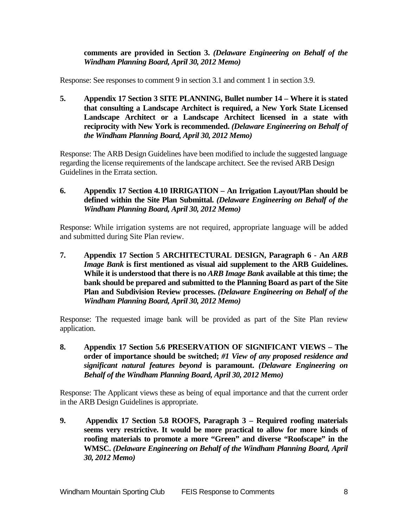**comments are provided in Section 3.** *(Delaware Engineering on Behalf of the Windham Planning Board, April 30, 2012 Memo)*

Response: See responses to comment 9 in section 3.1 and comment 1 in section 3.9.

**5. Appendix 17 Section 3 SITE PLANNING, Bullet number 14 – Where it is stated that consulting a Landscape Architect is required, a New York State Licensed Landscape Architect or a Landscape Architect licensed in a state with reciprocity with New York is recommended.** *(Delaware Engineering on Behalf of the Windham Planning Board, April 30, 2012 Memo)*

Response: The ARB Design Guidelines have been modified to include the suggested language regarding the license requirements of the landscape architect. See the revised ARB Design Guidelines in the Errata section.

**6. Appendix 17 Section 4.10 IRRIGATION – An Irrigation Layout/Plan should be defined within the Site Plan Submittal.** *(Delaware Engineering on Behalf of the Windham Planning Board, April 30, 2012 Memo)*

Response: While irrigation systems are not required, appropriate language will be added and submitted during Site Plan review.

**7. Appendix 17 Section 5 ARCHITECTURAL DESIGN, Paragraph 6 - An** *ARB Image Bank* **is first mentioned as visual aid supplement to the ARB Guidelines. While it is understood that there is no** *ARB Image Bank* **available at this time; the bank should be prepared and submitted to the Planning Board as part of the Site Plan and Subdivision Review processes.** *(Delaware Engineering on Behalf of the Windham Planning Board, April 30, 2012 Memo)*

Response: The requested image bank will be provided as part of the Site Plan review application.

**8. Appendix 17 Section 5.6 PRESERVATION OF SIGNIFICANT VIEWS – The order of importance should be switched;** *#1 View of any proposed residence and significant natural features beyond* **is paramount.** *(Delaware Engineering on Behalf of the Windham Planning Board, April 30, 2012 Memo)*

Response: The Applicant views these as being of equal importance and that the current order in the ARB Design Guidelines is appropriate.

**9. Appendix 17 Section 5.8 ROOFS, Paragraph 3 – Required roofing materials seems very restrictive. It would be more practical to allow for more kinds of roofing materials to promote a more "Green" and diverse "Roofscape" in the WMSC.** *(Delaware Engineering on Behalf of the Windham Planning Board, April 30, 2012 Memo)*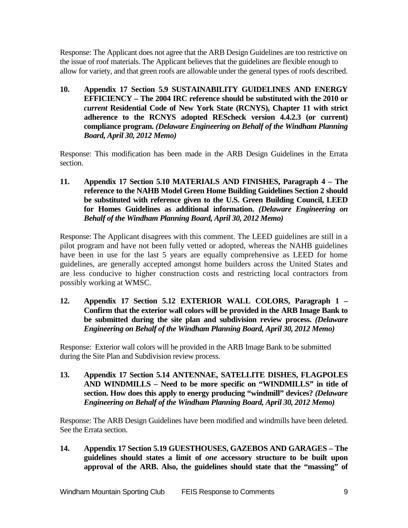Response: The Applicant does not agree that the ARB Design Guidelines are too restrictive on the issue of roof materials. The Applicant believes that the guidelines are flexible enough to allow for variety, and that green roofs are allowable under the general types of roofs described.

**10. Appendix 17 Section 5.9 SUSTAINABILITY GUIDELINES AND ENERGY EFFICIENCY – The 2004 IRC reference should be substituted with the 2010 or**  *current* **Residential Code of New York State (RCNYS), Chapter 11 with strict adherence to the RCNYS adopted REScheck version 4.4.2.3 (or current) compliance program.** *(Delaware Engineering on Behalf of the Windham Planning Board, April 30, 2012 Memo)*

Response: This modification has been made in the ARB Design Guidelines in the Errata section.

**11. Appendix 17 Section 5.10 MATERIALS AND FINISHES, Paragraph 4 – The reference to the NAHB Model Green Home Building Guidelines Section 2 should be substituted with reference given to the U.S. Green Building Council, LEED for Homes Guidelines as additional information.** *(Delaware Engineering on Behalf of the Windham Planning Board, April 30, 2012 Memo)*

Response: The Applicant disagrees with this comment. The LEED guidelines are still in a pilot program and have not been fully vetted or adopted, whereas the NAHB guidelines have been in use for the last 5 years are equally comprehensive as LEED for home guidelines, are generally accepted amongst home builders across the United States and are less conducive to higher construction costs and restricting local contractors from possibly working at WMSC.

**12. Appendix 17 Section 5.12 EXTERIOR WALL COLORS, Paragraph 1 – Confirm that the exterior wall colors will be provided in the ARB Image Bank to be submitted during the site plan and subdivision review process.** *(Delaware Engineering on Behalf of the Windham Planning Board, April 30, 2012 Memo)*

Response: Exterior wall colors will be provided in the ARB Image Bank to be submitted during the Site Plan and Subdivision review process.

**13. Appendix 17 Section 5.14 ANTENNAE, SATELLITE DISHES, FLAGPOLES AND WINDMILLS – Need to be more specific on "WINDMILLS" in title of section. How does this apply to energy producing "windmill" devices?** *(Delaware Engineering on Behalf of the Windham Planning Board, April 30, 2012 Memo)*

Response: The ARB Design Guidelines have been modified and windmills have been deleted. See the Errata section.

**14. Appendix 17 Section 5.19 GUESTHOUSES, GAZEBOS AND GARAGES – The guidelines should states a limit of** *one* **accessory structure to be built upon approval of the ARB. Also, the guidelines should state that the "massing" of**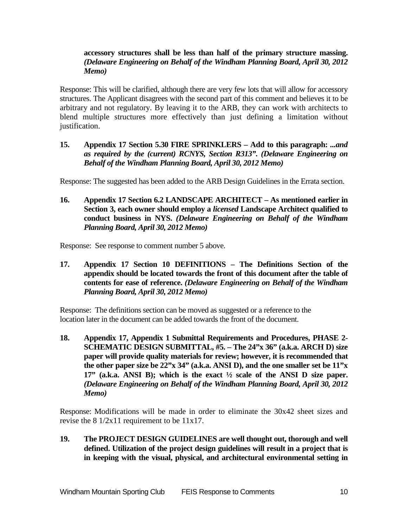### **accessory structures shall be less than half of the primary structure massing.** *(Delaware Engineering on Behalf of the Windham Planning Board, April 30, 2012 Memo)*

Response: This will be clarified, although there are very few lots that will allow for accessory structures. The Applicant disagrees with the second part of this comment and believes it to be arbitrary and not regulatory. By leaving it to the ARB, they can work with architects to blend multiple structures more effectively than just defining a limitation without justification.

**15. Appendix 17 Section 5.30 FIRE SPRINKLERS – Add to this paragraph:** *...and as required by the (current) RCNYS, Section R313". (Delaware Engineering on Behalf of the Windham Planning Board, April 30, 2012 Memo)*

Response: The suggested has been added to the ARB Design Guidelines in the Errata section.

**16. Appendix 17 Section 6.2 LANDSCAPE ARCHITECT – As mentioned earlier in Section 3, each owner should employ a** *licensed* **Landscape Architect qualified to conduct business in NYS.** *(Delaware Engineering on Behalf of the Windham Planning Board, April 30, 2012 Memo)*

Response: See response to comment number 5 above.

**17. Appendix 17 Section 10 DEFINITIONS – The Definitions Section of the appendix should be located towards the front of this document after the table of contents for ease of reference.** *(Delaware Engineering on Behalf of the Windham Planning Board, April 30, 2012 Memo)*

Response: The definitions section can be moved as suggested or a reference to the location later in the document can be added towards the front of the document.

**18. Appendix 17, Appendix 1 Submittal Requirements and Procedures, PHASE 2- SCHEMATIC DESIGN SUBMITTAL, #5. – The 24"x 36" (a.k.a. ARCH D) size paper will provide quality materials for review; however, it is recommended that the other paper size be 22"x 34" (a.k.a. ANSI D), and the one smaller set be 11"x 17" (a.k.a. ANSI B); which is the exact ½ scale of the ANSI D size paper.** *(Delaware Engineering on Behalf of the Windham Planning Board, April 30, 2012 Memo)*

Response: Modifications will be made in order to eliminate the 30x42 sheet sizes and revise the  $8 \frac{1}{2}x11$  requirement to be  $11x17$ .

**19. The PROJECT DESIGN GUIDELINES are well thought out, thorough and well defined. Utilization of the project design guidelines will result in a project that is in keeping with the visual, physical, and architectural environmental setting in**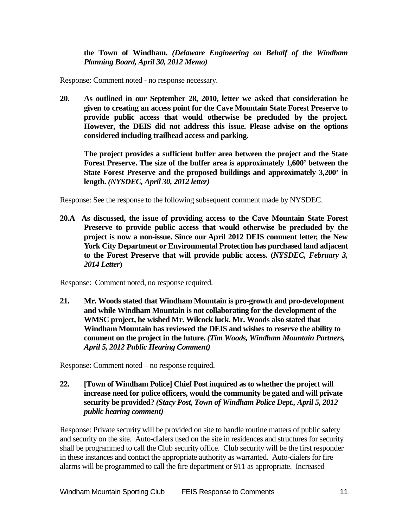**the Town of Windham.** *(Delaware Engineering on Behalf of the Windham Planning Board, April 30, 2012 Memo)*

Response: Comment noted - no response necessary.

**20. As outlined in our September 28, 2010, letter we asked that consideration be given to creating an access point for the Cave Mountain State Forest Preserve to provide public access that would otherwise be precluded by the project. However, the DEIS did not address this issue. Please advise on the options considered including trailhead access and parking.** 

**The project provides a sufficient buffer area between the project and the State Forest Preserve. The size of the buffer area is approximately 1,600' between the State Forest Preserve and the proposed buildings and approximately 3,200' in length.** *(NYSDEC, April 30, 2012 letter)*

Response: See the response to the following subsequent comment made by NYSDEC.

**20.A As discussed, the issue of providing access to the Cave Mountain State Forest Preserve to provide public access that would otherwise be precluded by the project is now a non-issue. Since our April 2012 DEIS comment letter, the New York City Department or Environmental Protection has purchased land adjacent to the Forest Preserve that will provide public access. (***NYSDEC, February 3, 2014 Letter***)**

Response: Comment noted, no response required.

**21. Mr. Woods stated that Windham Mountain is pro-growth and pro-development and while Windham Mountain is not collaborating for the development of the WMSC project, he wished Mr. Wilcock luck. Mr. Woods also stated that Windham Mountain has reviewed the DEIS and wishes to reserve the ability to comment on the project in the future.** *(Tim Woods, Windham Mountain Partners, April 5, 2012 Public Hearing Comment)*

Response: Comment noted – no response required.

**22. [Town of Windham Police] Chief Post inquired as to whether the project will increase need for police officers, would the community be gated and will private security be provided?** *(Stacy Post, Town of Windham Police Dept., April 5, 2012 public hearing comment)*

Response: Private security will be provided on site to handle routine matters of public safety and security on the site. Auto-dialers used on the site in residences and structures for security shall be programmed to call the Club security office. Club security will be the first responder in these instances and contact the appropriate authority as warranted. Auto-dialers for fire alarms will be programmed to call the fire department or 911 as appropriate. Increased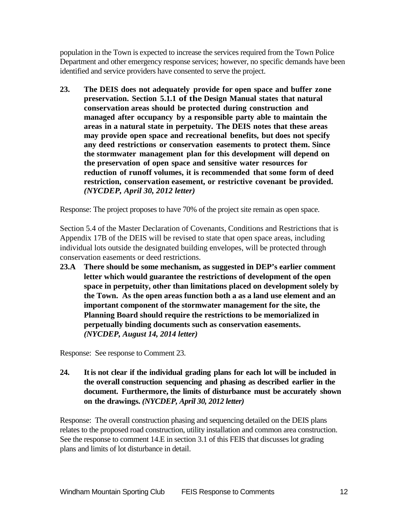population in the Town is expected to increase the services required from the Town Police Department and other emergency response services; however, no specific demands have been identified and service providers have consented to serve the project.

**23. The DEIS does not adequately provide for open space and buffer zone preservation. Section 5.1.1 of the Design Manual states that natural conservation areas should be protected during construction and managed after occupancy by a responsible party able to maintain the areas in a natural state in perpetuity. The DEIS notes that these areas may provide open space and recreational benefits, but does not specify any deed restrictions or conservation easements to protect them. Since the stormwater management plan for this development will depend on the preservation of open space and sensitive water resources for reduction of runoff volumes, it is recommended that some form of deed restriction, conservation easement, or restrictive covenant be provided.**  *(NYCDEP, April 30, 2012 letter)*

Response: The project proposes to have 70% of the project site remain as open space.

Section 5.4 of the Master Declaration of Covenants, Conditions and Restrictions that is Appendix 17B of the DEIS will be revised to state that open space areas, including individual lots outside the designated building envelopes, will be protected through conservation easements or deed restrictions.

**23.A There should be some mechanism, as suggested in DEP's earlier comment letter which would guarantee the restrictions of development of the open space in perpetuity, other than limitations placed on development solely by the Town. As the open areas function both a as a land use element and an important component of the stormwater management for the site, the Planning Board should require the restrictions to be memorialized in perpetually binding documents such as conservation easements.**  *(NYCDEP, August 14, 2014 letter)*

Response: See response to Comment 23.

**24. It is not clear if the individual grading plans for each lot will be included in the overall construction sequencing and phasing as described earlier in the document. Furthermore, the limits of disturbance must be accurately shown on the drawings.** *(NYCDEP, April 30, 2012 letter)*

Response: The overall construction phasing and sequencing detailed on the DEIS plans relates to the proposed road construction, utility installation and common area construction. See the response to comment 14.E in section 3.1 of this FEIS that discusses lot grading plans and limits of lot disturbance in detail.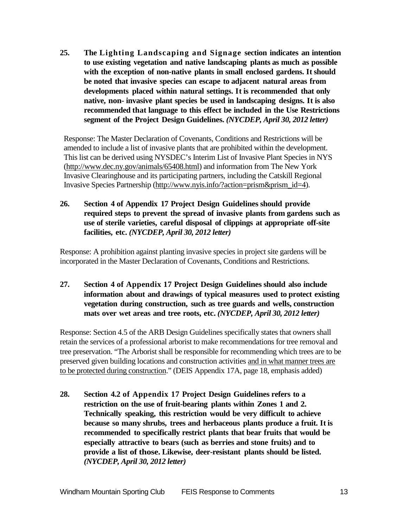**25. The Lighting Landscaping and Signage section indicates an intention to use existing vegetation and native landscaping plants as much as possible with the exception of non-native plants in small enclosed gardens. It should be noted that invasive species can escape to adjacent natural areas from developments placed within natural settings. It is recommended that only native, non- invasive plant species be used in landscaping designs. It is also recommended that language to this effect be included in the Use Restrictions segment of the Project Design Guidelines.** *(NYCDEP, April 30, 2012 letter)*

Response: The Master Declaration of Covenants, Conditions and Restrictions will be amended to include a list of invasive plants that are prohibited within the development. This list can be derived using NYSDEC's Interim List of Invasive Plant Species in NYS [\(http://www.dec.ny.gov/animals/65408.html\)](http://www.dec.ny.gov/animals/65408.html) and information from The New York Invasive Clearinghouse and its participating partners, including the Catskill Regional Invasive Species Partnership [\(http://www.nyis.info/?action=prism&prism\\_id=4\)](http://www.nyis.info/?action=prism&prism_id=4).

**26. Section 4 of Appendix 17 Project Design Guidelines should provide required steps to prevent the spread of invasive plants from gardens such as use of sterile varieties, careful disposal of clippings at appropriate off-site facilities, etc.** *(NYCDEP, April 30, 2012 letter)*

Response: A prohibition against planting invasive species in project site gardens will be incorporated in the Master Declaration of Covenants, Conditions and Restrictions.

**27. Section 4 of Appendix 17 Project Design Guidelines should also include information about and drawings of typical measures used to protect existing vegetation during construction, such as tree guards and wells, construction mats over wet areas and tree roots, etc.** *(NYCDEP, April 30, 2012 letter)*

Response: Section 4.5 of the ARB Design Guidelines specifically states that owners shall retain the services of a professional arborist to make recommendations for tree removal and tree preservation. "The Arborist shall be responsible for recommending which trees are to be preserved given building locations and construction activities and in what manner trees are to be protected during construction." (DEIS Appendix 17A, page 18, emphasis added)

**28. Section 4.2 of Appendix 17 Project Design Guidelines refers to a restriction on the use of fruit-bearing plants within Zones 1 and 2. Technically speaking, this restriction would be very difficult to achieve because so many shrubs, trees and herbaceous plants produce a fruit. It is recommended to specifically restrict plants that bear fruits that would be especially attractive to bears (such as berries and stone fruits) and to provide a list of those. Likewise, deer-resistant plants should be listed.**  *(NYCDEP, April 30, 2012 letter)*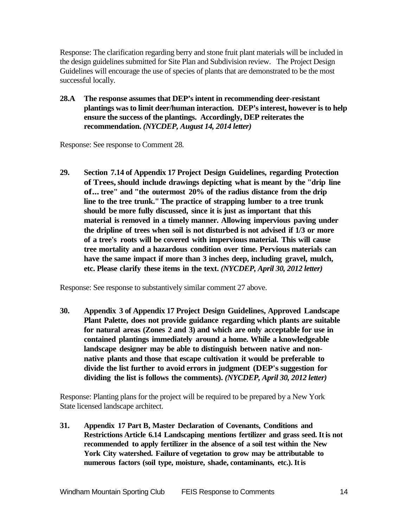Response: The clarification regarding berry and stone fruit plant materials will be included in the design guidelines submitted for Site Plan and Subdivision review. The Project Design Guidelines will encourage the use of species of plants that are demonstrated to be the most successful locally.

**28.A The response assumes that DEP's intent in recommending deer-resistant plantings was to limit deer/human interaction. DEP's interest, however is to help ensure the success of the plantings. Accordingly, DEP reiterates the recommendation.** *(NYCDEP, August 14, 2014 letter)*

Response: See response to Comment 28.

**29. Section 7.14 of Appendix 17 Project Design Guidelines, regarding Protection of Trees,should include drawings depicting what is meant by the "drip line of... tree" and "the outermost 20% of the radius distance from the drip line to the tree trunk."The practice of strapping lumber to a tree trunk should be more fully discussed, since it is just as important that this material is removed in a timely manner. Allowing impervious paving under the dripline of trees when soil is not disturbed is not advised if 1/3 or more of a tree's roots will be covered with impervious material. This will cause tree mortality and a hazardous condition over time. Pervious materials can have the same impact if more than 3 inches deep, including gravel, mulch, etc. Please clarify these items in the text.** *(NYCDEP, April 30, 2012 letter)*

Response: See response to substantively similar comment 27 above.

**30. Appendix 3 of Appendix 17 Project Design Guidelines, Approved Landscape Plant Palette, does not provide guidance regarding which plants are suitable for natural areas (Zones 2 and 3) and which are only acceptable for use in contained plantings immediately around a home. While a knowledgeable landscape designer may be able to distinguish between native and nonnative plants and those that escape cultivation it would be preferable to divide the list further to avoid errors in judgment (DEP's suggestion for dividing the list is follows the comments).** *(NYCDEP, April 30, 2012 letter)*

Response: Planting plans for the project will be required to be prepared by a New York State licensed landscape architect.

**31. Appendix 17 Part B, Master Declaration of Covenants, Conditions and Restrictions Article 6.14 Landscaping mentions fertilizer and grass seed. Itis not recommended to apply fertilizer in the absence of a soil test within the New York City watershed. Failure of vegetation to grow may be attributable to numerous factors (soil type, moisture, shade, contaminants, etc.). Itis**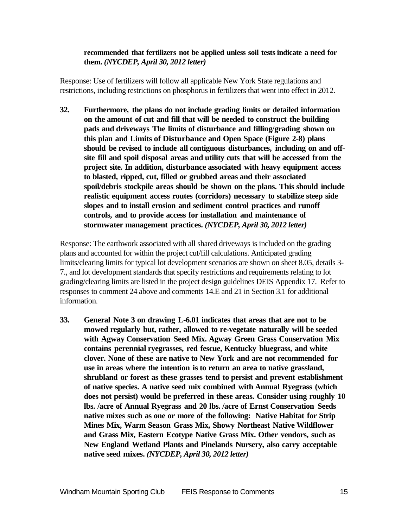### **recommended that fertilizers not be applied unless soil tests indicate a need for them.** *(NYCDEP, April 30, 2012 letter)*

Response: Use of fertilizers will follow all applicable New York State regulations and restrictions, including restrictions on phosphorus in fertilizers that went into effect in 2012.

**32. Furthermore, the plans do not include grading limits or detailed information on the amount of cut and fill that will be needed to construct the building pads and driveways The limits of disturbance and filling/grading shown on this plan and Limits of Disturbance and Open Space (Figure 2-8) plans should be revised to include all contiguous disturbances, including on and offsite fill and spoil disposal areas and utility cuts that will be accessed from the project site. In addition, disturbance associated with heavy equipment access to blasted, ripped, cut, filled or grubbed areas and their associated spoil/debris stockpile areas should be shown on the plans. This should include realistic equipment access routes (corridors) necessary to stabilize steep side slopes and to install erosion and sediment control practices and runoff controls, and to provide access for installation and maintenance of stormwater management practices.** *(NYCDEP, April 30, 2012 letter)*

Response: The earthwork associated with all shared driveways is included on the grading plans and accounted for within the project cut/fill calculations. Anticipated grading limits/clearing limits for typical lot development scenarios are shown on sheet 8.05, details 3- 7., and lot development standards that specify restrictions and requirements relating to lot grading/clearing limits are listed in the project design guidelines DEIS Appendix 17. Refer to responses to comment 24 above and comments 14.E and 21 in Section 3.1 for additional information.

**33. General Note 3 on drawing L-6.01 indicates that areas that are not to be mowed regularly but, rather, allowed to re-vegetate naturally will be seeded with Agway Conservation Seed Mix. Agway Green Grass Conservation Mix contains perennial ryegrasses, red fescue, Kentucky bluegrass, and white clover. None of these are native to New York and are not recommended for use in areas where the intention is to return an area to native grassland, shrubland or forest as these grasses tend to persist and prevent establishment of native species. A native seed mix combined with Annual Ryegrass (which does not persist) would be preferred in these areas. Consider using roughly 10 lbs. /acre of Annual Ryegrass and 20 lbs. /acre of Ernst Conservation Seeds native mixes such as one or more of the following: Native Habitat for Strip Mines Mix, Warm Season Grass Mix, Showy Northeast Native Wildflower and Grass Mix, Eastern Ecotype Native Grass Mix. Other vendors, such as New England Wetland Plants and Pinelands Nursery, also carry acceptable native seed mixes.** *(NYCDEP, April 30, 2012 letter)*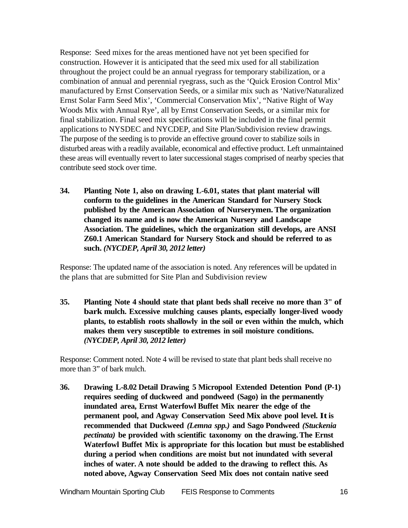Response: Seed mixes for the areas mentioned have not yet been specified for construction. However it is anticipated that the seed mix used for all stabilization throughout the project could be an annual ryegrass for temporary stabilization, or a combination of annual and perennial ryegrass, such as the 'Quick Erosion Control Mix' manufactured by Ernst Conservation Seeds, or a similar mix such as 'Native/Naturalized Ernst Solar Farm Seed Mix', 'Commercial Conservation Mix', "Native Right of Way Woods Mix with Annual Rye', all by Ernst Conservation Seeds, or a similar mix for final stabilization. Final seed mix specifications will be included in the final permit applications to NYSDEC and NYCDEP, and Site Plan/Subdivision review drawings. The purpose of the seeding is to provide an effective ground cover to stabilize soils in disturbed areas with a readily available, economical and effective product. Left unmaintained these areas will eventually revert to later successional stages comprised of nearby species that contribute seed stock over time.

**34. Planting Note 1, also on drawing L-6.01, states that plant material will conform to the guidelines in the American Standard for Nursery Stock published by the American Association of Nurserymen. The organization changed its name and is now the American Nursery and Landscape Association. The guidelines, which the organization still develops, are ANSI Z60.1 American Standard for Nursery Stock and should be referred to as such.** *(NYCDEP, April 30, 2012 letter)*

Response: The updated name of the association is noted. Any references will be updated in the plans that are submitted for Site Plan and Subdivision review

**35. Planting Note 4 should state that plant beds shall receive no more than 3" of bark mulch. Excessive mulching causes plants, especially longer-lived woody plants, to establish roots shallowly in the soil or even within the mulch, which makes them very susceptible to extremes in soil moisture conditions.**  *(NYCDEP, April 30, 2012 letter)*

Response: Comment noted. Note 4 will be revised to state that plant beds shall receive no more than 3" of bark mulch.

**36. Drawing L-8.02 Detail Drawing 5 Micropool Extended Detention Pond (P-1) requires seeding of duckweed and pondweed (Sago) in the permanently inundated area, Ernst Waterfowl Buffet Mix nearer the edge of the permanent pool, and Agway Conservation Seed Mix above pool level. Itis recommended that Duckweed** *(Lemna spp.)* **and Sago Pondweed** *(Stuckenia pectinata)* **be provided with scientific taxonomy on the drawing.The Ernst Waterfowl Buffet Mix is appropriate for this location but must be established during a period when conditions are moist but not inundated with several inches of water. A note should be added to the drawing to reflect this. As noted above, Agway Conservation Seed Mix does not contain native seed**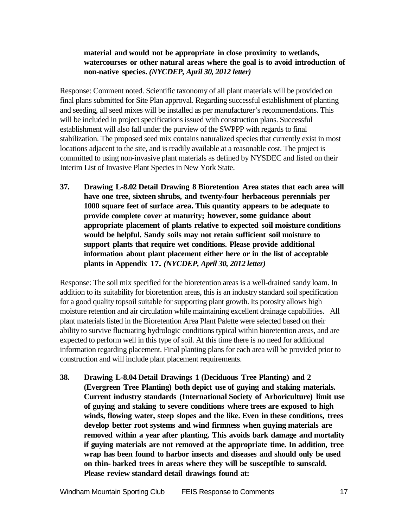# **material and would not be appropriate in close proximity to wetlands, watercourses or other natural areas where the goal is to avoid introduction of non-native species.** *(NYCDEP, April 30, 2012 letter)*

Response: Comment noted. Scientific taxonomy of all plant materials will be provided on final plans submitted for Site Plan approval. Regarding successful establishment of planting and seeding, all seed mixes will be installed as per manufacturer's recommendations. This will be included in project specifications issued with construction plans. Successful establishment will also fall under the purview of the SWPPP with regards to final stabilization. The proposed seed mix contains naturalized species that currently exist in most locations adjacent to the site, and is readily available at a reasonable cost. The project is committed to using non-invasive plant materials as defined by NYSDEC and listed on their Interim List of Invasive Plant Species in New York State.

**37. Drawing L-8.02 Detail Drawing 8 Bioretention Area states that each area will have one tree, sixteen shrubs, and twenty-four herbaceous perennials per 1000 square feet of surface area. This quantity appears to be adequate to provide complete cover at maturity; however, some guidance about appropriate placement of plants relative to expected soil moisture conditions would be helpful. Sandy soils may not retain sufficient soil moisture to support plants that require wet conditions. Please provide additional information about plant placement either here or in the list of acceptable plants in Appendix 17.** *(NYCDEP, April 30, 2012 letter)*

Response: The soil mix specified for the bioretention areas is a well-drained sandy loam. In addition to its suitability for bioretention areas, this is an industry standard soil specification for a good quality topsoil suitable for supporting plant growth. Its porosity allows high moisture retention and air circulation while maintaining excellent drainage capabilities. All plant materials listed in the Bioretention Area Plant Palette were selected based on their ability to survive fluctuating hydrologic conditions typical within bioretention areas, and are expected to perform well in this type of soil. At this time there is no need for additional information regarding placement. Final planting plans for each area will be provided prior to construction and will include plant placement requirements.

**38. Drawing L-8.04 Detail Drawings 1 (Deciduous Tree Planting) and 2 (Evergreen Tree Planting) both depict use of guying and staking materials. Current industry standards (International Society of Arboriculture) limit use of guying and staking to severe conditions where trees are exposed to high winds, flowing water, steep slopes and the like. Even in these conditions, trees develop better root systems and wind firmness when guying materials are removed within a year after planting. This avoids bark damage and mortality if guying materials are not removed at the appropriate time. In addition, tree wrap has been found to harbor insects and diseases and should only be used on thin- barked trees in areas where they will be susceptible to sunscald. Please review standard detail drawings found at:**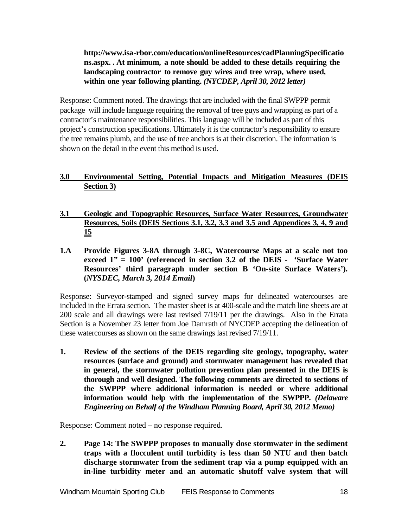**http://www.isa-rbor.com/education/onlineResources/cadPlanningSpecificatio ns.aspx. . At minimum, a note should be added to these details requiring the landscaping contractor to remove guy wires and tree wrap, where used, within one year following planting.** *(NYCDEP, April 30, 2012 letter)*

Response: Comment noted. The drawings that are included with the final SWPPP permit package will include language requiring the removal of tree guys and wrapping as part of a contractor's maintenance responsibilities. This language will be included as part of this project's construction specifications. Ultimately it is the contractor's responsibility to ensure the tree remains plumb, and the use of tree anchors is at their discretion. The information is shown on the detail in the event this method is used.

# **3.0 Environmental Setting, Potential Impacts and Mitigation Measures (DEIS Section 3)**

- **3.1 Geologic and Topographic Resources, Surface Water Resources, Groundwater Resources, Soils (DEIS Sections 3.1, 3.2, 3.3 and 3.5 and Appendices 3, 4, 9 and 15**
- **1.A Provide Figures 3-8A through 3-8C, Watercourse Maps at a scale not too exceed 1" = 100' (referenced in section 3.2 of the DEIS - 'Surface Water Resources' third paragraph under section B 'On-site Surface Waters'). (***NYSDEC, March 3, 2014 Email***)**

Response: Surveyor-stamped and signed survey maps for delineated watercourses are included in the Errata section. The master sheet is at 400-scale and the match line sheets are at 200 scale and all drawings were last revised 7/19/11 per the drawings. Also in the Errata Section is a November 23 letter from Joe Damrath of NYCDEP accepting the delineation of these watercourses as shown on the same drawings last revised 7/19/11.

**1. Review of the sections of the DEIS regarding site geology, topography, water resources (surface and ground) and stormwater management has revealed that in general, the stormwater pollution prevention plan presented in the DEIS is thorough and well designed. The following comments are directed to sections of the SWPPP where additional information is needed or where additional information would help with the implementation of the SWPPP.** *(Delaware Engineering on Behalf of the Windham Planning Board, April 30, 2012 Memo)*

Response: Comment noted – no response required.

**2. Page 14: The SWPPP proposes to manually dose stormwater in the sediment traps with a flocculent until turbidity is less than 50 NTU and then batch discharge stormwater from the sediment trap via a pump equipped with an in-line turbidity meter and an automatic shutoff valve system that will**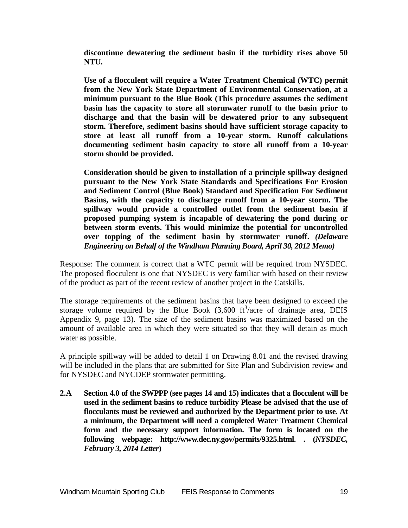**discontinue dewatering the sediment basin if the turbidity rises above 50 NTU.**

**Use of a flocculent will require a Water Treatment Chemical (WTC) permit from the New York State Department of Environmental Conservation, at a minimum pursuant to the Blue Book (This procedure assumes the sediment basin has the capacity to store all stormwater runoff to the basin prior to discharge and that the basin will be dewatered prior to any subsequent storm. Therefore, sediment basins should have sufficient storage capacity to store at least all runoff from a 10-year storm. Runoff calculations documenting sediment basin capacity to store all runoff from a 10-year storm should be provided.** 

**Consideration should be given to installation of a principle spillway designed pursuant to the New York State Standards and Specifications For Erosion and Sediment Control (Blue Book) Standard and Specification For Sediment Basins, with the capacity to discharge runoff from a 10-year storm. The spillway would provide a controlled outlet from the sediment basin if proposed pumping system is incapable of dewatering the pond during or between storm events. This would minimize the potential for uncontrolled over topping of the sediment basin by stormwater runoff.** *(Delaware Engineering on Behalf of the Windham Planning Board, April 30, 2012 Memo)*

Response: The comment is correct that a WTC permit will be required from NYSDEC. The proposed flocculent is one that NYSDEC is very familiar with based on their review of the product as part of the recent review of another project in the Catskills.

The storage requirements of the sediment basins that have been designed to exceed the storage volume required by the Blue Book  $(3,600 \text{ ft}^3/\text{acre of}$  drainage area, DEIS Appendix 9, page 13). The size of the sediment basins was maximized based on the amount of available area in which they were situated so that they will detain as much water as possible.

A principle spillway will be added to detail 1 on Drawing 8.01 and the revised drawing will be included in the plans that are submitted for Site Plan and Subdivision review and for NYSDEC and NYCDEP stormwater permitting.

**2.A Section 4.0 of the SWPPP (see pages 14 and 15) indicates that a flocculent will be used in the sediment basins to reduce turbidity Please be advised that the use of flocculants must be reviewed and authorized by the Department prior to use. At a minimum, the Department will need a completed Water Treatment Chemical form and the necessary support information. The form is located on the following webpage: http:[//www.dec.ny.g](http://www.dec.nv/)ov/permits/9325.html. . (***NYSDEC, February 3, 2014 Letter***)**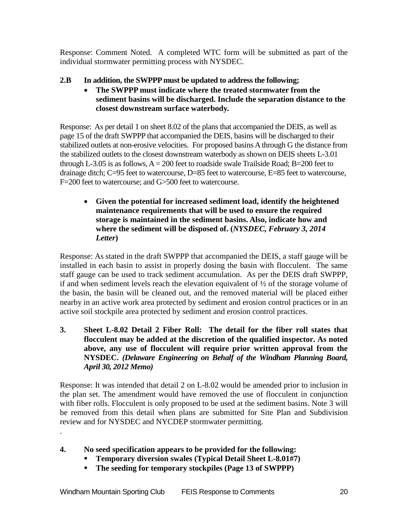Response: Comment Noted. A completed WTC form will be submitted as part of the individual stormwater permitting process with NYSDEC.

- **2.B In addition, the SWPPP must be updated to address the following;**
	- **The SWPPP must indicate where the treated stormwater from the sediment basins will be discharged. Include the separation distance to the closest downstream surface waterbody.**

Response: As per detail 1 on sheet 8.02 of the plans that accompanied the DEIS, as well as page 15 of the draft SWPPP that accompanied the DEIS, basins will be discharged to their stabilized outlets at non-erosive velocities. For proposed basins A through G the distance from the stabilized outlets to the closest downstream waterbody as shown on DEIS sheets L-3.01 through L-3.05 is as follows,  $A = 200$  feet to roadside swale Trailside Road; B=200 feet to drainage ditch; C=95 feet to watercourse, D=85 feet to watercourse, E=85 feet to watercourse, F=200 feet to watercourse; and G>500 feet to watercourse.

• **Given the potential for increased sediment load, identify the heightened maintenance requirements that will be used to ensure the required storage is maintained in the sediment basins. Also, indicate how and where the sediment will be disposed of. (***NYSDEC, February 3, 2014 Letter***)**

Response: As stated in the draft SWPPP that accompanied the DEIS, a staff gauge will be installed in each basin to assist in properly dosing the basin with flocculent. The same staff gauge can be used to track sediment accumulation. As per the DEIS draft SWPPP, if and when sediment levels reach the elevation equivalent of  $\frac{1}{2}$  of the storage volume of the basin, the basin will be cleaned out, and the removed material will be placed either nearby in an active work area protected by sediment and erosion control practices or in an active soil stockpile area protected by sediment and erosion control practices.

**3. Sheet L-8.02 Detail 2 Fiber Roll: The detail for the fiber roll states that flocculent may be added at the discretion of the qualified inspector. As noted above, any use of flocculent will require prior written approval from the NYSDEC.** *(Delaware Engineering on Behalf of the Windham Planning Board, April 30, 2012 Memo)*

Response: It was intended that detail 2 on L-8.02 would be amended prior to inclusion in the plan set. The amendment would have removed the use of flocculent in conjunction with fiber rolls. Flocculent is only proposed to be used at the sediment basins. Note 3 will be removed from this detail when plans are submitted for Site Plan and Subdivision review and for NYSDEC and NYCDEP stormwater permitting.

- **4. No seed specification appears to be provided for the following:**
	- **Temporary diversion swales (Typical Detail Sheet L-8.01#7)**
	- **The seeding for temporary stockpiles (Page 13 of SWPPP)**

.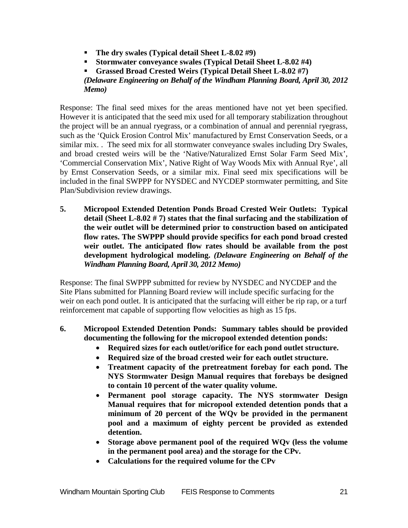- **The dry swales (Typical detail Sheet L-8.02 #9)**
- **Stormwater conveyance swales (Typical Detail Sheet L-8.02 #4)**

 **Grassed Broad Crested Weirs (Typical Detail Sheet L-8.02 #7)** *(Delaware Engineering on Behalf of the Windham Planning Board, April 30, 2012 Memo)*

Response: The final seed mixes for the areas mentioned have not yet been specified. However it is anticipated that the seed mix used for all temporary stabilization throughout the project will be an annual ryegrass, or a combination of annual and perennial ryegrass, such as the 'Quick Erosion Control Mix' manufactured by Ernst Conservation Seeds, or a similar mix. . The seed mix for all stormwater conveyance swales including Dry Swales, and broad crested weirs will be the 'Native/Naturalized Ernst Solar Farm Seed Mix', 'Commercial Conservation Mix', Native Right of Way Woods Mix with Annual Rye', all by Ernst Conservation Seeds, or a similar mix. Final seed mix specifications will be included in the final SWPPP for NYSDEC and NYCDEP stormwater permitting, and Site Plan/Subdivision review drawings.

**5. Micropool Extended Detention Ponds Broad Crested Weir Outlets: Typical detail (Sheet L-8.02 # 7) states that the final surfacing and the stabilization of the weir outlet will be determined prior to construction based on anticipated flow rates. The SWPPP should provide specifics for each pond broad crested weir outlet. The anticipated flow rates should be available from the post development hydrological modeling.** *(Delaware Engineering on Behalf of the Windham Planning Board, April 30, 2012 Memo)*

Response: The final SWPPP submitted for review by NYSDEC and NYCDEP and the Site Plans submitted for Planning Board review will include specific surfacing for the weir on each pond outlet. It is anticipated that the surfacing will either be rip rap, or a turf reinforcement mat capable of supporting flow velocities as high as 15 fps.

- **6. Micropool Extended Detention Ponds: Summary tables should be provided documenting the following for the micropool extended detention ponds:**
	- **Required sizes for each outlet/orifice for each pond outlet structure.**
	- **Required size of the broad crested weir for each outlet structure.**
	- **Treatment capacity of the pretreatment forebay for each pond. The NYS Stormwater Design Manual requires that forebays be designed to contain 10 percent of the water quality volume.**
	- **Permanent pool storage capacity. The NYS stormwater Design Manual requires that for micropool extended detention ponds that a minimum of 20 percent of the WQv be provided in the permanent pool and a maximum of eighty percent be provided as extended detention.**
	- **Storage above permanent pool of the required WQv (less the volume in the permanent pool area) and the storage for the CPv.**
	- **Calculations for the required volume for the CPv**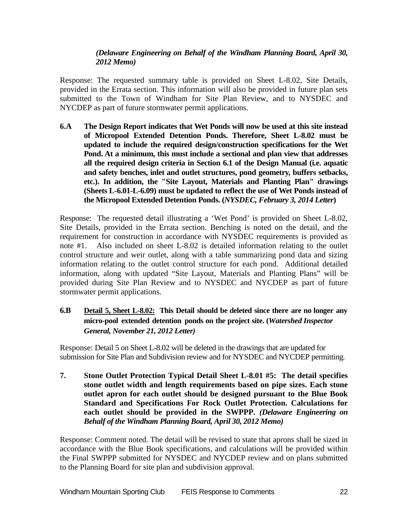# *(Delaware Engineering on Behalf of the Windham Planning Board, April 30, 2012 Memo)*

Response: The requested summary table is provided on Sheet L-8.02, Site Details, provided in the Errata section. This information will also be provided in future plan sets submitted to the Town of Windham for Site Plan Review, and to NYSDEC and NYCDEP as part of future stormwater permit applications.

**6.A The Design Report indicates that Wet Ponds will now be used at this site instead of Micropool Extended Detention Ponds. Therefore, Sheet L-8.02 must be updated to include the required design/construction specifications for the Wet Pond. At a minimum, this must include a sectional and plan view that addresses all the required design criteria in Section 6.1 of the Design Manual (i.e. aquatic and safety benches, inlet and outlet structures, pond geometry, buffers setbacks, etc.). In addition, the "Site Layout, Materials and Planting Plan" drawings (Sheets L-6.01-L-6.09) must be updated to reflect the use of Wet Ponds instead of the Micropool Extended Detention Ponds. (***NYSDEC, February 3, 2014 Letter***)**

Response: The requested detail illustrating a 'Wet Pond' is provided on Sheet L-8.02, Site Details, provided in the Errata section. Benching is noted on the detail, and the requirement for construction in accordance with NYSDEC requirements is provided as note #1. Also included on sheet L-8.02 is detailed information relating to the outlet control structure and weir outlet, along with a table summarizing pond data and sizing information relating to the outlet control structure for each pond. Additional detailed information, along with updated "Site Layout, Materials and Planting Plans" will be provided during Site Plan Review and to NYSDEC and NYCDEP as part of future stormwater permit applications.

# **6.B Detail 5, Sheet L-8.02: This Detail should be deleted since there are no longer any micro-pool extended detention ponds on the project site. (***Watershed Inspector General, November 21, 2012 Letter)*

Response: Detail 5 on Sheet L-8.02 will be deleted in the drawings that are updated for submission for Site Plan and Subdivision review and for NYSDEC and NYCDEP permitting.

**7. Stone Outlet Protection Typical Detail Sheet L-8.01 #5: The detail specifies stone outlet width and length requirements based on pipe sizes. Each stone outlet apron for each outlet should be designed pursuant to the Blue Book Standard and Specifications For Rock Outlet Protection. Calculations for each outlet should be provided in the SWPPP.** *(Delaware Engineering on Behalf of the Windham Planning Board, April 30, 2012 Memo)*

Response: Comment noted. The detail will be revised to state that aprons shall be sized in accordance with the Blue Book specifications, and calculations will be provided within the Final SWPPP submitted for NYSDEC and NYCDEP review and on plans submitted to the Planning Board for site plan and subdivision approval.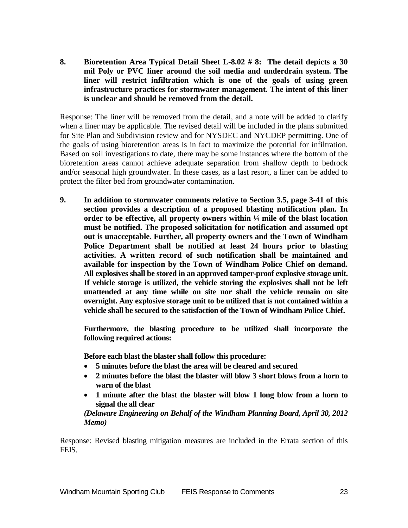**8. Bioretention Area Typical Detail Sheet L-8.02 # 8: The detail depicts a 30 mil Poly or PVC liner around the soil media and underdrain system. The liner will restrict infiltration which is one of the goals of using green infrastructure practices for stormwater management. The intent of this liner is unclear and should be removed from the detail.** 

Response: The liner will be removed from the detail, and a note will be added to clarify when a liner may be applicable. The revised detail will be included in the plans submitted for Site Plan and Subdivision review and for NYSDEC and NYCDEP permitting. One of the goals of using bioretention areas is in fact to maximize the potential for infiltration. Based on soil investigations to date, there may be some instances where the bottom of the bioretention areas cannot achieve adequate separation from shallow depth to bedrock and/or seasonal high groundwater. In these cases, as a last resort, a liner can be added to protect the filter bed from groundwater contamination.

**9. In addition to stormwater comments relative to Section 3.5, page 3-41 of this section provides a description of a proposed blasting notification plan. In order to be effective, all property owners within ¼ mile of the blast location must be notified. The proposed solicitation for notification and assumed opt out is unacceptable. Further, all property owners and the Town of Windham Police Department shall be notified at least 24 hours prior to blasting activities. A written record of such notification shall be maintained and available for inspection by the Town of Windham Police Chief on demand. All explosives shall be stored in an approved tamper-proof explosive storage unit. If vehicle storage is utilized, the vehicle storing the explosives shall not be left unattended at any time while on site nor shall the vehicle remain on site overnight. Any explosive storage unit to be utilized that is not contained within a vehicle shall be secured to the satisfaction of the Town of Windham Police Chief.** 

**Furthermore, the blasting procedure to be utilized shall incorporate the following required actions:**

**Before each blast the blaster shall follow this procedure:**

- **5 minutes before the blast the area will be cleared and secured**
- **2 minutes before the blast the blaster will blow 3 short blows from a horn to warn of the blast**
- **1 minute after the blast the blaster will blow 1 long blow from a horn to signal the all clear**

*(Delaware Engineering on Behalf of the Windham Planning Board, April 30, 2012 Memo)*

Response: Revised blasting mitigation measures are included in the Errata section of this FEIS.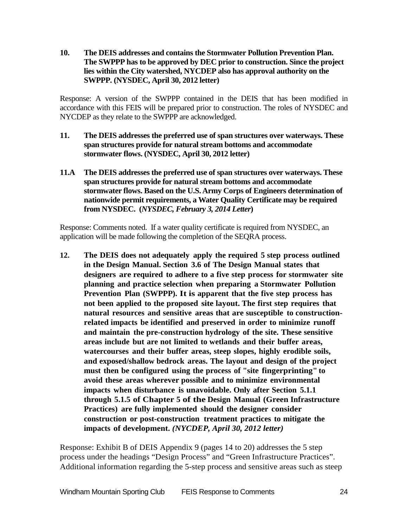**10. The DEIS addresses and contains the Stormwater Pollution Prevention Plan. The SWPPP has to be approved by DEC prior to construction. Since the project lies within the City watershed, NYCDEP also has approval authority on the SWPPP. (NYSDEC, April 30, 2012 letter)**

Response: A version of the SWPPP contained in the DEIS that has been modified in accordance with this FEIS will be prepared prior to construction. The roles of NYSDEC and NYCDEP as they relate to the SWPPP are acknowledged.

- **11. The DEIS addresses the preferred use of span structures over waterways. These span structures provide for natural stream bottoms and accommodate stormwater flows. (NYSDEC, April 30, 2012 letter)**
- **11.A The DEIS addresses the preferred use of span structures over waterways. These span structures provide for natural stream bottoms and accommodate stormwater flows. Based on the U.S. Army Corps of Engineers determination of nationwide permit requirements, a Water Quality Certificate may be required from NYSDEC. (***NYSDEC, February 3, 2014 Letter***)**

Response: Comments noted. If a water quality certificate is required from NYSDEC, an application will be made following the completion of the SEQRA process.

**12. The DEIS does not adequately apply the required 5 step process outlined in the Design Manual. Section 3.6 of The Design Manual states that designers are required to adhere to a five step process for stormwater site planning and practice selection when preparing a Stormwater Pollution Prevention Plan (SWPPP). It is apparent that the five step process has not been applied to the proposed site layout. The first step requires that natural resources and sensitive areas that are susceptible to constructionrelated impacts be identified and preserved in order to minimize runoff and maintain the pre-construction hydrology of the site. These sensitive areas include but are not limited to wetlands and their buffer areas, watercourses and their buffer areas, steep slopes, highly erodible soils, and exposed/shallow bedrock areas. The layout and design of the project must then be configured using the process of "site fingerprinting" to avoid these areas wherever possible and to minimize environmental impacts when disturbance is unavoidable. Only after Section 5.1.1 through 5.1.5 of Chapter 5 of the Design Manual (Green Infrastructure Practices) are fully implemented should the designer consider construction or post-construction treatment practices to mitigate the impacts of development.** *(NYCDEP, April 30, 2012 letter)*

Response: Exhibit B of DEIS Appendix 9 (pages 14 to 20) addresses the 5 step process under the headings "Design Process" and "Green Infrastructure Practices". Additional information regarding the 5-step process and sensitive areas such as steep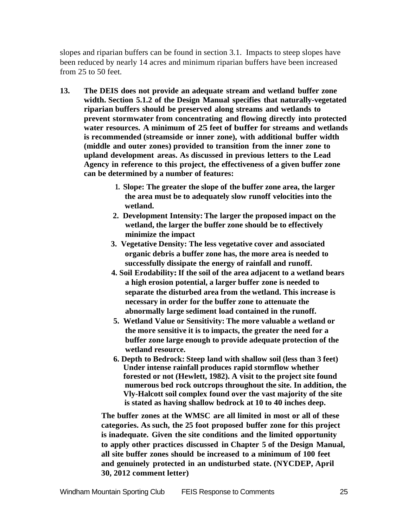slopes and riparian buffers can be found in section 3.1. Impacts to steep slopes have been reduced by nearly 14 acres and minimum riparian buffers have been increased from 25 to 50 feet.

- **13. The DEIS does not provide an adequate stream and wetland buffer zone width. Section 5.1.2 of the Design Manual specifies that naturally-vegetated riparian buffers should be preserved along streams and wetlands to prevent stormwater from concentrating and flowing directly into protected water resources. A minimum of 25 feet of buffer for streams and wetlands is recommended (streamside or inner zone), with additional buffer width (middle and outer zones) provided to transition from the inner zone to upland development areas. As discussed in previous letters to the Lead Agency in reference to this project, the effectiveness of a given buffer zone can be determined by a number of features:**
	- **1. Slope: The greater the slope of the buffer zone area, the larger the area must be to adequately slow runoff velocities into the wetland.**
	- **2. Development Intensity: The larger the proposed impact on the wetland, the larger the buffer zone should be to effectively minimize the impact**
	- **3. Vegetative Density: The less vegetative cover and associated organic debris a buffer zone has, the more area is needed to successfully dissipate the energy of rainfall and runoff.**
	- **4. Soil Erodability:If the soil of the area adjacent to a wetland bears a high erosion potential, a larger buffer zone is needed to separate the disturbed area from the wetland. This increase is necessary in order for the buffer zone to attenuate the abnormally large sediment load contained in the runoff.**
	- **5. Wetland Value or Sensitivity: The more valuable a wetland or the more sensitive it is to impacts, the greater the need for a buffer zone large enough to provide adequate protection of the wetland resource.**
	- **6. Depth to Bedrock: Steep land with shallow soil (less than 3 feet) Under intense rainfall produces rapid stormflow whether forested or not (Hewlett, 1982). A visit to the project site found numerous bed rock outcrops throughout the site. In addition, the Vly-Halcott soil complex found over the vast majority of the site is stated as having shallow bedrock at 10 to 40 inches deep.**

**The buffer zones at the WMSC are all limited in most or all of these categories. As such, the 25 foot proposed buffer zone for this project is inadequate. Given the site conditions and the limited opportunity to apply other practices discussed in Chapter 5 of the Design Manual, all site buffer zones should be increased to a minimum of 100 feet and genuinely protected in an undisturbed state. (NYCDEP, April 30, 2012 comment letter)**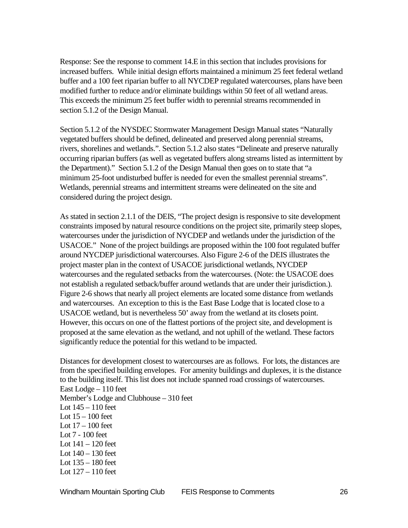Response: See the response to comment 14.E in this section that includes provisions for increased buffers. While initial design efforts maintained a minimum 25 feet federal wetland buffer and a 100 feet riparian buffer to all NYCDEP regulated watercourses, plans have been modified further to reduce and/or eliminate buildings within 50 feet of all wetland areas. This exceeds the minimum 25 feet buffer width to perennial streams recommended in section 5.1.2 of the Design Manual.

Section 5.1.2 of the NYSDEC Stormwater Management Design Manual states "Naturally vegetated buffers should be defined, delineated and preserved along perennial streams, rivers, shorelines and wetlands.". Section 5.1.2 also states "Delineate and preserve naturally occurring riparian buffers (as well as vegetated buffers along streams listed as intermittent by the Department)." Section 5.1.2 of the Design Manual then goes on to state that "a minimum 25-foot undisturbed buffer is needed for even the smallest perennial streams". Wetlands, perennial streams and intermittent streams were delineated on the site and considered during the project design.

As stated in section 2.1.1 of the DEIS, "The project design is responsive to site development constraints imposed by natural resource conditions on the project site, primarily steep slopes, watercourses under the jurisdiction of NYCDEP and wetlands under the jurisdiction of the USACOE." None of the project buildings are proposed within the 100 foot regulated buffer around NYCDEP jurisdictional watercourses. Also Figure 2-6 of the DEIS illustrates the project master plan in the context of USACOE jurisdictional wetlands, NYCDEP watercourses and the regulated setbacks from the watercourses. (Note: the USACOE does not establish a regulated setback/buffer around wetlands that are under their jurisdiction.). Figure 2-6 shows that nearly all project elements are located some distance from wetlands and watercourses. An exception to this is the East Base Lodge that is located close to a USACOE wetland, but is nevertheless 50' away from the wetland at its closets point. However, this occurs on one of the flattest portions of the project site, and development is proposed at the same elevation as the wetland, and not uphill of the wetland. These factors significantly reduce the potential for this wetland to be impacted.

Distances for development closest to watercourses are as follows. For lots, the distances are from the specified building envelopes. For amenity buildings and duplexes, it is the distance to the building itself. This list does not include spanned road crossings of watercourses. East Lodge – 110 feet Member's Lodge and Clubhouse – 310 feet Lot 145 – 110 feet Lot  $15 - 100$  feet Lot 17 – 100 feet Lot 7 - 100 feet Lot  $141 - 120$  feet Lot 140 – 130 feet Lot 135 – 180 feet Lot 127 – 110 feet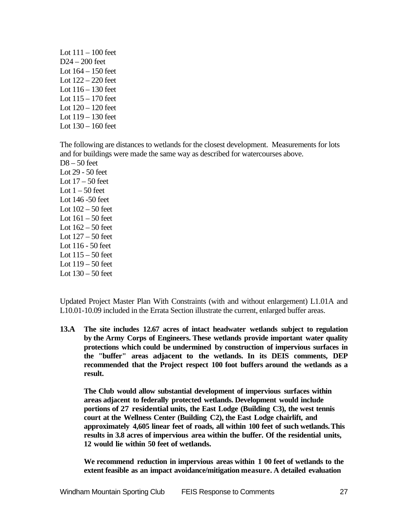Lot  $111 - 100$  feet D24 – 200 feet Lot  $164 - 150$  feet Lot 122 – 220 feet Lot 116 – 130 feet Lot 115 – 170 feet Lot 120 – 120 feet Lot 119 – 130 feet Lot 130 – 160 feet

The following are distances to wetlands for the closest development. Measurements for lots and for buildings were made the same way as described for watercourses above. D8 – 50 feet Lot 29 - 50 feet Lot  $17 - 50$  feet Lot  $1 - 50$  feet Lot 146 -50 feet Lot 102 – 50 feet Lot  $161 - 50$  feet Lot  $162 - 50$  feet Lot  $127 - 50$  feet Lot 116 - 50 feet Lot  $115 - 50$  feet Lot 119 – 50 feet Lot  $130 - 50$  feet

Updated Project Master Plan With Constraints (with and without enlargement) L1.01A and L10.01-10.09 included in the Errata Section illustrate the current, enlarged buffer areas.

**13.A The site includes 12.67 acres of intact headwater wetlands subject to regulation by the Army Corps of Engineers. These wetlands provide important water quality protections which could be undermined by construction of impervious surfaces in the "buffer" areas adjacent to the wetlands. In its DEIS comments, DEP recommended that the Project respect 100 foot buffers around the wetlands as a result.**

**The Club would allow substantial development of impervious surfaces within areas adjacent to federally protected wetlands. Development would include portions of 27 residential units, the East Lodge (Building C3), the west tennis court at the Wellness Center (Building C2), the East Lodge chairlift, and approximately 4,605 linear feet of roads, all within 100 feet of such wetlands.This results in 3.8 acres of impervious area within the buffer. Of the residential units, 12 would lie within 50 feet of wetlands.**

**We recommend reduction in impervious areas within 1 00 feet of wetlands to the extent feasible as an impact avoidance/mitigation measure. A detailed evaluation**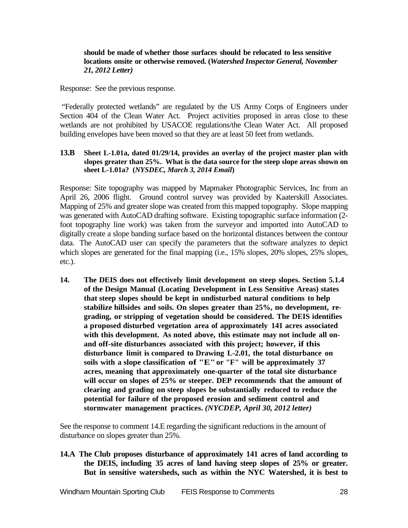#### **should be made of whether those surfaces should be relocated to less sensitive locations onsite or otherwise removed. (***Watershed Inspector General, November 21, 2012 Letter)*

Response: See the previous response.

"Federally protected wetlands" are regulated by the US Army Corps of Engineers under Section 404 of the Clean Water Act. Project activities proposed in areas close to these wetlands are not prohibited by USACOE regulations/the Clean Water Act. All proposed building envelopes have been moved so that they are at least 50 feet from wetlands.

#### **13.B Sheet L-1.01a, dated 01/29/14, provides an overlay of the project master plan with slopes greater than 25%. What is the data source for the steep slope areas shown on sheet L-1.01a? (***NYSDEC, March 3, 2014 Email***)**

Response: Site topography was mapped by Mapmaker Photographic Services, Inc from an April 26, 2006 flight. Ground control survey was provided by Kaaterskill Associates. Mapping of 25% and greater slope was created from this mapped topography. Slope mapping was generated with AutoCAD drafting software. Existing topographic surface information (2 foot topography line work) was taken from the surveyor and imported into AutoCAD to digitally create a slope banding surface based on the horizontal distances between the contour data. The AutoCAD user can specify the parameters that the software analyzes to depict which slopes are generated for the final mapping (i.e., 15% slopes, 20% slopes, 25% slopes, etc.).

**14. The DEIS does not effectively limit development on steep slopes. Section 5.1.4 of the Design Manual (Locating Development in Less Sensitive Areas) states that steep slopes should be kept in undisturbed natural conditions to help stabilize hillsides and soils. On slopes greater than 25%, no development, regrading, or stripping of vegetation should be considered. The DEIS identifies a proposed disturbed vegetation area of approximately 141 acres associated with this development. As noted above, this estimate may not include all onand off-site disturbances associated with this project; however, if this disturbance limit is compared to Drawing L-2.01, the total disturbance on soils with a slope classification of "E"or "F" will be approximately 37 acres, meaning that approximately one-quarter of the total site disturbance will occur on slopes of 25% or steeper. DEP recommends that the amount of clearing and grading on steep slopes be substantially reduced to reduce the potential for failure of the proposed erosion and sediment control and stormwater management practices.** *(NYCDEP, April 30, 2012 letter)*

See the response to comment 14.E regarding the significant reductions in the amount of disturbance on slopes greater than 25%.

**14.A The Club proposes disturbance of approximately 141 acres of land according to the DEIS, including 35 acres of land having steep slopes of 25% or greater. But in sensitive watersheds, such as within the NYC Watershed, it is best to**

Windham Mountain Sporting Club FEIS Response to Comments 28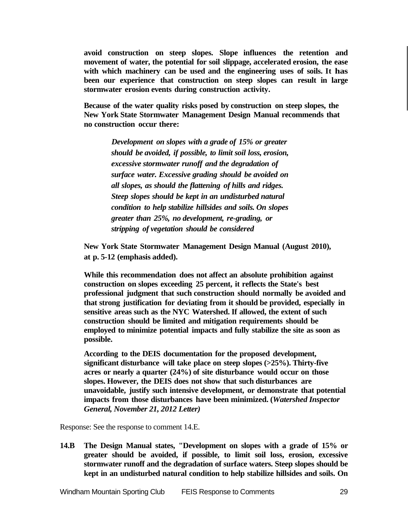**avoid construction on steep slopes. Slope influences the retention and movement of water, the potential for soil slippage, accelerated erosion, the ease with which machinery can be used and the engineering uses of soils. It has been our experience that construction on steep slopes can result in large stormwater erosion events during construction activity.**

**Because of the water quality risks posed by construction on steep slopes, the New York State Stormwater Management Design Manual recommends that no construction occur there:**

> *Development on slopes with a grade of 15% or greater should be avoided, if possible, to limit soil loss, erosion, excessive stormwater runoff and the degradation of surface water. Excessive grading should be avoided on all slopes, as should the flattening of hills and ridges. Steep slopes should be kept in an undisturbed natural condition to help stabilize hillsides and soils. On slopes greater than 25%, no development, re-grading, or stripping of vegetation should be considered*

**New York State Stormwater Management Design Manual (August 2010), at p. 5-12 (emphasis added).**

**While this recommendation does not affect an absolute prohibition against construction on slopes exceeding 25 percent, it reflects the State's best professional judgment that such construction should normally be avoided and that strong justification for deviating from it should be provided, especially in sensitive areas such as the NYC Watershed. If allowed, the extent of such construction should be limited and mitigation requirements should be employed to minimize potential impacts and fully stabilize the site as soon as possible.**

**According to the DEIS documentation for the proposed development, significant disturbance will take place on steep slopes (>25%). Thirty-five acres or nearly a quarter (24%) of site disturbance would occur on those slopes. However, the DEIS does not show that such disturbances are unavoidable, justify such intensive development, or demonstrate that potential impacts from those disturbances have been minimized. (***Watershed Inspector General, November 21, 2012 Letter)*

Response: See the response to comment 14.E.

**14.B The Design Manual states, "Development on slopes with a grade of 15% or greater should be avoided, if possible, to limit soil loss, erosion, excessive stormwater runoff and the degradation of surface waters. Steep slopes should be kept in an undisturbed natural condition to help stabilize hillsides and soils. On** 

Windham Mountain Sporting Club FEIS Response to Comments 29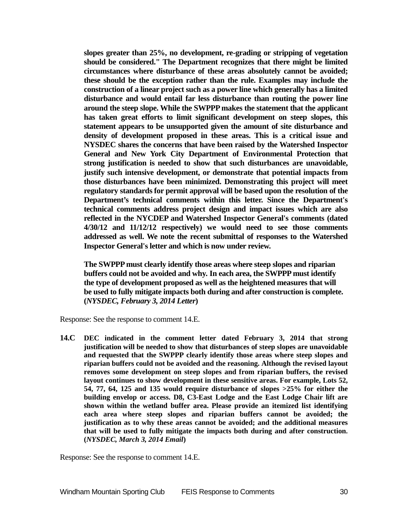**slopes greater than 25%, no development, re-grading or stripping of vegetation should be considered." The Department recognizes that there might be limited circumstances where disturbance of these areas absolutely cannot be avoided; these should be the exception rather than the rule. Examples may include the construction of a linear project such as a power line which generally has a limited disturbance and would entail far less disturbance than routing the power line around the steep slope. While the SWPPP makes the statement that the applicant has taken great efforts to limit significant development on steep slopes, this statement appears to be unsupported given the amount of site disturbance and density of development proposed in these areas. This is a critical issue and NYSDEC shares the concerns that have been raised by the Watershed Inspector General and New York City Department of Environmental Protection that strong justification is needed to show that such disturbances are unavoidable, justify such intensive development, or demonstrate that potential impacts from those disturbances have been minimized. Demonstrating this project will meet regulatory standards for permit approval will be based upon the resolution of the Department's technical comments within this letter. Since the Department's technical comments address project design and impact issues which are also reflected in the NYCDEP and Watershed Inspector General's comments (dated 4/30/12 and 11/12/12 respectively) we would need to see those comments addressed as well. We note the recent submittal of responses to the Watershed Inspector General's letter and which is now under review.** 

**The SWPPP must clearly identify those areas where steep slopes and riparian buffers could not be avoided and why***.* **In each area, the SWPPP must identify the type of development proposed as well as the heightened measures that will be used to fully mitigate impacts both during and after construction is complete. (***NYSDEC, February 3, 2014 Letter***)**

Response: See the response to comment 14.E.

**14.C DEC indicated in the comment letter dated February 3, 2014 that strong justification will be needed to show that disturbances of steep slopes are unavoidable and requested that the SWPPP clearly identify those areas where steep slopes and riparian buffers could not be avoided and the reasoning. Although the revised layout removes some development on steep slopes and from riparian buffers, the revised layout continues to show development in these sensitive areas. For example, Lots 52, 54, 77, 64, 125 and 135 would require disturbance of slopes >25% for either the building envelop or access. D8, C3-East Lodge and the East Lodge Chair lift are shown within the wetland buffer area. Please provide an itemized list identifying each area where steep slopes and riparian buffers cannot be avoided; the justification as to why these areas cannot be avoided; and the additional measures that will be used to fully mitigate the impacts both during and after construction. (***NYSDEC, March 3, 2014 Email***)**

Response: See the response to comment 14.E.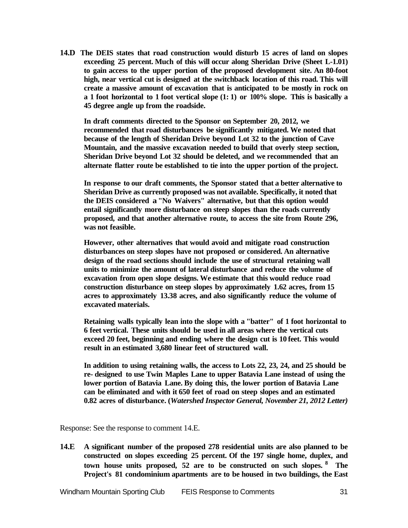**14.D The DEIS states that road construction would disturb 15 acres of land on slopes exceeding 25 percent. Much of this will occur along Sheridan Drive (Sheet L-1.01) to gain access to the upper portion of the proposed development site. An 80-foot high, near vertical cut is designed at the switchback location of this road. This will create a massive amount of excavation that is anticipated to be mostly in rock on a 1 foot horizontal to 1 foot vertical slope (1: 1) or 100% slope. This is basically a 45 degree angle up from the roadside.**

**In draft comments directed to the Sponsor on September 20, 2012, we recommended that road disturbances be significantly mitigated. We noted that because of the length of Sheridan Drive beyond Lot 32 to the junction of Cave Mountain, and the massive excavation needed to build that overly steep section, Sheridan Drive beyond Lot 32 should be deleted, and we recommended that an alternate flatter route be established to tie into the upper portion of the project.**

**In response to our draft comments, the Sponsor stated that a better alternative to Sheridan Drive as currently proposed was not available. Specifically, it noted that the DEIS considered a "No Waivers" alternative, but that this option would entail significantly more disturbance on steep slopes than the roads currently proposed, and that another alternative route, to access the site from Route 296, was not feasible.**

**However, other alternatives that would avoid and mitigate road construction disturbances on steep slopes have not proposed or considered. An alternative design of the road sections should include the use of structural retaining wall units to minimize the amount of lateral disturbance and reduce the volume of excavation from open slope designs. We estimate that this would reduce road construction disturbance on steep slopes by approximately 1.62 acres, from 15 acres to approximately 13.38 acres, and also significantly reduce the volume of excavated materials.**

**Retaining walls typically lean into the slope with a "batter" of 1 foot horizontal to 6 feet vertical. These units should be used in all areas where the vertical cuts exceed 20 feet, beginning and ending where the design cut is 10 feet. This would result in an estimated 3,680 linear feet of structured wall.**

**In addition to using retaining walls, the access to Lots 22, 23, 24, and 25 should be re- designed to use Twin Maples Lane to upper Batavia Lane instead of using the lower portion of Batavia Lane. By doing this, the lower portion of Batavia Lane can be eliminated and with it 650 feet of road on steep slopes and an estimated 0.82 acres of disturbance. (***Watershed Inspector General, November 21, 2012 Letter)*

Response: See the response to comment 14.E.

**14.E A significant number of the proposed 278 residential units are also planned to be constructed on slopes exceeding 25 percent. Of the 197 single home, duplex, and town house units proposed, 52 are to be constructed on such slopes. 8 The Project's 81 condominium apartments are to be housed in two buildings, the East**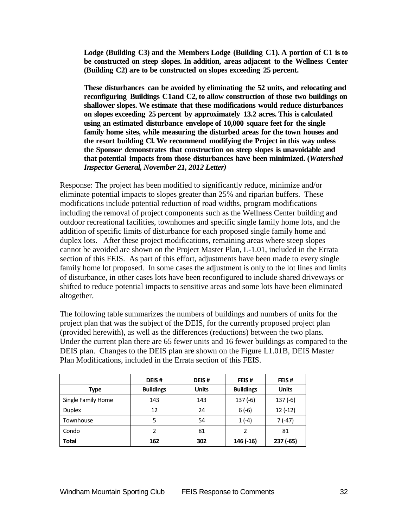**Lodge (Building C3) and the Members Lodge (Building C1). A portion of C1 is to be constructed on steep slopes. In addition, areas adjacent to the Wellness Center (Building C2) are to be constructed on slopes exceeding 25 percent.**

**These disturbances can be avoided by eliminating the 52 units, and relocating and reconfiguring Buildings C1and C2, to allow construction of those two buildings on shallower slopes. We estimate that these modifications would reduce disturbances on slopes exceeding 25 percent by approximately 13.2 acres. This is calculated using an estimated disturbance envelope of 10,000 square feet for the single family home sites, while measuring the disturbed areas for the town houses and the resort building Cl. We recommend modifying the Project in this way unless the Sponsor demonstrates that construction on steep slopes is unavoidable and that potential impacts from those disturbances have been minimized. (***Watershed Inspector General, November 21, 2012 Letter)*

Response: The project has been modified to significantly reduce, minimize and/or eliminate potential impacts to slopes greater than 25% and riparian buffers. These modifications include potential reduction of road widths, program modifications including the removal of project components such as the Wellness Center building and outdoor recreational facilities, townhomes and specific single family home lots, and the addition of specific limits of disturbance for each proposed single family home and duplex lots. After these project modifications, remaining areas where steep slopes cannot be avoided are shown on the Project Master Plan, L-1.01, included in the Errata section of this FEIS. As part of this effort, adjustments have been made to every single family home lot proposed. In some cases the adjustment is only to the lot lines and limits of disturbance, in other cases lots have been reconfigured to include shared driveways or shifted to reduce potential impacts to sensitive areas and some lots have been eliminated altogether.

The following table summarizes the numbers of buildings and numbers of units for the project plan that was the subject of the DEIS, for the currently proposed project plan (provided herewith), as well as the differences (reductions) between the two plans. Under the current plan there are 65 fewer units and 16 fewer buildings as compared to the DEIS plan. Changes to the DEIS plan are shown on the Figure L1.01B, DEIS Master Plan Modifications, included in the Errata section of this FEIS.

|                    | DEIS#                    | DEIS#        | FEIS#            | FEIS#        |
|--------------------|--------------------------|--------------|------------------|--------------|
| Type               | <b>Buildings</b>         | <b>Units</b> | <b>Buildings</b> | <b>Units</b> |
| Single Family Home | 143                      | 143          | $137(-6)$        | $137(-6)$    |
| <b>Duplex</b>      | 12                       | 24           | $6(-6)$          | $12(-12)$    |
| Townhouse          | 5                        | 54           | $1(-4)$          | 7 (-47)      |
| Condo              | $\overline{\phantom{a}}$ | 81           | $\mathfrak{p}$   | 81           |
| Total              | 162                      | 302          | 146 (-16)        | 237 (-65)    |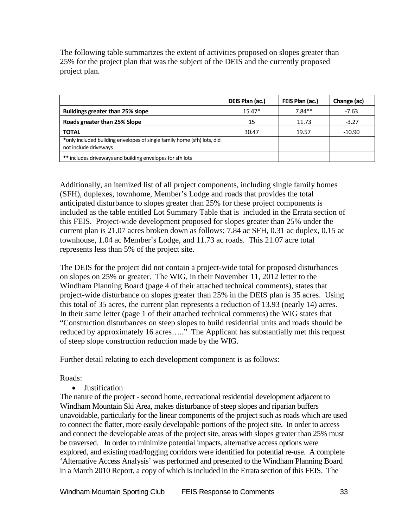The following table summarizes the extent of activities proposed on slopes greater than 25% for the project plan that was the subject of the DEIS and the currently proposed project plan.

|                                                                                                  | DEIS Plan (ac.) | FEIS Plan (ac.) | Change (ac) |
|--------------------------------------------------------------------------------------------------|-----------------|-----------------|-------------|
| <b>Buildings greater than 25% slope</b>                                                          | $15.47*$        | $7.84**$        | -7.63       |
| Roads greater than 25% Slope                                                                     | 15              | 11.73           | $-3.27$     |
| <b>TOTAL</b>                                                                                     | 30.47           | 19.57           | $-10.90$    |
| *only included building envelopes of single family home (sfh) lots, did<br>not include driveways |                 |                 |             |
| ** includes driveways and building envelopes for sfh lots                                        |                 |                 |             |

Additionally, an itemized list of all project components, including single family homes (SFH), duplexes, townhome, Member's Lodge and roads that provides the total anticipated disturbance to slopes greater than 25% for these project components is included as the table entitled Lot Summary Table that is included in the Errata section of this FEIS. Project-wide development proposed for slopes greater than 25% under the current plan is 21.07 acres broken down as follows; 7.84 ac SFH, 0.31 ac duplex, 0.15 ac townhouse, 1.04 ac Member's Lodge, and 11.73 ac roads. This 21.07 acre total represents less than 5% of the project site.

The DEIS for the project did not contain a project-wide total for proposed disturbances on slopes on 25% or greater. The WIG, in their November 11, 2012 letter to the Windham Planning Board (page 4 of their attached technical comments), states that project-wide disturbance on slopes greater than 25% in the DEIS plan is 35 acres. Using this total of 35 acres, the current plan represents a reduction of 13.93 (nearly 14) acres. In their same letter (page 1 of their attached technical comments) the WIG states that "Construction disturbances on steep slopes to build residential units and roads should be reduced by approximately 16 acres….." The Applicant has substantially met this request of steep slope construction reduction made by the WIG.

Further detail relating to each development component is as follows:

Roads:

• Justification

The nature of the project - second home, recreational residential development adjacent to Windham Mountain Ski Area, makes disturbance of steep slopes and riparian buffers unavoidable, particularly for the linear components of the project such as roads which are used to connect the flatter, more easily developable portions of the project site. In order to access and connect the developable areas of the project site, areas with slopes greater than 25% must be traversed. In order to minimize potential impacts, alternative access options were explored, and existing road/logging corridors were identified for potential re-use. A complete 'Alternative Access Analysis' was performed and presented to the Windham Planning Board in a March 2010 Report, a copy of which is included in the Errata section of this FEIS. The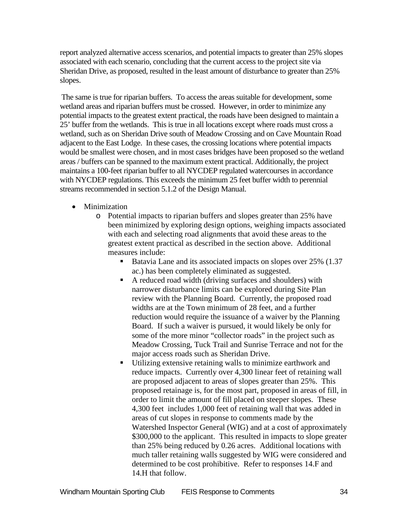report analyzed alternative access scenarios, and potential impacts to greater than 25% slopes associated with each scenario, concluding that the current access to the project site via Sheridan Drive, as proposed, resulted in the least amount of disturbance to greater than 25% slopes.

The same is true for riparian buffers. To access the areas suitable for development, some wetland areas and riparian buffers must be crossed. However, in order to minimize any potential impacts to the greatest extent practical, the roads have been designed to maintain a 25' buffer from the wetlands. This is true in all locations except where roads must cross a wetland, such as on Sheridan Drive south of Meadow Crossing and on Cave Mountain Road adjacent to the East Lodge. In these cases, the crossing locations where potential impacts would be smallest were chosen, and in most cases bridges have been proposed so the wetland areas / buffers can be spanned to the maximum extent practical. Additionally, the project maintains a 100-feet riparian buffer to all NYCDEP regulated watercourses in accordance with NYCDEP regulations. This exceeds the minimum 25 feet buffer width to perennial streams recommended in section 5.1.2 of the Design Manual.

- Minimization
	- o Potential impacts to riparian buffers and slopes greater than 25% have been minimized by exploring design options, weighing impacts associated with each and selecting road alignments that avoid these areas to the greatest extent practical as described in the section above. Additional measures include:
		- Batavia Lane and its associated impacts on slopes over 25% (1.37 ac.) has been completely eliminated as suggested.
		- A reduced road width (driving surfaces and shoulders) with narrower disturbance limits can be explored during Site Plan review with the Planning Board. Currently, the proposed road widths are at the Town minimum of 28 feet, and a further reduction would require the issuance of a waiver by the Planning Board. If such a waiver is pursued, it would likely be only for some of the more minor "collector roads" in the project such as Meadow Crossing, Tuck Trail and Sunrise Terrace and not for the major access roads such as Sheridan Drive.
		- Utilizing extensive retaining walls to minimize earthwork and reduce impacts. Currently over 4,300 linear feet of retaining wall are proposed adjacent to areas of slopes greater than 25%. This proposed retainage is, for the most part, proposed in areas of fill, in order to limit the amount of fill placed on steeper slopes. These 4,300 feet includes 1,000 feet of retaining wall that was added in areas of cut slopes in response to comments made by the Watershed Inspector General (WIG) and at a cost of approximately \$300,000 to the applicant. This resulted in impacts to slope greater than 25% being reduced by 0.26 acres. Additional locations with much taller retaining walls suggested by WIG were considered and determined to be cost prohibitive. Refer to responses 14.F and 14.H that follow.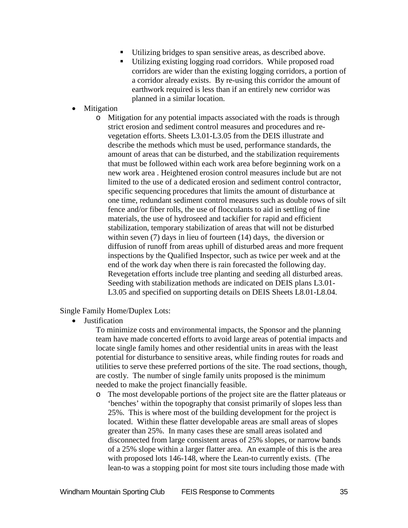- Utilizing bridges to span sensitive areas, as described above.
- Utilizing existing logging road corridors. While proposed road corridors are wider than the existing logging corridors, a portion of a corridor already exists. By re-using this corridor the amount of earthwork required is less than if an entirely new corridor was planned in a similar location.
- Mitigation
	- o Mitigation for any potential impacts associated with the roads is through strict erosion and sediment control measures and procedures and revegetation efforts. Sheets L3.01-L3.05 from the DEIS illustrate and describe the methods which must be used, performance standards, the amount of areas that can be disturbed, and the stabilization requirements that must be followed within each work area before beginning work on a new work area . Heightened erosion control measures include but are not limited to the use of a dedicated erosion and sediment control contractor, specific sequencing procedures that limits the amount of disturbance at one time, redundant sediment control measures such as double rows of silt fence and/or fiber rolls, the use of flocculants to aid in settling of fine materials, the use of hydroseed and tackifier for rapid and efficient stabilization, temporary stabilization of areas that will not be disturbed within seven (7) days in lieu of fourteen (14) days, the diversion or diffusion of runoff from areas uphill of disturbed areas and more frequent inspections by the Qualified Inspector, such as twice per week and at the end of the work day when there is rain forecasted the following day. Revegetation efforts include tree planting and seeding all disturbed areas. Seeding with stabilization methods are indicated on DEIS plans L3.01- L3.05 and specified on supporting details on DEIS Sheets L8.01-L8.04.

### Single Family Home/Duplex Lots:

• Justification

To minimize costs and environmental impacts, the Sponsor and the planning team have made concerted efforts to avoid large areas of potential impacts and locate single family homes and other residential units in areas with the least potential for disturbance to sensitive areas, while finding routes for roads and utilities to serve these preferred portions of the site. The road sections, though, are costly. The number of single family units proposed is the minimum needed to make the project financially feasible.

o The most developable portions of the project site are the flatter plateaus or 'benches' within the topography that consist primarily of slopes less than 25%. This is where most of the building development for the project is located. Within these flatter developable areas are small areas of slopes greater than 25%. In many cases these are small areas isolated and disconnected from large consistent areas of 25% slopes, or narrow bands of a 25% slope within a larger flatter area. An example of this is the area with proposed lots 146-148, where the Lean-to currently exists. (The lean-to was a stopping point for most site tours including those made with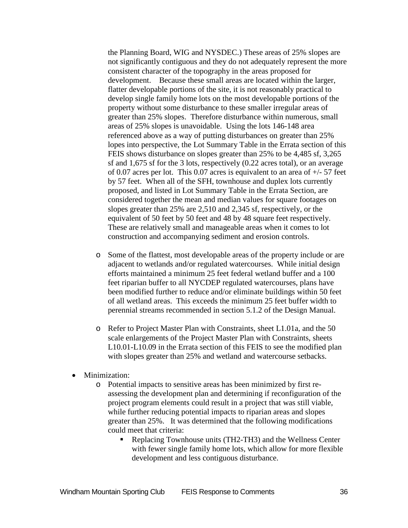the Planning Board, WIG and NYSDEC.) These areas of 25% slopes are not significantly contiguous and they do not adequately represent the more consistent character of the topography in the areas proposed for development. Because these small areas are located within the larger, flatter developable portions of the site, it is not reasonably practical to develop single family home lots on the most developable portions of the property without some disturbance to these smaller irregular areas of greater than 25% slopes. Therefore disturbance within numerous, small areas of 25% slopes is unavoidable. Using the lots 146-148 area referenced above as a way of putting disturbances on greater than 25% lopes into perspective, the Lot Summary Table in the Errata section of this FEIS shows disturbance on slopes greater than 25% to be 4,485 sf, 3,265 sf and 1,675 sf for the 3 lots, respectively (0.22 acres total), or an average of 0.07 acres per lot. This 0.07 acres is equivalent to an area of +/- 57 feet by 57 feet. When all of the SFH, townhouse and duplex lots currently proposed, and listed in Lot Summary Table in the Errata Section, are considered together the mean and median values for square footages on slopes greater than 25% are 2,510 and 2,345 sf, respectively, or the equivalent of 50 feet by 50 feet and 48 by 48 square feet respectively. These are relatively small and manageable areas when it comes to lot construction and accompanying sediment and erosion controls.

- o Some of the flattest, most developable areas of the property include or are adjacent to wetlands and/or regulated watercourses. While initial design efforts maintained a minimum 25 feet federal wetland buffer and a 100 feet riparian buffer to all NYCDEP regulated watercourses, plans have been modified further to reduce and/or eliminate buildings within 50 feet of all wetland areas. This exceeds the minimum 25 feet buffer width to perennial streams recommended in section 5.1.2 of the Design Manual.
- o Refer to Project Master Plan with Constraints, sheet L1.01a, and the 50 scale enlargements of the Project Master Plan with Constraints, sheets L10.01-L10.09 in the Errata section of this FEIS to see the modified plan with slopes greater than 25% and wetland and watercourse setbacks.
- Minimization:
	- o Potential impacts to sensitive areas has been minimized by first reassessing the development plan and determining if reconfiguration of the project program elements could result in a project that was still viable, while further reducing potential impacts to riparian areas and slopes greater than 25%. It was determined that the following modifications could meet that criteria:
		- Replacing Townhouse units (TH2-TH3) and the Wellness Center with fewer single family home lots, which allow for more flexible development and less contiguous disturbance.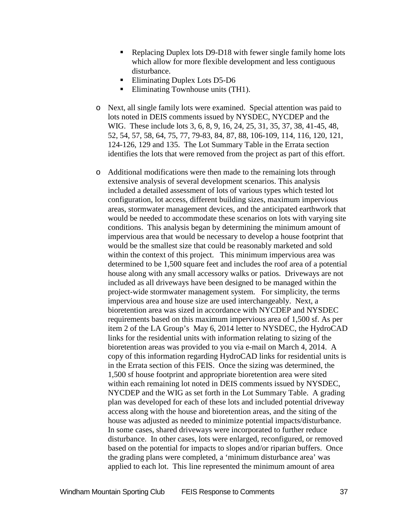- Replacing Duplex lots D9-D18 with fewer single family home lots which allow for more flexible development and less contiguous disturbance.
- Eliminating Duplex Lots D5-D6
- Eliminating Townhouse units (TH1).
- o Next, all single family lots were examined. Special attention was paid to lots noted in DEIS comments issued by NYSDEC, NYCDEP and the WIG. These include lots 3, 6, 8, 9, 16, 24, 25, 31, 35, 37, 38, 41-45, 48, 52, 54, 57, 58, 64, 75, 77, 79-83, 84, 87, 88, 106-109, 114, 116, 120, 121, 124-126, 129 and 135. The Lot Summary Table in the Errata section identifies the lots that were removed from the project as part of this effort.
- o Additional modifications were then made to the remaining lots through extensive analysis of several development scenarios. This analysis included a detailed assessment of lots of various types which tested lot configuration, lot access, different building sizes, maximum impervious areas, stormwater management devices, and the anticipated earthwork that would be needed to accommodate these scenarios on lots with varying site conditions. This analysis began by determining the minimum amount of impervious area that would be necessary to develop a house footprint that would be the smallest size that could be reasonably marketed and sold within the context of this project. This minimum impervious area was determined to be 1,500 square feet and includes the roof area of a potential house along with any small accessory walks or patios. Driveways are not included as all driveways have been designed to be managed within the project-wide stormwater management system. For simplicity, the terms impervious area and house size are used interchangeably. Next, a bioretention area was sized in accordance with NYCDEP and NYSDEC requirements based on this maximum impervious area of 1,500 sf. As per item 2 of the LA Group's May 6, 2014 letter to NYSDEC, the HydroCAD links for the residential units with information relating to sizing of the bioretention areas was provided to you via e-mail on March 4, 2014. A copy of this information regarding HydroCAD links for residential units is in the Errata section of this FEIS. Once the sizing was determined, the 1,500 sf house footprint and appropriate bioretention area were sited within each remaining lot noted in DEIS comments issued by NYSDEC, NYCDEP and the WIG as set forth in the Lot Summary Table. A grading plan was developed for each of these lots and included potential driveway access along with the house and bioretention areas, and the siting of the house was adjusted as needed to minimize potential impacts/disturbance. In some cases, shared driveways were incorporated to further reduce disturbance. In other cases, lots were enlarged, reconfigured, or removed based on the potential for impacts to slopes and/or riparian buffers. Once the grading plans were completed, a 'minimum disturbance area' was applied to each lot. This line represented the minimum amount of area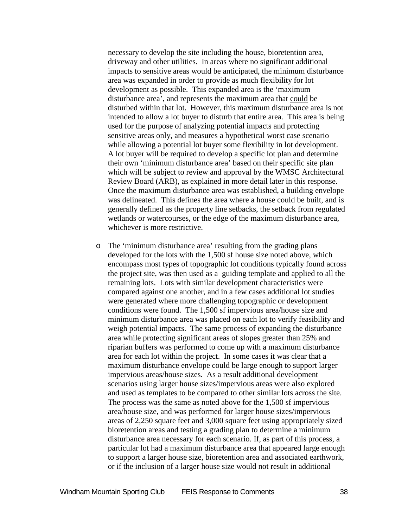necessary to develop the site including the house, bioretention area, driveway and other utilities. In areas where no significant additional impacts to sensitive areas would be anticipated, the minimum disturbance area was expanded in order to provide as much flexibility for lot development as possible. This expanded area is the 'maximum disturbance area', and represents the maximum area that could be disturbed within that lot. However, this maximum disturbance area is not intended to allow a lot buyer to disturb that entire area. This area is being used for the purpose of analyzing potential impacts and protecting sensitive areas only, and measures a hypothetical worst case scenario while allowing a potential lot buyer some flexibility in lot development. A lot buyer will be required to develop a specific lot plan and determine their own 'minimum disturbance area' based on their specific site plan which will be subject to review and approval by the WMSC Architectural Review Board (ARB), as explained in more detail later in this response. Once the maximum disturbance area was established, a building envelope was delineated. This defines the area where a house could be built, and is generally defined as the property line setbacks, the setback from regulated wetlands or watercourses, or the edge of the maximum disturbance area, whichever is more restrictive.

o The 'minimum disturbance area' resulting from the grading plans developed for the lots with the 1,500 sf house size noted above, which encompass most types of topographic lot conditions typically found across the project site, was then used as a guiding template and applied to all the remaining lots. Lots with similar development characteristics were compared against one another, and in a few cases additional lot studies were generated where more challenging topographic or development conditions were found. The 1,500 sf impervious area/house size and minimum disturbance area was placed on each lot to verify feasibility and weigh potential impacts. The same process of expanding the disturbance area while protecting significant areas of slopes greater than 25% and riparian buffers was performed to come up with a maximum disturbance area for each lot within the project. In some cases it was clear that a maximum disturbance envelope could be large enough to support larger impervious areas/house sizes. As a result additional development scenarios using larger house sizes/impervious areas were also explored and used as templates to be compared to other similar lots across the site. The process was the same as noted above for the 1,500 sf impervious area/house size, and was performed for larger house sizes/impervious areas of 2,250 square feet and 3,000 square feet using appropriately sized bioretention areas and testing a grading plan to determine a minimum disturbance area necessary for each scenario. If, as part of this process, a particular lot had a maximum disturbance area that appeared large enough to support a larger house size, bioretention area and associated earthwork, or if the inclusion of a larger house size would not result in additional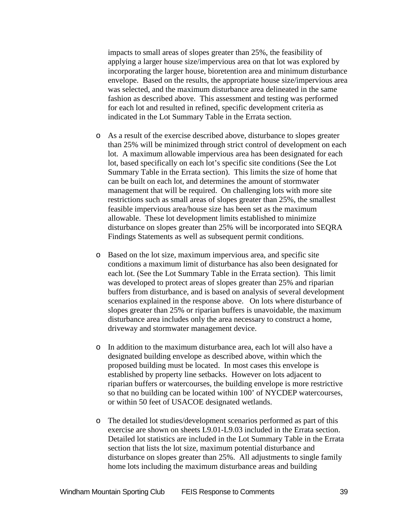impacts to small areas of slopes greater than 25%, the feasibility of applying a larger house size/impervious area on that lot was explored by incorporating the larger house, bioretention area and minimum disturbance envelope. Based on the results, the appropriate house size/impervious area was selected, and the maximum disturbance area delineated in the same fashion as described above. This assessment and testing was performed for each lot and resulted in refined, specific development criteria as indicated in the Lot Summary Table in the Errata section.

- o As a result of the exercise described above, disturbance to slopes greater than 25% will be minimized through strict control of development on each lot. A maximum allowable impervious area has been designated for each lot, based specifically on each lot's specific site conditions (See the Lot Summary Table in the Errata section). This limits the size of home that can be built on each lot, and determines the amount of stormwater management that will be required. On challenging lots with more site restrictions such as small areas of slopes greater than 25%, the smallest feasible impervious area/house size has been set as the maximum allowable. These lot development limits established to minimize disturbance on slopes greater than 25% will be incorporated into SEQRA Findings Statements as well as subsequent permit conditions.
- o Based on the lot size, maximum impervious area, and specific site conditions a maximum limit of disturbance has also been designated for each lot. (See the Lot Summary Table in the Errata section). This limit was developed to protect areas of slopes greater than 25% and riparian buffers from disturbance, and is based on analysis of several development scenarios explained in the response above. On lots where disturbance of slopes greater than 25% or riparian buffers is unavoidable, the maximum disturbance area includes only the area necessary to construct a home, driveway and stormwater management device.
- o In addition to the maximum disturbance area, each lot will also have a designated building envelope as described above, within which the proposed building must be located. In most cases this envelope is established by property line setbacks. However on lots adjacent to riparian buffers or watercourses, the building envelope is more restrictive so that no building can be located within 100' of NYCDEP watercourses, or within 50 feet of USACOE designated wetlands.
- o The detailed lot studies/development scenarios performed as part of this exercise are shown on sheets L9.01-L9.03 included in the Errata section. Detailed lot statistics are included in the Lot Summary Table in the Errata section that lists the lot size, maximum potential disturbance and disturbance on slopes greater than 25%. All adjustments to single family home lots including the maximum disturbance areas and building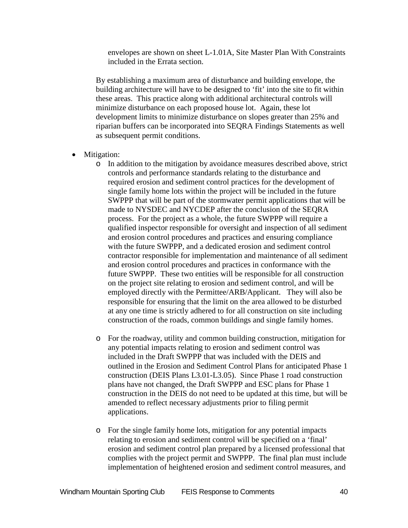envelopes are shown on sheet L-1.01A, Site Master Plan With Constraints included in the Errata section.

By establishing a maximum area of disturbance and building envelope, the building architecture will have to be designed to 'fit' into the site to fit within these areas. This practice along with additional architectural controls will minimize disturbance on each proposed house lot. Again, these lot development limits to minimize disturbance on slopes greater than 25% and riparian buffers can be incorporated into SEQRA Findings Statements as well as subsequent permit conditions.

- Mitigation:
	- o In addition to the mitigation by avoidance measures described above, strict controls and performance standards relating to the disturbance and required erosion and sediment control practices for the development of single family home lots within the project will be included in the future SWPPP that will be part of the stormwater permit applications that will be made to NYSDEC and NYCDEP after the conclusion of the SEQRA process. For the project as a whole, the future SWPPP will require a qualified inspector responsible for oversight and inspection of all sediment and erosion control procedures and practices and ensuring compliance with the future SWPPP, and a dedicated erosion and sediment control contractor responsible for implementation and maintenance of all sediment and erosion control procedures and practices in conformance with the future SWPPP. These two entities will be responsible for all construction on the project site relating to erosion and sediment control, and will be employed directly with the Permittee/ARB/Applicant. They will also be responsible for ensuring that the limit on the area allowed to be disturbed at any one time is strictly adhered to for all construction on site including construction of the roads, common buildings and single family homes.
	- o For the roadway, utility and common building construction, mitigation for any potential impacts relating to erosion and sediment control was included in the Draft SWPPP that was included with the DEIS and outlined in the Erosion and Sediment Control Plans for anticipated Phase 1 construction (DEIS Plans L3.01-L3.05). Since Phase 1 road construction plans have not changed, the Draft SWPPP and ESC plans for Phase 1 construction in the DEIS do not need to be updated at this time, but will be amended to reflect necessary adjustments prior to filing permit applications.
	- o For the single family home lots, mitigation for any potential impacts relating to erosion and sediment control will be specified on a 'final' erosion and sediment control plan prepared by a licensed professional that complies with the project permit and SWPPP. The final plan must include implementation of heightened erosion and sediment control measures, and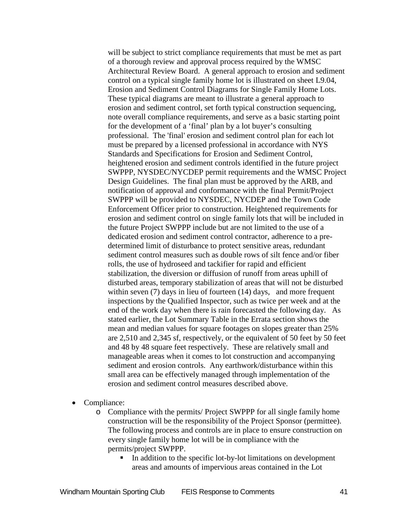will be subject to strict compliance requirements that must be met as part of a thorough review and approval process required by the WMSC Architectural Review Board. A general approach to erosion and sediment control on a typical single family home lot is illustrated on sheet L9.04, Erosion and Sediment Control Diagrams for Single Family Home Lots. These typical diagrams are meant to illustrate a general approach to erosion and sediment control, set forth typical construction sequencing, note overall compliance requirements, and serve as a basic starting point for the development of a 'final' plan by a lot buyer's consulting professional. The 'final' erosion and sediment control plan for each lot must be prepared by a licensed professional in accordance with NYS Standards and Specifications for Erosion and Sediment Control, heightened erosion and sediment controls identified in the future project SWPPP, NYSDEC/NYCDEP permit requirements and the WMSC Project Design Guidelines. The final plan must be approved by the ARB, and notification of approval and conformance with the final Permit/Project SWPPP will be provided to NYSDEC, NYCDEP and the Town Code Enforcement Officer prior to construction. Heightened requirements for erosion and sediment control on single family lots that will be included in the future Project SWPPP include but are not limited to the use of a dedicated erosion and sediment control contractor, adherence to a predetermined limit of disturbance to protect sensitive areas, redundant sediment control measures such as double rows of silt fence and/or fiber rolls, the use of hydroseed and tackifier for rapid and efficient stabilization, the diversion or diffusion of runoff from areas uphill of disturbed areas, temporary stabilization of areas that will not be disturbed within seven (7) days in lieu of fourteen (14) days, and more frequent inspections by the Qualified Inspector, such as twice per week and at the end of the work day when there is rain forecasted the following day. As stated earlier, the Lot Summary Table in the Errata section shows the mean and median values for square footages on slopes greater than 25% are 2,510 and 2,345 sf, respectively, or the equivalent of 50 feet by 50 feet and 48 by 48 square feet respectively. These are relatively small and manageable areas when it comes to lot construction and accompanying sediment and erosion controls. Any earthwork/disturbance within this small area can be effectively managed through implementation of the erosion and sediment control measures described above.

Compliance:

o Compliance with the permits/ Project SWPPP for all single family home construction will be the responsibility of the Project Sponsor (permittee). The following process and controls are in place to ensure construction on every single family home lot will be in compliance with the permits/project SWPPP.

In addition to the specific lot-by-lot limitations on development areas and amounts of impervious areas contained in the Lot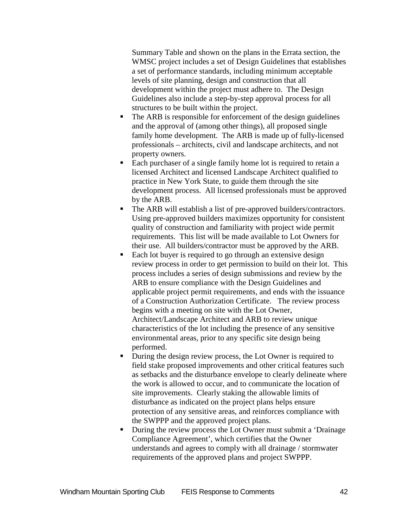Summary Table and shown on the plans in the Errata section, the WMSC project includes a set of Design Guidelines that establishes a set of performance standards, including minimum acceptable levels of site planning, design and construction that all development within the project must adhere to. The Design Guidelines also include a step-by-step approval process for all structures to be built within the project.

- The ARB is responsible for enforcement of the design guidelines and the approval of (among other things), all proposed single family home development. The ARB is made up of fully-licensed professionals – architects, civil and landscape architects, and not property owners.
- Each purchaser of a single family home lot is required to retain a licensed Architect and licensed Landscape Architect qualified to practice in New York State, to guide them through the site development process. All licensed professionals must be approved by the ARB.
- The ARB will establish a list of pre-approved builders/contractors. Using pre-approved builders maximizes opportunity for consistent quality of construction and familiarity with project wide permit requirements. This list will be made available to Lot Owners for their use. All builders/contractor must be approved by the ARB.
- Each lot buyer is required to go through an extensive design review process in order to get permission to build on their lot. This process includes a series of design submissions and review by the ARB to ensure compliance with the Design Guidelines and applicable project permit requirements, and ends with the issuance of a Construction Authorization Certificate. The review process begins with a meeting on site with the Lot Owner, Architect/Landscape Architect and ARB to review unique characteristics of the lot including the presence of any sensitive environmental areas, prior to any specific site design being performed.
- During the design review process, the Lot Owner is required to field stake proposed improvements and other critical features such as setbacks and the disturbance envelope to clearly delineate where the work is allowed to occur, and to communicate the location of site improvements. Clearly staking the allowable limits of disturbance as indicated on the project plans helps ensure protection of any sensitive areas, and reinforces compliance with the SWPPP and the approved project plans.
- During the review process the Lot Owner must submit a 'Drainage Compliance Agreement', which certifies that the Owner understands and agrees to comply with all drainage / stormwater requirements of the approved plans and project SWPPP.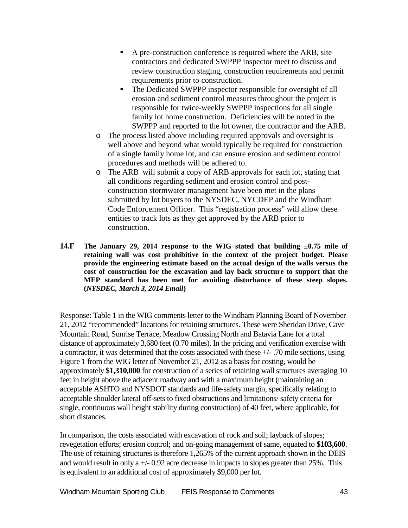- A pre-construction conference is required where the ARB, site contractors and dedicated SWPPP inspector meet to discuss and review construction staging, construction requirements and permit requirements prior to construction.
- The Dedicated SWPPP inspector responsible for oversight of all erosion and sediment control measures throughout the project is responsible for twice-weekly SWPPP inspections for all single family lot home construction. Deficiencies will be noted in the SWPPP and reported to the lot owner, the contractor and the ARB.
- o The process listed above including required approvals and oversight is well above and beyond what would typically be required for construction of a single family home lot, and can ensure erosion and sediment control procedures and methods will be adhered to.
- o The ARB will submit a copy of ARB approvals for each lot, stating that all conditions regarding sediment and erosion control and postconstruction stormwater management have been met in the plans submitted by lot buyers to the NYSDEC, NYCDEP and the Windham Code Enforcement Officer. This "registration process" will allow these entities to track lots as they get approved by the ARB prior to construction.
- **14.F The January 29, 2014 response to the WIG stated that building ±0.75 mile of retaining wall was cost prohibitive in the context of the project budget. Please provide the engineering estimate based on the actual design of the walls versus the cost of construction for the excavation and lay back structure to support that the MEP standard has been met for avoiding disturbance of these steep slopes. (***NYSDEC, March 3, 2014 Email***)**

Response: Table 1 in the WIG comments letter to the Windham Planning Board of November 21, 2012 "recommended" locations for retaining structures. These were Sheridan Drive, Cave Mountain Road, Sunrise Terrace, Meadow Crossing North and Batavia Lane for a total distance of approximately 3,680 feet (0.70 miles). In the pricing and verification exercise with a contractor, it was determined that the costs associated with these +/- .70 mile sections, using Figure 1 from the WIG letter of November 21, 2012 as a basis for costing, would be approximately **\$1,310,000** for construction of a series of retaining wall structures averaging 10 feet in height above the adjacent roadway and with a maximum height (maintaining an acceptable ASHTO and NYSDOT standards and life-safety margin, specifically relating to acceptable shoulder lateral off-sets to fixed obstructions and limitations/ safety criteria for single, continuous wall height stability during construction) of 40 feet, where applicable, for short distances.

In comparison, the costs associated with excavation of rock and soil; layback of slopes; revegetation efforts; erosion control; and on-going management of same, equated to **\$103,600**. The use of retaining structures is therefore 1,265% of the current approach shown in the DEIS and would result in only a  $+/- 0.92$  acre decrease in impacts to slopes greater than 25%. This is equivalent to an additional cost of approximately \$9,000 per lot.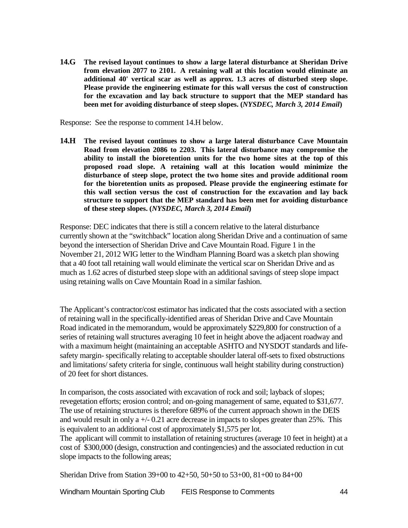**14.G The revised layout continues to show a large lateral disturbance at Sheridan Drive from elevation 2077 to 2101. A retaining wall at this location would eliminate an additional 40' vertical scar as well as approx. 1.3 acres of disturbed steep slope. Please provide the engineering estimate for this wall versus the cost of construction for the excavation and lay back structure to support that the MEP standard has been met for avoiding disturbance of steep slopes. (***NYSDEC, March 3, 2014 Email***)**

Response: See the response to comment 14.H below.

**14.H The revised layout continues to show a large lateral disturbance Cave Mountain Road from elevation 2086 to 2203. This lateral disturbance may compromise the ability to install the bioretention units for the two home sites at the top of this proposed road slope. A retaining wall at this location would minimize the disturbance of steep slope, protect the two home sites and provide additional room for the bioretention units as proposed. Please provide the engineering estimate for this wall section versus the cost of construction for the excavation and lay back structure to support that the MEP standard has been met for avoiding disturbance of these steep slopes. (***NYSDEC, March 3, 2014 Email***)**

Response: DEC indicates that there is still a concern relative to the lateral disturbance currently shown at the "switchback" location along Sheridan Drive and a continuation of same beyond the intersection of Sheridan Drive and Cave Mountain Road. Figure 1 in the November 21, 2012 WIG letter to the Windham Planning Board was a sketch plan showing that a 40 foot tall retaining wall would eliminate the vertical scar on Sheridan Drive and as much as 1.62 acres of disturbed steep slope with an additional savings of steep slope impact using retaining walls on Cave Mountain Road in a similar fashion.

The Applicant's contractor/cost estimator has indicated that the costs associated with a section of retaining wall in the specifically-identified areas of Sheridan Drive and Cave Mountain Road indicated in the memorandum, would be approximately \$229,800 for construction of a series of retaining wall structures averaging 10 feet in height above the adjacent roadway and with a maximum height (maintaining an acceptable ASHTO and NYSDOT standards and lifesafety margin- specifically relating to acceptable shoulder lateral off-sets to fixed obstructions and limitations/ safety criteria for single, continuous wall height stability during construction) of 20 feet for short distances.

In comparison, the costs associated with excavation of rock and soil; layback of slopes; revegetation efforts; erosion control; and on-going management of same, equated to \$31,677. The use of retaining structures is therefore 689% of the current approach shown in the DEIS and would result in only a +/- 0.21 acre decrease in impacts to slopes greater than 25%. This is equivalent to an additional cost of approximately \$1,575 per lot.

The applicant will commit to installation of retaining structures (average 10 feet in height) at a cost of \$300,000 (design, construction and contingencies) and the associated reduction in cut slope impacts to the following areas;

Sheridan Drive from Station 39+00 to 42+50, 50+50 to 53+00, 81+00 to 84+00

Windham Mountain Sporting Club FEIS Response to Comments 44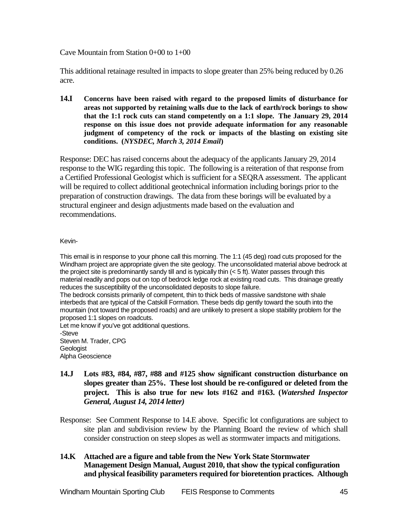#### Cave Mountain from Station 0+00 to 1+00

This additional retainage resulted in impacts to slope greater than 25% being reduced by 0.26 acre.

**14.I Concerns have been raised with regard to the proposed limits of disturbance for areas not supported by retaining walls due to the lack of earth/rock borings to show that the 1:1 rock cuts can stand competently on a 1:1 slope. The January 29, 2014 response on this issue does not provide adequate information for any reasonable judgment of competency of the rock or impacts of the blasting on existing site conditions. (***NYSDEC, March 3, 2014 Email***)**

Response: DEC has raised concerns about the adequacy of the applicants January 29, 2014 response to the WIG regarding this topic. The following is a reiteration of that response from a Certified Professional Geologist which is sufficient for a SEQRA assessment. The applicant will be required to collect additional geotechnical information including borings prior to the preparation of construction drawings. The data from these borings will be evaluated by a structural engineer and design adjustments made based on the evaluation and recommendations.

#### Kevin-

This email is in response to your phone call this morning. The 1:1 (45 deg) road cuts proposed for the Windham project are appropriate given the site geology. The unconsolidated material above bedrock at the project site is predominantly sandy till and is typically thin  $(< 5 \text{ ft})$ . Water passes through this material readily and pops out on top of bedrock ledge rock at existing road cuts. This drainage greatly reduces the susceptibility of the unconsolidated deposits to slope failure.

The bedrock consists primarily of competent, thin to thick beds of massive sandstone with shale interbeds that are typical of the Catskill Formation. These beds dip gently toward the south into the mountain (not toward the proposed roads) and are unlikely to present a slope stability problem for the proposed 1:1 slopes on roadcuts.

Let me know if you've got additional questions. -Steve Steven M. Trader, CPG **Geologist** Alpha Geoscience

- **14.J Lots #83, #84, #87, #88 and #125 show significant construction disturbance on slopes greater than 25%. These lost should be re-configured or deleted from the project. This is also true for new lots #162 and #163. (***Watershed Inspector General, August 14, 2014 letter)*
- Response: See Comment Response to 14.E above. Specific lot configurations are subject to site plan and subdivision review by the Planning Board the review of which shall consider construction on steep slopes as well as stormwater impacts and mitigations.

#### **14.K Attached are a figure and table from the New York State Stormwater Management Design Manual, August 2010, that show the typical configuration and physical feasibility parameters required for bioretention practices. Although**

Windham Mountain Sporting Club FEIS Response to Comments 45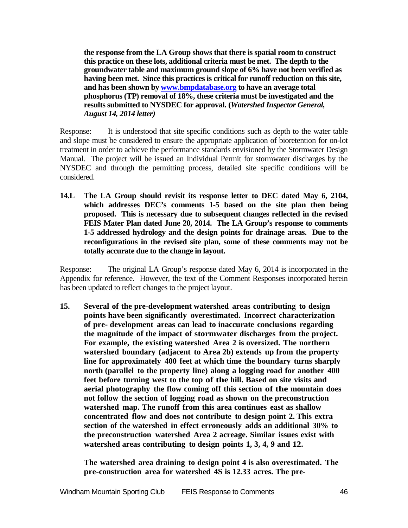**the response from the LA Group shows that there is spatial room to construct this practice on these lots, additional criteria must be met. The depth to the groundwater table and maximum ground slope of 6% have not been verified as having been met. Since this practices is critical for runoff reduction on this site, and has been shown b[y www.bmpdatabase.org](http://www.bmpdatabase.org/) to have an average total phosphorus (TP) removal of 18%, these criteria must be investigated and the results submitted to NYSDEC for approval. (***Watershed Inspector General, August 14, 2014 letter)*

Response: It is understood that site specific conditions such as depth to the water table and slope must be considered to ensure the appropriate application of bioretention for on-lot treatment in order to achieve the performance standards envisioned by the Stormwater Design Manual. The project will be issued an Individual Permit for stormwater discharges by the NYSDEC and through the permitting process, detailed site specific conditions will be considered.

**14.L The LA Group should revisit its response letter to DEC dated May 6, 2104, which addresses DEC's comments 1-5 based on the site plan then being proposed. This is necessary due to subsequent changes reflected in the revised FEIS Mater Plan dated June 20, 2014. The LA Group's response to comments 1-5 addressed hydrology and the design points for drainage areas. Due to the reconfigurations in the revised site plan, some of these comments may not be totally accurate due to the change in layout.**

Response: The original LA Group's response dated May 6, 2014 is incorporated in the Appendix for reference. However, the text of the Comment Responses incorporated herein has been updated to reflect changes to the project layout.

**15. Several of the pre-development watershed areas contributing to design points have been significantly overestimated. Incorrect characterization of pre- development areas can lead to inaccurate conclusions regarding the magnitude of the impact of stormwater discharges from the project. For example, the existing watershed Area 2 is oversized. The northern watershed boundary (adjacent to Area 2b) extends up from the property line for approximately 400 feet at which time the boundary turns sharply north (parallel to the property line) along a logging road for another 400 feet before turning west to the top of the hill. Based on site visits and aerial photography the flow coming off this section of the mountain does not follow the section of logging road as shown on the preconstruction watershed map. The runoff from this area continues east as shallow concentrated flow and does not contribute to design point 2. This extra section of the watershed in effect erroneously adds an additional 30% to the preconstruction watershed Area 2 acreage. Similar issues exist with watershed areas contributing to design points 1, 3, 4, 9 and 12.**

**The watershed area draining to design point 4 is also overestimated. The pre-construction area for watershed 4S is 12.33 acres. The pre-**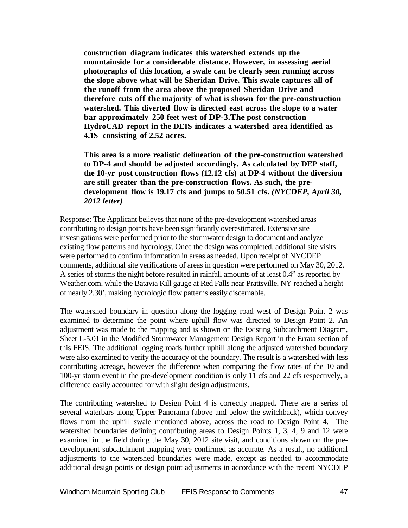**construction diagram indicates this watershed extends up the mountainside for a considerable distance. However, in assessing aerial photographs of this location, a swale can be clearly seen running across the slope above what will be Sheridan Drive. This swale captures all of the runoff from the area above the proposed Sheridan Drive and therefore cuts off the majority of what is shown for the pre-construction watershed. This diverted flow is directed east across the slope to a water bar approximately 250 feet west of DP-3.The post construction HydroCAD report in the DEIS indicates a watershed area identified as 4.1S consisting of 2.52 acres.**

**This area is a more realistic delineation of the pre-construction watershed to DP-4 and should be adjusted accordingly. As calculated by DEP staff, the 10-yr post construction flows (12.12 cfs) at DP-4 without the diversion are still greater than the pre-construction flows. As such, the predevelopment flow is 19.17 cfs and jumps to 50.51 cfs.** *(NYCDEP, April 30, 2012 letter)*

Response: The Applicant believes that none of the pre-development watershed areas contributing to design points have been significantly overestimated. Extensive site investigations were performed prior to the stormwater design to document and analyze existing flow patterns and hydrology. Once the design was completed, additional site visits were performed to confirm information in areas as needed. Upon receipt of NYCDEP comments, additional site verifications of areas in question were performed on May 30, 2012. A series of storms the night before resulted in rainfall amounts of at least 0.4" as reported by Weather.com, while the Batavia Kill gauge at Red Falls near Prattsville, NY reached a height of nearly 2.30', making hydrologic flow patterns easily discernable.

The watershed boundary in question along the logging road west of Design Point 2 was examined to determine the point where uphill flow was directed to Design Point 2. An adjustment was made to the mapping and is shown on the Existing Subcatchment Diagram, Sheet L-5.01 in the Modified Stormwater Management Design Report in the Errata section of this FEIS. The additional logging roads further uphill along the adjusted watershed boundary were also examined to verify the accuracy of the boundary. The result is a watershed with less contributing acreage, however the difference when comparing the flow rates of the 10 and 100-yr storm event in the pre-development condition is only 11 cfs and 22 cfs respectively, a difference easily accounted for with slight design adjustments.

The contributing watershed to Design Point 4 is correctly mapped. There are a series of several waterbars along Upper Panorama (above and below the switchback), which convey flows from the uphill swale mentioned above, across the road to Design Point 4. The watershed boundaries defining contributing areas to Design Points 1, 3, 4, 9 and 12 were examined in the field during the May 30, 2012 site visit, and conditions shown on the predevelopment subcatchment mapping were confirmed as accurate. As a result, no additional adjustments to the watershed boundaries were made, except as needed to accommodate additional design points or design point adjustments in accordance with the recent NYCDEP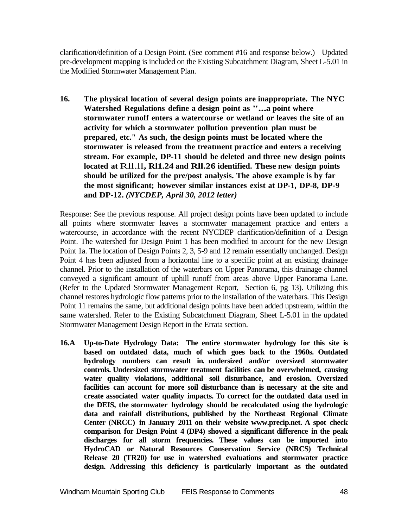clarification/definition of a Design Point. (See comment #16 and response below.) Updated pre-development mapping is included on the Existing Subcatchment Diagram, Sheet L-5.01 in the Modified Stormwater Management Plan.

**16. The physical location of several design points are inappropriate. The NYC Watershed Regulations define <sup>a</sup> design point as "...a point where stormwater runoff enters a watercourse or wetland or leaves the site of an activity for which a stormwater pollution prevention plan must be prepared, etc." As such, the design points must be located where the stormwater is released from the treatment practice and enters a receiving stream. For example, DP-11 should be deleted and three new design points located at** Rll.ll**, Rl1.24 and Rll.26 identified. These new design points should be utilized for the pre/post analysis. The above example is by far the most significant; however similar instances exist at DP-1, DP-8, DP-9 and DP-12.** *(NYCDEP, April 30, 2012 letter)*

Response: See the previous response. All project design points have been updated to include all points where stormwater leaves a stormwater management practice and enters a watercourse, in accordance with the recent NYCDEP clarification/definition of a Design Point. The watershed for Design Point 1 has been modified to account for the new Design Point 1a. The location of Design Points 2, 3, 5-9 and 12 remain essentially unchanged. Design Point 4 has been adjusted from a horizontal line to a specific point at an existing drainage channel. Prior to the installation of the waterbars on Upper Panorama, this drainage channel conveyed a significant amount of uphill runoff from areas above Upper Panorama Lane. (Refer to the Updated Stormwater Management Report, Section 6, pg 13). Utilizing this channel restores hydrologic flow patterns prior to the installation of the waterbars. This Design Point 11 remains the same, but additional design points have been added upstream, within the same watershed. Refer to the Existing Subcatchment Diagram, Sheet L-5.01 in the updated Stormwater Management Design Report in the Errata section.

**16.A Up-to-Date Hydrology Data: The entire stormwater hydrology for this site is based on outdated data, much of which goes back to the 1960s. Outdated hydrology numbers can result in. undersized and/or oversized stormwater controls. Undersized stormwater treatment facilities can be overwhelmed, causing water quality violations, additional soil disturbance, and erosion. Oversized facilities can account for more soil disturbance than is necessary at the site and create associated water quality impacts. To correct for the outdated data used in the DEIS, the stormwater hydrology should be recalculated using the hydrologic data and rainfall distributions, published by the Northeast Regional Climate Center (NRCC) in January 2011 on their website [www.precip.net. A](http://www.precip.net/) spot check comparison for Design Point 4 (DP4) showed a significant difference in the peak discharges for all storm frequencies. These values can be imported into HydroCAD or Natural Resources Conservation Service (NRCS) Technical Release 20 (TR20) for use in watershed evaluations and stormwater practice design. Addressing this deficiency is particularly important as the outdated**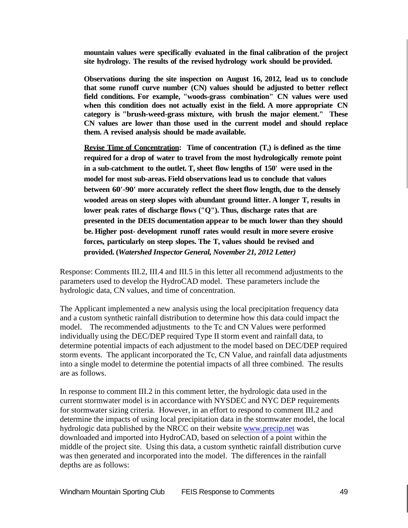**mountain values were specifically evaluated in the final calibration of the project site hydrology. The results of the revised hydrology work should be provided.**

**Observations during the site inspection on August 16, 2012, lead us to conclude that some runoff curve number (CN) values should be adjusted to better reflect field conditions. For example, "woods-grass combination" CN values were used when this condition does not actually exist in the field. A more appropriate CN category is "brush-weed-grass mixture, with brush the major element." These CN values are lower than those used in the current model and should replace them. A revised analysis should be made available.**

**Revise Time of Concentration: Time of concentration (T,) is defined as the time required for a drop of water to travel from the most hydrologically remote point in a sub-catchment to the outlet. T, sheet flow lengths of 150' were used in the model for most sub-areas. Field observations lead us to conclude that values between 60'-90' more accurately reflect the sheet flow length, due to the densely wooded areas on steep slopes with abundant ground litter. A longer T, results in lower peak rates of discharge flows ("Q"). Thus, discharge rates that are presented in the DEIS documentation appear to be much lower than they should be. Higher post- development runoff rates would result in more severe erosive forces, particularly on steep slopes. The T, values should be revised and provided. (***Watershed Inspector General, November 21, 2012 Letter)*

Response: Comments III.2, III.4 and III.5 in this letter all recommend adjustments to the parameters used to develop the HydroCAD model. These parameters include the hydrologic data, CN values, and time of concentration.

The Applicant implemented a new analysis using the local precipitation frequency data and a custom synthetic rainfall distribution to determine how this data could impact the model. The recommended adjustments to the Tc and CN Values were performed individually using the DEC/DEP required Type II storm event and rainfall data, to determine potential impacts of each adjustment to the model based on DEC/DEP required storm events. The applicant incorporated the Tc, CN Value, and rainfall data adjustments into a single model to determine the potential impacts of all three combined. The results are as follows.

In response to comment III.2 in this comment letter, the hydrologic data used in the current stormwater model is in accordance with NYSDEC and NYC DEP requirements for stormwater sizing criteria. However, in an effort to respond to comment III.2 and determine the impacts of using local precipitation data in the stormwater model, the local hydrologic data published by the NRCC on their website [www.precip.net](http://www.precip.net/) was downloaded and imported into HydroCAD, based on selection of a point within the middle of the project site. Using this data, a custom synthetic rainfall distribution curve was then generated and incorporated into the model. The differences in the rainfall depths are as follows: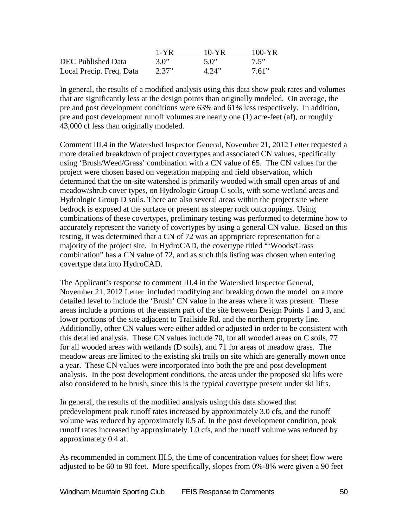|                          | 1-YR  | $10-YR$ | $100-YR$ |
|--------------------------|-------|---------|----------|
| DEC Published Data       | 3.0"  | 5.0"    | 7.5"     |
| Local Precip. Freq. Data | 2.37" | 4.24"   | 7.61"    |

In general, the results of a modified analysis using this data show peak rates and volumes that are significantly less at the design points than originally modeled. On average, the pre and post development conditions were 63% and 61% less respectively. In addition, pre and post development runoff volumes are nearly one (1) acre-feet (af), or roughly 43,000 cf less than originally modeled.

Comment III.4 in the Watershed Inspector General, November 21, 2012 Letter requested a more detailed breakdown of project covertypes and associated CN values, specifically using 'Brush/Weed/Grass' combination with a CN value of 65. The CN values for the project were chosen based on vegetation mapping and field observation, which determined that the on-site watershed is primarily wooded with small open areas of and meadow/shrub cover types, on Hydrologic Group C soils, with some wetland areas and Hydrologic Group D soils. There are also several areas within the project site where bedrock is exposed at the surface or present as steeper rock outcroppings. Using combinations of these covertypes, preliminary testing was performed to determine how to accurately represent the variety of covertypes by using a general CN value. Based on this testing, it was determined that a CN of 72 was an appropriate representation for a majority of the project site. In HydroCAD, the covertype titled "'Woods/Grass combination" has a CN value of 72, and as such this listing was chosen when entering covertype data into HydroCAD.

The Applicant's response to comment III.4 in the Watershed Inspector General, November 21, 2012 Letter included modifying and breaking down the model on a more detailed level to include the 'Brush' CN value in the areas where it was present. These areas include a portions of the eastern part of the site between Design Points 1 and 3, and lower portions of the site adjacent to Trailside Rd. and the northern property line. Additionally, other CN values were either added or adjusted in order to be consistent with this detailed analysis. These CN values include 70, for all wooded areas on C soils, 77 for all wooded areas with wetlands (D soils), and 71 for areas of meadow grass. The meadow areas are limited to the existing ski trails on site which are generally mown once a year. These CN values were incorporated into both the pre and post development analysis. In the post development conditions, the areas under the proposed ski lifts were also considered to be brush, since this is the typical covertype present under ski lifts.

In general, the results of the modified analysis using this data showed that predevelopment peak runoff rates increased by approximately 3.0 cfs, and the runoff volume was reduced by approximately 0.5 af. In the post development condition, peak runoff rates increased by approximately 1.0 cfs, and the runoff volume was reduced by approximately 0.4 af.

As recommended in comment III.5, the time of concentration values for sheet flow were adjusted to be 60 to 90 feet. More specifically, slopes from 0%-8% were given a 90 feet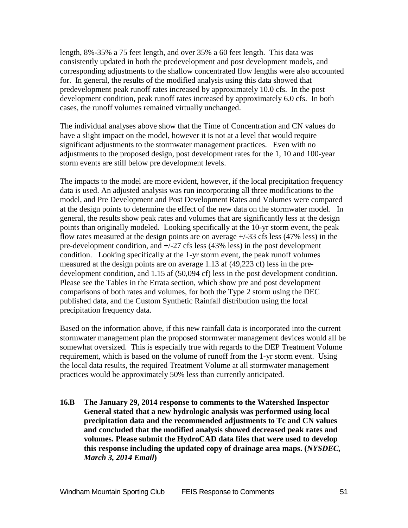length, 8%-35% a 75 feet length, and over 35% a 60 feet length. This data was consistently updated in both the predevelopment and post development models, and corresponding adjustments to the shallow concentrated flow lengths were also accounted for. In general, the results of the modified analysis using this data showed that predevelopment peak runoff rates increased by approximately 10.0 cfs. In the post development condition, peak runoff rates increased by approximately 6.0 cfs. In both cases, the runoff volumes remained virtually unchanged.

The individual analyses above show that the Time of Concentration and CN values do have a slight impact on the model, however it is not at a level that would require significant adjustments to the stormwater management practices. Even with no adjustments to the proposed design, post development rates for the 1, 10 and 100-year storm events are still below pre development levels.

The impacts to the model are more evident, however, if the local precipitation frequency data is used. An adjusted analysis was run incorporating all three modifications to the model, and Pre Development and Post Development Rates and Volumes were compared at the design points to determine the effect of the new data on the stormwater model. In general, the results show peak rates and volumes that are significantly less at the design points than originally modeled. Looking specifically at the 10-yr storm event, the peak flow rates measured at the design points are on average  $+/-33$  cfs less (47% less) in the pre-development condition, and +/-27 cfs less (43% less) in the post development condition. Looking specifically at the 1-yr storm event, the peak runoff volumes measured at the design points are on average 1.13 af (49,223 cf) less in the predevelopment condition, and 1.15 af (50,094 cf) less in the post development condition. Please see the Tables in the Errata section, which show pre and post development comparisons of both rates and volumes, for both the Type 2 storm using the DEC published data, and the Custom Synthetic Rainfall distribution using the local precipitation frequency data.

Based on the information above, if this new rainfall data is incorporated into the current stormwater management plan the proposed stormwater management devices would all be somewhat oversized. This is especially true with regards to the DEP Treatment Volume requirement, which is based on the volume of runoff from the 1-yr storm event. Using the local data results, the required Treatment Volume at all stormwater management practices would be approximately 50% less than currently anticipated.

**16.B The January 29, 2014 response to comments to the Watershed Inspector General stated that a new hydrologic analysis was performed using local precipitation data and the recommended adjustments to Tc and CN values and concluded that the modified analysis showed decreased peak rates and volumes. Please submit the HydroCAD data files that were used to develop this response including the updated copy of drainage area maps. (***NYSDEC, March 3, 2014 Email***)**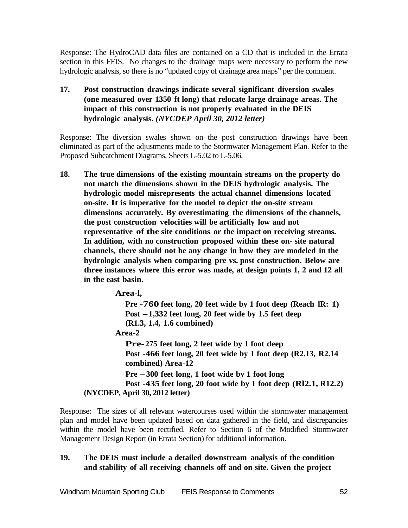Response: The HydroCAD data files are contained on a CD that is included in the Errata section in this FEIS. No changes to the drainage maps were necessary to perform the new hydrologic analysis, so there is no "updated copy of drainage area maps" per the comment.

**17. Post construction drawings indicate several significant diversion swales (one measured over 1350 ft long) that relocate large drainage areas. The impact of this construction is not properly evaluated in the DEIS hydrologic analysis.** *(NYCDEP April 30, 2012 letter)*

Response: The diversion swales shown on the post construction drawings have been eliminated as part of the adjustments made to the Stormwater Management Plan. Refer to the Proposed Subcatchment Diagrams, Sheets L-5.02 to L-5.06.

**18. The true dimensions of the existing mountain streams on the property do not match the dimensions shown in the DEIS hydrologic analysis. The hydrologic model misrepresents the actual channel dimensions located on-site. It is imperative for the model to depict the on-site stream dimensions accurately. By overestimating the dimensions of the channels, the post construction velocities will be artificially low and not representative of the site conditions or the impact on receiving streams. In addition, with no construction proposed within these on- site natural channels, there should not be any change in how they are modeled in the hydrologic analysis when comparing pre vs. post construction. Below are three instances where this error was made, at design points 1, 2 and 12 all in the east basin.**

```
Area-l,
           Pre -760 feet long, 20 feet wide by 1 foot deep (Reach lR: 1)
           Post -1,332 feet long, 20 feet wide by 1.5 feet deep
           (R1.3, 1.4, 1.6 combined)
         Area-2
           Pre-275 feet long, 2 feet wide by 1 foot deep
           Post -466 feet long, 20 feet wide by 1 foot deep (R2.13, R2.14
           combined) Area-12
           Pre -300 feet long, 1 foot wide by 1 foot long
           Post -435 feet long, 20 foot wide by 1 foot deep (Rl2.1, R12.2)
(NYCDEP, April 30, 2012 letter)
```
Response: The sizes of all relevant watercourses used within the stormwater management plan and model have been updated based on data gathered in the field, and discrepancies within the model have been rectified. Refer to Section 6 of the Modified Stormwater Management Design Report (in Errata Section) for additional information.

# **19. The DEIS must include a detailed downstream analysis of the condition and stability of all receiving channels off and on site. Given the project**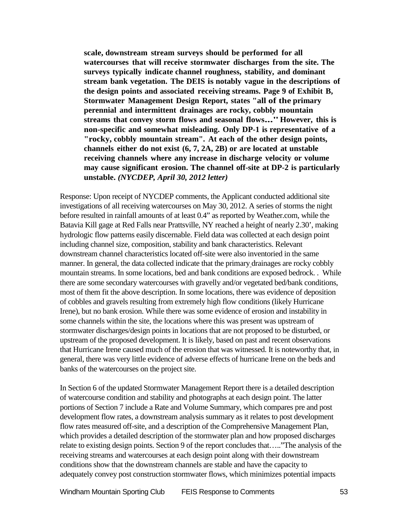**scale, downstream stream surveys should be performed for all watercourses that will receive stormwater discharges from the site. The surveys typically indicate channel roughness, stability, and dominant stream bank vegetation. The DEIS is notably vague in the descriptions of the design points and associated receiving streams. Page 9 of Exhibit B, Stormwater Management Design Report, states "all of the primary perennial and intermittent drainages are rocky, cobbly mountain streams that convey storm flows and seasonal flows..."However, this is non-specific and somewhat misleading. Only DP-1 is representative of a "rocky, cobbly mountain stream". At each of the other design points, channels either do not exist (6, 7, 2A, 2B) or are located at unstable receiving channels where any increase in discharge velocity or volume may cause significant erosion. The channel off-site at DP-2 is particularly unstable.** *(NYCDEP, April 30, 2012 letter)*

Response: Upon receipt of NYCDEP comments, the Applicant conducted additional site investigations of all receiving watercourses on May 30, 2012. A series of storms the night before resulted in rainfall amounts of at least 0.4" as reported by Weather.com, while the Batavia Kill gage at Red Falls near Prattsville, NY reached a height of nearly 2.30', making hydrologic flow patterns easily discernable. Field data was collected at each design point including channel size, composition, stability and bank characteristics. Relevant downstream channel characteristics located off-site were also inventoried in the same manner. In general, the data collected indicate that the primary drainages are rocky cobbly mountain streams. In some locations, bed and bank conditions are exposed bedrock. . While there are some secondary watercourses with gravelly and/or vegetated bed/bank conditions, most of them fit the above description. In some locations, there was evidence of deposition of cobbles and gravels resulting from extremely high flow conditions (likely Hurricane Irene), but no bank erosion. While there was some evidence of erosion and instability in some channels within the site, the locations where this was present was upstream of stormwater discharges/design points in locations that are not proposed to be disturbed, or upstream of the proposed development. It is likely, based on past and recent observations that Hurricane Irene caused much of the erosion that was witnessed. It is noteworthy that, in general, there was very little evidence of adverse effects of hurricane Irene on the beds and banks of the watercourses on the project site.

In Section 6 of the updated Stormwater Management Report there is a detailed description of watercourse condition and stability and photographs at each design point. The latter portions of Section 7 include a Rate and Volume Summary, which compares pre and post development flow rates, a downstream analysis summary as it relates to post development flow rates measured off-site, and a description of the Comprehensive Management Plan, which provides a detailed description of the stormwater plan and how proposed discharges relate to existing design points. Section 9 of the report concludes that….."The analysis of the receiving streams and watercourses at each design point along with their downstream conditions show that the downstream channels are stable and have the capacity to adequately convey post construction stormwater flows, which minimizes potential impacts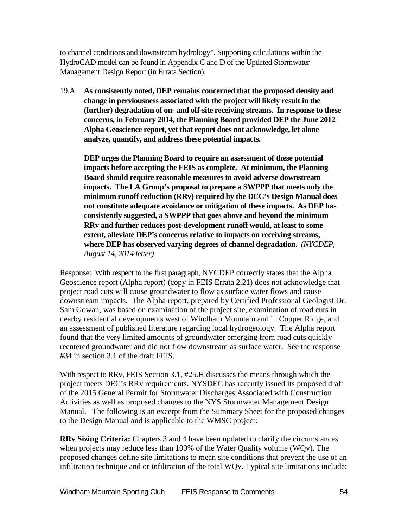to channel conditions and downstream hydrology". Supporting calculations within the HydroCAD model can be found in Appendix C and D of the Updated Stormwater Management Design Report (in Errata Section).

19.A **As consistently noted, DEP remains concerned that the proposed density and change in perviousness associated with the project will likely result in the (further) degradation of on- and off-site receiving streams. In response to these concerns, in February 2014, the Planning Board provided DEP the June 2012 Alpha Geoscience report, yet that report does not acknowledge, let alone analyze, quantify, and address these potential impacts.**

**DEP urges the Planning Board to require an assessment of these potential impacts before accepting the FEIS as complete. At minimum, the Planning Board should require reasonable measures to avoid adverse downstream impacts. The LA Group's proposal to prepare a SWPPP that meets only the minimum runoff reduction (RRv) required by the DEC's Design Manual does not constitute adequate avoidance or mitigation of these impacts. As DEP has consistently suggested, a SWPPP that goes above and beyond the minimum RRv and further reduces post-development runoff would, at least to some extent, alleviate DEP's concerns relative to impacts on receiving streams, where DEP has observed varying degrees of channel degradation.** *(NYCDEP, August 14, 2014 letter)*

Response: With respect to the first paragraph, NYCDEP correctly states that the Alpha Geoscience report (Alpha report) (copy in FEIS Errata 2.21) does not acknowledge that project road cuts will cause groundwater to flow as surface water flows and cause downstream impacts. The Alpha report, prepared by Certified Professional Geologist Dr. Sam Gowan, was based on examination of the project site, examination of road cuts in nearby residential developments west of Windham Mountain and in Copper Ridge, and an assessment of published literature regarding local hydrogeology. The Alpha report found that the very limited amounts of groundwater emerging from road cuts quickly reentered groundwater and did not flow downstream as surface water. See the response #34 in section 3.1 of the draft FEIS.

With respect to RRv, FEIS Section 3.1, #25.H discusses the means through which the project meets DEC's RRv requirements. NYSDEC has recently issued its proposed draft of the 2015 General Permit for Stormwater Discharges Associated with Construction Activities as well as proposed changes to the NYS Stormwater Management Design Manual. The following is an excerpt from the Summary Sheet for the proposed changes to the Design Manual and is applicable to the WMSC project:

**RRv Sizing Criteria:** Chapters 3 and 4 have been updated to clarify the circumstances when projects may reduce less than 100% of the Water Quality volume (WQv). The proposed changes define site limitations to mean site conditions that prevent the use of an infiltration technique and or infiltration of the total WQv. Typical site limitations include: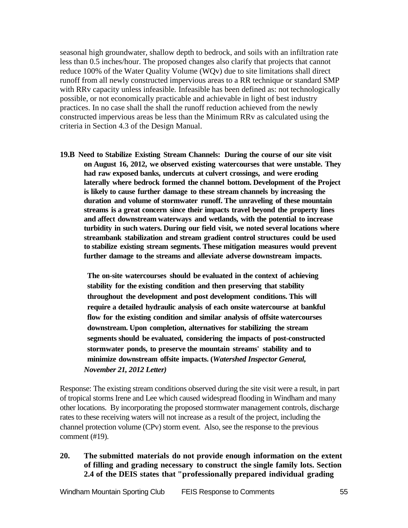seasonal high groundwater, shallow depth to bedrock, and soils with an infiltration rate less than 0.5 inches/hour. The proposed changes also clarify that projects that cannot reduce 100% of the Water Quality Volume (WQv) due to site limitations shall direct runoff from all newly constructed impervious areas to a RR technique or standard SMP with RRv capacity unless infeasible*.* Infeasible has been defined as: not technologically possible, or not economically practicable and achievable in light of best industry practices. In no case shall the shall the runoff reduction achieved from the newly constructed impervious areas be less than the Minimum RRv as calculated using the criteria in Section 4.3 of the Design Manual.

**19.B Need to Stabilize Existing Stream Channels: During the course of our site visit on August 16, 2012, we observed existing watercourses that were unstable. They had raw exposed banks, undercuts at culvert crossings, and were eroding laterally where bedrock formed the channel bottom. Development of the Project is likely to cause further damage to these stream channels by increasing the duration and volume of stormwater runoff. The unraveling of these mountain streams is a great concern since their impacts travel beyond the property lines and affect downstream waterways and wetlands, with the potential to increase turbidity in such waters. During our field visit, we noted several locations where streambank stabilization and stream gradient control structures could be used to stabilize existing stream segments. These mitigation measures would prevent further damage to the streams and alleviate adverse downstream impacts.**

**The on-site watercourses should be evaluated in the context of achieving stability for the existing condition and then preserving that stability throughout the development and post development conditions. This will require a detailed hydraulic analysis of each onsite watercourse at bankful flow for the existing condition and similar analysis of offsite watercourses downstream. Upon completion, alternatives for stabilizing the stream segments should be evaluated, considering the impacts of post-constructed stormwater ponds, to preserve the mountain streams' stability and to minimize downstream offsite impacts. (***Watershed Inspector General, November 21, 2012 Letter)*

Response: The existing stream conditions observed during the site visit were a result, in part of tropical storms Irene and Lee which caused widespread flooding in Windham and many other locations. By incorporating the proposed stormwater management controls, discharge rates to these receiving waters will not increase as a result of the project, including the channel protection volume (CPv) storm event. Also, see the response to the previous comment (#19).

**20. The submitted materials do not provide enough information on the extent of filling and grading necessary to construct the single family lots. Section 2.4 of the DEIS states that "professionally prepared individual grading**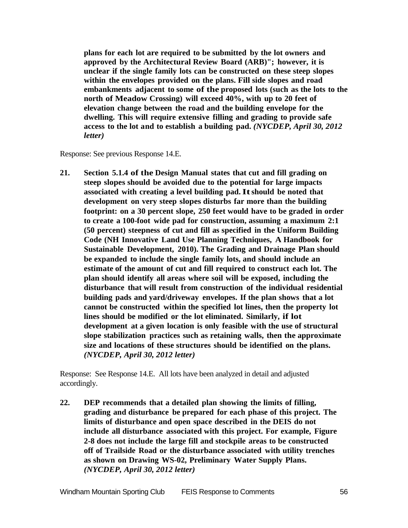**plans for each lot are required to be submitted by the lot owners and approved by the Architectural Review Board (ARB)"; however, it is unclear if the single family lots can be constructed on these steep slopes within the envelopes provided on the plans. Fill side slopes and road embankments adjacent to some of the proposed lots (such as the lots to the north of Meadow Crossing) will exceed 40%, with up to 20 feet of elevation change between the road and the building envelope for the dwelling. This will require extensive filling and grading to provide safe access to the lot and to establish a building pad.** *(NYCDEP, April 30, 2012 letter)*

Response: See previous Response 14.E.

**21. Section 5.1.4 of the Design Manual states that cut and fill grading on steep slopes should be avoided due to the potential for large impacts associated with creating a level building pad.Itshould be noted that development on very steep slopes disturbs far more than the building footprint: on a 30 percent slope, 250 feet would have to be graded in order to create a 100-foot wide pad for construction, assuming a maximum 2:1 (50 percent) steepness of cut and fill as specified in the Uniform Building Code (NH Innovative Land Use Planning Techniques, A Handbook for Sustainable Development, 2010). The Grading and Drainage Plan should be expanded to include the single family lots, and should include an estimate of the amount of cut and fill required to construct each lot. The plan should identify all areas where soil will be exposed, including the disturbance that will result from construction of the individual residential building pads and yard/driveway envelopes. If the plan shows that a lot cannot be constructed within the specified lot lines, then the property lot lines should be modified or the lot eliminated. Similarly, if lot development at a given location is only feasible with the use of structural slope stabilization practices such as retaining walls, then the approximate size and locations of these structures should be identified on the plans.**  *(NYCDEP, April 30, 2012 letter)*

Response: See Response 14.E. All lots have been analyzed in detail and adjusted accordingly.

**22. DEP recommends that a detailed plan showing the limits of filling, grading and disturbance be prepared for each phase of this project. The limits of disturbance and open space described in the DEIS do not include all disturbance associated with this project. For example, Figure 2-8 does not include the large fill and stockpile areas to be constructed off of Trailside Road or the disturbance associated with utility trenches as shown on Drawing WS-02, Preliminary Water Supply Plans.**  *(NYCDEP, April 30, 2012 letter)*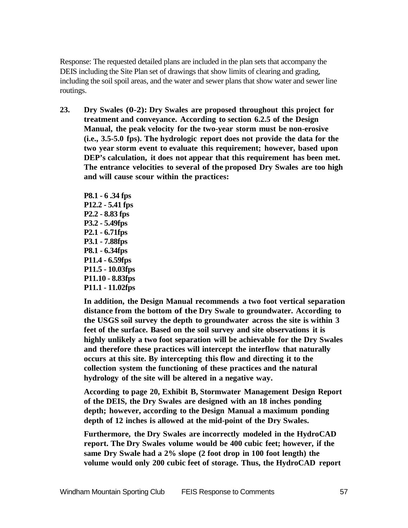Response: The requested detailed plans are included in the plan sets that accompany the DEIS including the Site Plan set of drawings that show limits of clearing and grading, including the soil spoil areas, and the water and sewer plans that show water and sewer line routings.

**23. Dry Swales (0-2): Dry Swales are proposed throughout this project for treatment and conveyance. According to section 6.2.5 of the Design Manual, the peak velocity for the two-year storm must be non-erosive (i.e., 3.5-5.0 fps). The hydrologic report does not provide the data for the two year storm event to evaluate this requirement; however, based upon DEP's calculation, it does not appear that this requirement has been met. The entrance velocities to several of the proposed Dry Swales are too high and will cause scour within the practices:**

**P8.1 - 6 .34 fps P12.2 - 5.41 fps P2.2 - 8.83 fps P3.2 - 5.49fps P2.1 - 6.71fps P3.1 - 7.88fps P8.1 - 6.34fps P11.4 - 6.59fps P11.5 - 10.03fps P11.10 - 8.83fps P11.1 - 11.02fps**

**In addition, the Design Manual recommends a two foot vertical separation distance from the bottom of the Dry Swale to groundwater. According to the USGS soil survey the depth to groundwater across the site is within 3 feet of the surface. Based on the soil survey and site observations it is highly unlikely a two foot separation will be achievable for the Dry Swales and therefore these practices will intercept the interflow that naturally occurs at this site. By intercepting this flow and directing it to the collection system the functioning of these practices and the natural hydrology of the site will be altered in a negative way.**

**According to page 20, Exhibit B, Stormwater Management Design Report of the DEIS, the Dry Swales are designed with an 18 inches ponding depth; however, according to the Design Manual a maximum ponding depth of 12 inches is allowed at the mid-point of the Dry Swales.**

**Furthermore, the Dry Swales are incorrectly modeled in the HydroCAD report. The Dry Swales volume would be 400 cubic feet; however, if the same Dry Swale had a 2% slope (2 foot drop in 100 foot length) the volume would only 200 cubic feet of storage. Thus, the HydroCAD report**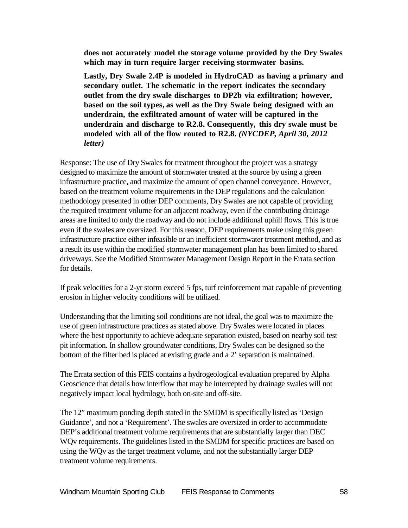**does not accurately model the storage volume provided by the Dry Swales which may in turn require larger receiving stormwater basins.**

**Lastly, Dry Swale 2.4P is modeled in HydroCAD as having a primary and secondary outlet. The schematic in the report indicates the secondary outlet from the dry swale discharges to DP2b via exfiltration; however, based on the soil types, as well as the Dry Swale being designed with an underdrain, the exfiltrated amount of water will be captured in the underdrain and discharge to R2.8. Consequently, this dry swale must be modeled with all of the flow routed to R2.8.** *(NYCDEP, April 30, 2012 letter)*

Response: The use of Dry Swales for treatment throughout the project was a strategy designed to maximize the amount of stormwater treated at the source by using a green infrastructure practice, and maximize the amount of open channel conveyance. However, based on the treatment volume requirements in the DEP regulations and the calculation methodology presented in other DEP comments, Dry Swales are not capable of providing the required treatment volume for an adjacent roadway, even if the contributing drainage areas are limited to only the roadway and do not include additional uphill flows. This is true even if the swales are oversized. For this reason, DEP requirements make using this green infrastructure practice either infeasible or an inefficient stormwater treatment method, and as a result its use within the modified stormwater management plan has been limited to shared driveways. See the Modified Stormwater Management Design Report in the Errata section for details.

If peak velocities for a 2-yr storm exceed 5 fps, turf reinforcement mat capable of preventing erosion in higher velocity conditions will be utilized.

Understanding that the limiting soil conditions are not ideal, the goal was to maximize the use of green infrastructure practices as stated above. Dry Swales were located in places where the best opportunity to achieve adequate separation existed, based on nearby soil test pit information. In shallow groundwater conditions, Dry Swales can be designed so the bottom of the filter bed is placed at existing grade and a 2' separation is maintained.

The Errata section of this FEIS contains a hydrogeological evaluation prepared by Alpha Geoscience that details how interflow that may be intercepted by drainage swales will not negatively impact local hydrology, both on-site and off-site.

The 12" maximum ponding depth stated in the SMDM is specifically listed as 'Design Guidance', and not a 'Requirement'. The swales are oversized in order to accommodate DEP's additional treatment volume requirements that are substantially larger than DEC WQv requirements. The guidelines listed in the SMDM for specific practices are based on using the WQv as the target treatment volume, and not the substantially larger DEP treatment volume requirements.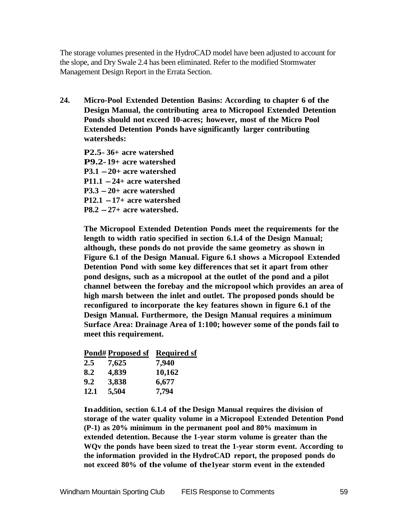The storage volumes presented in the HydroCAD model have been adjusted to account for the slope, and Dry Swale 2.4 has been eliminated. Refer to the modified Stormwater Management Design Report in the Errata Section.

**24. Micro-Pool Extended Detention Basins: According to chapter 6 of the Design Manual, the contributing area to Micropool Extended Detention Ponds should not exceed 10-acres; however, most of the Micro Pool Extended Detention Ponds have significantly larger contributing watersheds:**

**P2.5- 36+ acre watershed P9.2-19+ acre watershed P3.1 -20+ acre watershed P11.1 -24+ acre watershed P3.3 -20+ acre watershed P12.1 -17+ acre watershed P8.2 -27+ acre watershed.**

**The Micropool Extended Detention Ponds meet the requirements for the length to width ratio specified in section 6.1.4 of the Design Manual; although, these ponds do not provide the same geometry as shown in Figure 6.1 of the Design Manual. Figure 6.1 shows a Micropool Extended Detention Pond with some key differences that set it apart from other pond designs, such as a micropool at the outlet of the pond and a pilot channel between the forebay and the micropool which provides an area of high marsh between the inlet and outlet. The proposed ponds should be reconfigured to incorporate the key features shown in figure 6.1 of the Design Manual. Furthermore, the Design Manual requires a minimum Surface Area: Drainage Area of 1:100; however some of the ponds fail to meet this requirement.**

|             | Pond#Proposed sf | <b>Required sf</b> |
|-------------|------------------|--------------------|
| $2.5\,$     | 7,625            | 7,940              |
| 8.2         | 4,839            | 10,162             |
| 9.2         | 3,838            | 6,677              |
| <b>12.1</b> | 5,504            | 7,794              |

**Inaddition, section 6.1.4 of the Design Manual requires the division of storage of the water quality volume in a Micropool Extended Detention Pond (P-1) as 20% minimum in the permanent pool and 80% maximum in extended detention. Because the 1-year storm volume is greater than the WQv the ponds have been sized to treat the 1-year storm event. According to the information provided in the HydroCAD report, the proposed ponds do not exceed 80% of the volume of the1year storm event in the extended**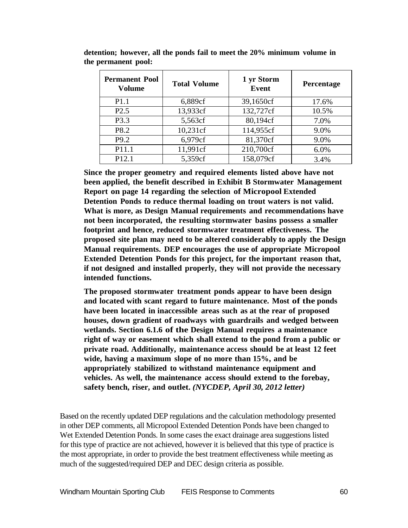| <b>Permanent Pool</b><br>Volume | <b>Total Volume</b> | 1 yr Storm<br><b>Event</b> | Percentage |
|---------------------------------|---------------------|----------------------------|------------|
| P <sub>1.1</sub>                | 6,889cf             | 39,1650cf                  | 17.6%      |
| P2.5                            | 13,933cf            | 132,727cf                  | 10.5%      |
| P3.3                            | 5,563cf             | 80,194cf                   | 7.0%       |
| P8.2                            | 10,231cf            | 114,955cf                  | 9.0%       |
| P <sub>9.2</sub>                | 6,979cf             | 81,370cf                   | 9.0%       |
| P11.1                           | 11,991cf            | 210,700cf                  | 6.0%       |
| P <sub>12.1</sub>               | 5,359cf             | 158,079cf                  | 3.4%       |

**detention; however, all the ponds fail to meet the 20% minimum volume in the permanent pool:**

**Since the proper geometry and required elements listed above have not been applied, the benefit described in Exhibit B Stormwater Management Report on page 14 regarding the selection of Micropool Extended Detention Ponds to reduce thermal loading on trout waters is not valid. What is more, as Design Manual requirements and recommendations have not been incorporated, the resulting stormwater basins possess a smaller footprint and hence, reduced stormwater treatment effectiveness. The proposed site plan may need to be altered considerably to apply the Design Manual requirements. DEP encourages the use of appropriate Micropool Extended Detention Ponds for this project, for the important reason that, if not designed and installed properly, they will not provide the necessary intended functions.**

**The proposed stormwater treatment ponds appear to have been design and located with scant regard to future maintenance. Most of the ponds have been located in inaccessible areas such as at the rear of proposed houses, down gradient of roadways with guardrails and wedged between wetlands. Section 6.1.6 of the Design Manual requires a maintenance right of way or easement which shall extend to the pond from a public or private road. Additionally, maintenance access should be at least 12 feet wide, having a maximum slope of no more than 15%, and be appropriately stabilized to withstand maintenance equipment and vehicles. As well, the maintenance access should extend to the forebay, safety bench, riser, and outlet.** *(NYCDEP, April 30, 2012 letter)*

Based on the recently updated DEP regulations and the calculation methodology presented in other DEP comments, all Micropool Extended Detention Ponds have been changed to Wet Extended Detention Ponds. In some cases the exact drainage area suggestions listed for this type of practice are not achieved, however it is believed that this type of practice is the most appropriate, in order to provide the best treatment effectiveness while meeting as much of the suggested/required DEP and DEC design criteria as possible.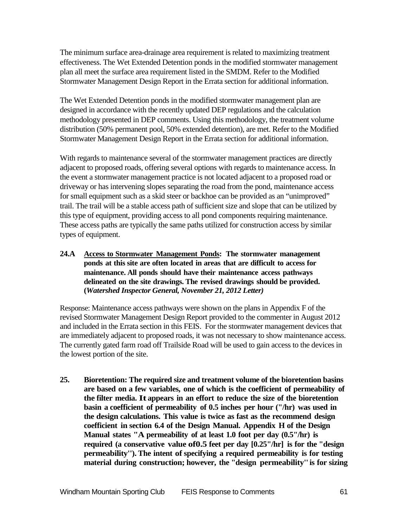The minimum surface area-drainage area requirement is related to maximizing treatment effectiveness. The Wet Extended Detention ponds in the modified stormwater management plan all meet the surface area requirement listed in the SMDM. Refer to the Modified Stormwater Management Design Report in the Errata section for additional information.

The Wet Extended Detention ponds in the modified stormwater management plan are designed in accordance with the recently updated DEP regulations and the calculation methodology presented in DEP comments. Using this methodology, the treatment volume distribution (50% permanent pool, 50% extended detention), are met. Refer to the Modified Stormwater Management Design Report in the Errata section for additional information.

With regards to maintenance several of the stormwater management practices are directly adjacent to proposed roads, offering several options with regards to maintenance access. In the event a stormwater management practice is not located adjacent to a proposed road or driveway or has intervening slopes separating the road from the pond, maintenance access for small equipment such as a skid steer or backhoe can be provided as an "unimproved" trail. The trail will be a stable access path of sufficient size and slope that can be utilized by this type of equipment, providing access to all pond components requiring maintenance. These access paths are typically the same paths utilized for construction access by similar types of equipment.

**24.A Access to Stormwater Management Ponds: The stormwater management ponds at this site are often located in areas that are difficult to access for maintenance. All ponds should have their maintenance access pathways delineated on the site drawings. The revised drawings should be provided. (***Watershed Inspector General, November 21, 2012 Letter)*

Response: Maintenance access pathways were shown on the plans in Appendix F of the revised Stormwater Management Design Report provided to the commenter in August 2012 and included in the Errata section in this FEIS. For the stormwater management devices that are immediately adjacent to proposed roads, it was not necessary to show maintenance access. The currently gated farm road off Trailside Road will be used to gain access to the devices in the lowest portion of the site.

**25. Bioretention: The required size and treatment volume of the bioretention basins are based on a few variables, one of which is the coefficient of permeability of the filter media. It appears in an effort to reduce the size of the bioretention basin a coefficient of permeability of 0.5 inches per hour ("/hr) was used in the design calculations. This value is twice as fast as the recommend design coefficient in section 6.4 of the Design Manual. Appendix H of the Design Manual states "A permeability of at least 1.0 foot per day (0.5"/hr) is required (a conservative value of0.5 feet per day [0.25"/hr] is for the "design permeability'').The intent of specifying a required permeability is for testing material during construction; however, the "design permeability''is for sizing**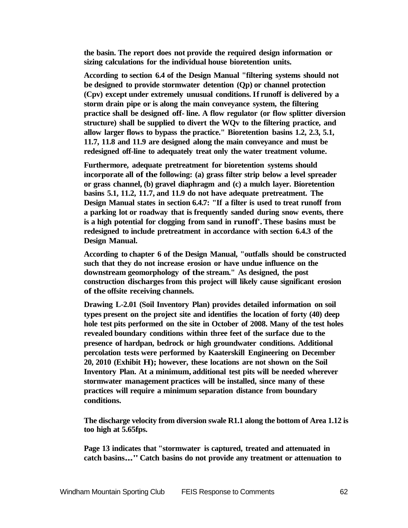**the basin. The report does not provide the required design information or sizing calculations for the individual house bioretention units.**

**According to section 6.4 of the Design Manual "filtering systems should not be designed to provide stormwater detention (Qp) or channel protection (Cpv) except under extremely unusual conditions. If runoff is delivered by a storm drain pipe or is along the main conveyance system, the filtering practice shall be designed off- line. A flow regulator (or flow splitter diversion structure) shall be supplied to divert the WQv to the filtering practice, and allow larger flows to bypass the practice." Bioretention basins 1.2, 2.3, 5.1, 11.7, 11.8 and 11.9 are designed along the main conveyance and must be redesigned off-line to adequately treat only the water treatment volume.**

**Furthermore, adequate pretreatment for bioretention systems should incorporate all of the following: (a) grass filter strip below a level spreader or grass channel, (b) gravel diaphragm and (c) a mulch layer. Bioretention basins 5.1, 11.2, 11.7, and 11.9 do not have adequate pretreatment. The Design Manual states in section 6.4.7: "If a filter is used to treat runoff from a parking lot or roadway that is frequently sanded during snow events, there is a high potential for clogging from sand in runoff'.These basins must be redesigned to include pretreatment in accordance with section 6.4.3 of the Design Manual.**

**According to chapter 6 of the Design Manual, "outfalls should be constructed such that they do not increase erosion or have undue influence on the downstream geomorphology of the stream." As designed, the post construction discharges from this project will likely cause significant erosion of the offsite receiving channels.**

**Drawing L-2.01 (Soil Inventory Plan) provides detailed information on soil types present on the project site and identifies the location of forty (40) deep hole test pits performed on the site in October of 2008. Many of the test holes revealed boundary conditions within three feet of the surface due to the presence of hardpan, bedrock or high groundwater conditions. Additional percolation tests were performed by Kaaterskill Engineering on December 20, 2010 (Exhibit H); however, these locations are not shown on the Soil Inventory Plan. At a minimum, additional test pits will be needed wherever stormwater management practices will be installed, since many of these practices will require a minimum separation distance from boundary conditions.**

**The discharge velocity from diversion swale R1.1 along the bottom of Area 1.12 is too high at 5.65fps.**

**Page 13 indicates that "stormwater is captured, treated and attenuated in catch basins..."Catch basins do not provide any treatment or attenuation to**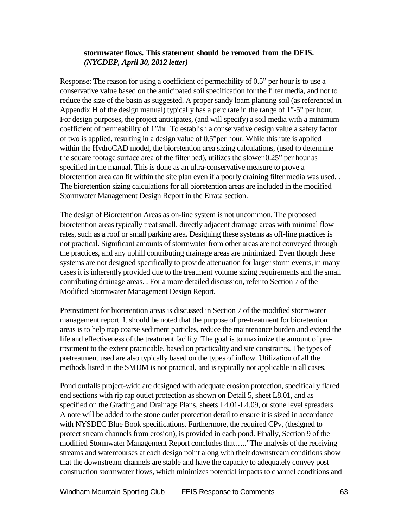### **stormwater flows. This statement should be removed from the DEIS.** *(NYCDEP, April 30, 2012 letter)*

Response: The reason for using a coefficient of permeability of 0.5" per hour is to use a conservative value based on the anticipated soil specification for the filter media, and not to reduce the size of the basin as suggested. A proper sandy loam planting soil (as referenced in Appendix H of the design manual) typically has a perc rate in the range of 1"-5" per hour. For design purposes, the project anticipates, (and will specify) a soil media with a minimum coefficient of permeability of 1"/hr. To establish a conservative design value a safety factor of two is applied, resulting in a design value of 0.5"per hour. While this rate is applied within the HydroCAD model, the bioretention area sizing calculations, (used to determine the square footage surface area of the filter bed), utilizes the slower 0.25" per hour as specified in the manual. This is done as an ultra-conservative measure to prove a bioretention area can fit within the site plan even if a poorly draining filter media was used. . The bioretention sizing calculations for all bioretention areas are included in the modified Stormwater Management Design Report in the Errata section.

The design of Bioretention Areas as on-line system is not uncommon. The proposed bioretention areas typically treat small, directly adjacent drainage areas with minimal flow rates, such as a roof or small parking area. Designing these systems as off-line practices is not practical. Significant amounts of stormwater from other areas are not conveyed through the practices, and any uphill contributing drainage areas are minimized. Even though these systems are not designed specifically to provide attenuation for larger storm events, in many cases it is inherently provided due to the treatment volume sizing requirements and the small contributing drainage areas. . For a more detailed discussion, refer to Section 7 of the Modified Stormwater Management Design Report.

Pretreatment for bioretention areas is discussed in Section 7 of the modified stormwater management report. It should be noted that the purpose of pre-treatment for bioretention areas is to help trap coarse sediment particles, reduce the maintenance burden and extend the life and effectiveness of the treatment facility. The goal is to maximize the amount of pretreatment to the extent practicable, based on practicality and site constraints. The types of pretreatment used are also typically based on the types of inflow. Utilization of all the methods listed in the SMDM is not practical, and is typically not applicable in all cases.

Pond outfalls project-wide are designed with adequate erosion protection, specifically flared end sections with rip rap outlet protection as shown on Detail 5, sheet L8.01, and as specified on the Grading and Drainage Plans, sheets L4.01-L4.09, or stone level spreaders. A note will be added to the stone outlet protection detail to ensure it is sized in accordance with NYSDEC Blue Book specifications. Furthermore, the required CPv, (designed to protect stream channels from erosion), is provided in each pond. Finally, Section 9 of the modified Stormwater Management Report concludes that….."The analysis of the receiving streams and watercourses at each design point along with their downstream conditions show that the downstream channels are stable and have the capacity to adequately convey post construction stormwater flows, which minimizes potential impacts to channel conditions and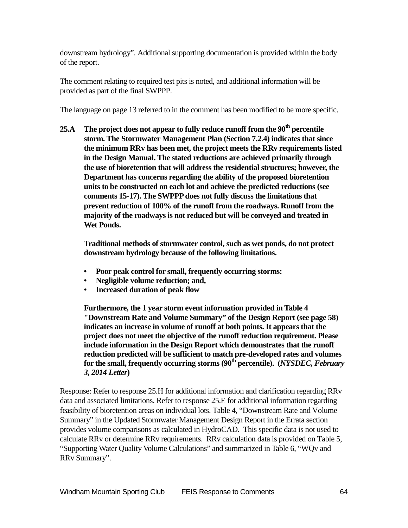downstream hydrology". Additional supporting documentation is provided within the body of the report.

The comment relating to required test pits is noted, and additional information will be provided as part of the final SWPPP.

The language on page 13 referred to in the comment has been modified to be more specific.

**25.A** The project does not appear to fully reduce runoff from the 90<sup>th</sup> percentile **storm. The Stormwater Management Plan (Section 7.2.4) indicates that since the minimum RRv has been met, the project meets the RRv requirements listed in the Design Manual. The stated reductions are achieved primarily through the use of bioretention that will address the residential structures; however, the Department has concerns regarding the ability of the proposed bioretention units to be constructed on each lot and achieve the predicted reductions (see comments 15-17). The SWPPP does not fully discuss the limitations that prevent reduction of 100% of the runoff from the roadways. Runoff from the majority of the roadways is not reduced but will be conveyed and treated in Wet Ponds.**

**Traditional methods of stormwater control, such as wet ponds, do not protect downstream hydrology because of the following limitations.**

- **• Poor peak control for small, frequently occurring storms:**
- **• Negligible volume reduction; and,**
- **• Increased duration of peak flow**

**Furthermore, the 1 year storm event information provided in Table 4 "Downstream Rate and Volume Summary" of the Design Report (see page 58) indicates an increase in volume of runoff at both points. It appears that the project does not meet the objective of the runoff reduction requirement. Please include information in the Design Report which demonstrates that the runoff reduction predicted will be sufficient to match pre-developed rates and volumes**  for the small, frequently occurring storms (90<sup>th</sup> percentile). (*NYSDEC*, *February 3, 2014 Letter***)**

Response: Refer to response 25.H for additional information and clarification regarding RRv data and associated limitations. Refer to response 25.E for additional information regarding feasibility of bioretention areas on individual lots. Table 4, "Downstream Rate and Volume Summary" in the Updated Stormwater Management Design Report in the Errata section provides volume comparisons as calculated in HydroCAD. This specific data is not used to calculate RRv or determine RRv requirements. RRv calculation data is provided on Table 5, "Supporting Water Quality Volume Calculations" and summarized in Table 6, "WQv and RRv Summary".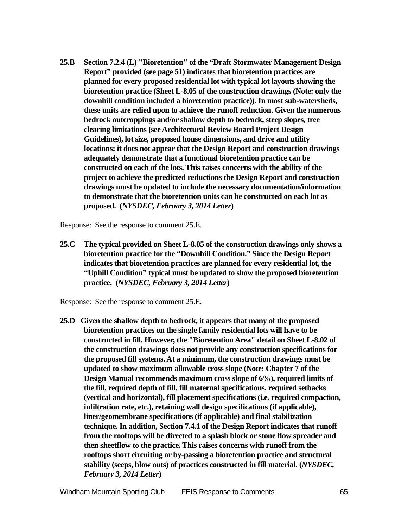**25.B Section 7.2.4 (L) "Bioretention" of the "Draft Stormwater Management Design Report" provided (see page 51) indicates that bioretention practices are planned for every proposed residential lot with typical lot layouts showing the bioretention practice (Sheet L-8.05 of the construction drawings (Note: only the downhill condition included a bioretention practice)). In most sub-watersheds, these units are relied upon to achieve the runoff reduction. Given the numerous bedrock outcroppings and/or shallow depth to bedrock, steep slopes, tree clearing limitations (see Architectural Review Board Project Design Guidelines), lot size, proposed house dimensions, and drive and utility locations; it does not appear that the Design Report and construction drawings adequately demonstrate that a functional bioretention practice can be constructed on each of the lots. This raises concerns with the ability of the project to achieve the predicted reductions the Design Report and construction drawings must be updated to include the necessary documentation/information to demonstrate that the bioretention units can be constructed on each lot as proposed. (***NYSDEC, February 3, 2014 Letter***)**

Response: See the response to comment 25.E.

**25.C The typical provided on Sheet L-8.05 of the construction drawings only shows a bioretention practice for the "Downhill Condition." Since the Design Report indicates that bioretention practices are planned for every residential lot, the "Uphill Condition" typical must be updated to show the proposed bioretention practice. (***NYSDEC, February 3, 2014 Letter***)**

Response: See the response to comment 25.E.

**25.D Given the shallow depth to bedrock, it appears that many of the proposed bioretention practices on the single family residential lots will have to be constructed in fill. However, the "Bioretention Area" detail on Sheet L-8.02 of the construction drawings does not provide any construction specifications for the proposed fill systems. At a minimum, the construction drawings must be updated to show maximum allowable cross slope (Note: Chapter 7 of the Design Manual recommends maximum cross slope of 6%), required limits of the fill, required depth of fill, fill maternal specifications, required setbacks (vertical and horizontal), fill placement specifications (i.e. required compaction, infiltration rate, etc.), retaining wall design specifications (if applicable), liner/geomembrane specifications (if applicable) and final stabilization technique. In addition, Section 7.4.1 of the Design Report indicates that runoff from the rooftops will be directed to a splash block or stone flow spreader and then sheetflow to the practice. This raises concerns with runoff from the rooftops short circuiting or by-passing a bioretention practice and structural stability (seeps, blow outs) of practices constructed in fill material. (***NYSDEC, February 3, 2014 Letter***)**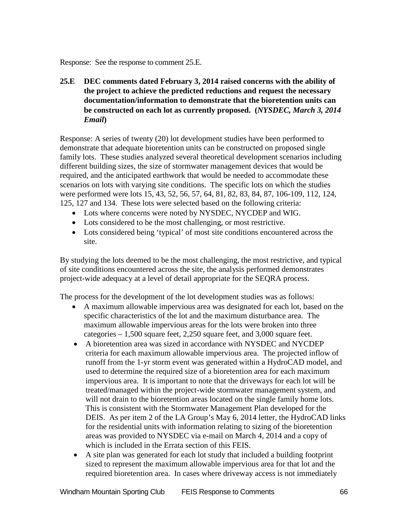Response: See the response to comment 25.E.

**25.E DEC comments dated February 3, 2014 raised concerns with the ability of the project to achieve the predicted reductions and request the necessary documentation/information to demonstrate that the bioretention units can be constructed on each lot as currently proposed. (***NYSDEC, March 3, 2014 Email***)**

Response: A series of twenty (20) lot development studies have been performed to demonstrate that adequate bioretention units can be constructed on proposed single family lots. These studies analyzed several theoretical development scenarios including different building sizes, the size of stormwater management devices that would be required, and the anticipated earthwork that would be needed to accommodate these scenarios on lots with varying site conditions. The specific lots on which the studies were performed were lots 15, 43, 52, 56, 57, 64, 81, 82, 83, 84, 87, 106-109, 112, 124, 125, 127 and 134. These lots were selected based on the following criteria:

- Lots where concerns were noted by NYSDEC, NYCDEP and WIG.
- Lots considered to be the most challenging, or most restrictive.
- Lots considered being 'typical' of most site conditions encountered across the site.

By studying the lots deemed to be the most challenging, the most restrictive, and typical of site conditions encountered across the site, the analysis performed demonstrates project-wide adequacy at a level of detail appropriate for the SEQRA process.

The process for the development of the lot development studies was as follows:

- A maximum allowable impervious area was designated for each lot, based on the specific characteristics of the lot and the maximum disturbance area. The maximum allowable impervious areas for the lots were broken into three categories – 1,500 square feet, 2,250 square feet, and 3,000 square feet.
- A bioretention area was sized in accordance with NYSDEC and NYCDEP criteria for each maximum allowable impervious area. The projected inflow of runoff from the 1-yr storm event was generated within a HydroCAD model, and used to determine the required size of a bioretention area for each maximum impervious area. It is important to note that the driveways for each lot will be treated/managed within the project-wide stormwater management system, and will not drain to the bioretention areas located on the single family home lots. This is consistent with the Stormwater Management Plan developed for the DEIS. As per item 2 of the LA Group's May 6, 2014 letter, the HydroCAD links for the residential units with information relating to sizing of the bioretention areas was provided to NYSDEC via e-mail on March 4, 2014 and a copy of which is included in the Errata section of this FEIS.
- A site plan was generated for each lot study that included a building footprint sized to represent the maximum allowable impervious area for that lot and the required bioretention area. In cases where driveway access is not immediately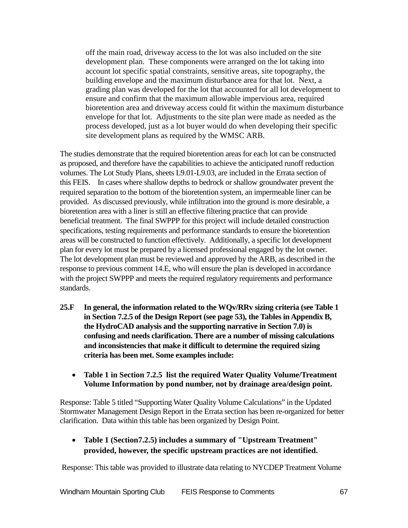off the main road, driveway access to the lot was also included on the site development plan. These components were arranged on the lot taking into account lot specific spatial constraints, sensitive areas, site topography, the building envelope and the maximum disturbance area for that lot. Next, a grading plan was developed for the lot that accounted for all lot development to ensure and confirm that the maximum allowable impervious area, required bioretention area and driveway access could fit within the maximum disturbance envelope for that lot. Adjustments to the site plan were made as needed as the process developed, just as a lot buyer would do when developing their specific site development plans as required by the WMSC ARB.

The studies demonstrate that the required bioretention areas for each lot can be constructed as proposed, and therefore have the capabilities to achieve the anticipated runoff reduction volumes. The Lot Study Plans, sheets L9.01-L9.03, are included in the Errata section of this FEIS. In cases where shallow depths to bedrock or shallow groundwater prevent the required separation to the bottom of the bioretention system, an impermeable liner can be provided. As discussed previously, while infiltration into the ground is more desirable, a bioretention area with a liner is still an effective filtering practice that can provide beneficial treatment. The final SWPPP for this project will include detailed construction specifications, testing requirements and performance standards to ensure the bioretention areas will be constructed to function effectively. Additionally, a specific lot development plan for every lot must be prepared by a licensed professional engaged by the lot owner. The lot development plan must be reviewed and approved by the ARB, as described in the response to previous comment 14.E, who will ensure the plan is developed in accordance with the project SWPPP and meets the required regulatory requirements and performance standards.

- **25.F In general, the information related to the WQv/RRv sizing criteria (see Table 1 in Section 7.2.5 of the Design Report (see page 53), the Tables in Appendix B, the HydroCAD analysis and the supporting narrative in Section 7.0) is confusing and needs clarification. There are a number of missing calculations and inconsistencies that make it difficult to determine the required sizing criteria has been met. Some examples include:**
	- **Table 1 in Section 7.2.5 list the required Water Quality Volume/Treatment Volume Information by pond number, not by drainage area/design point.**

Response: Table 5 titled "Supporting Water Quality Volume Calculations" in the Updated Stormwater Management Design Report in the Errata section has been re-organized for better clarification. Data within this table has been organized by Design Point.

# • **Table 1 (Section7.2.5) includes a summary of "Upstream Treatment" provided, however, the specific upstream practices are not identified.**

Response: This table was provided to illustrate data relating to NYCDEP Treatment Volume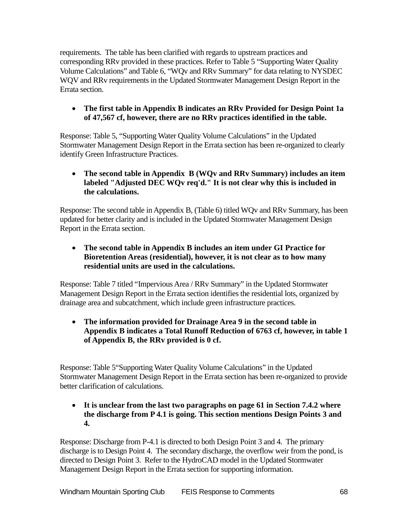requirements. The table has been clarified with regards to upstream practices and corresponding RRv provided in these practices. Refer to Table 5 "Supporting Water Quality Volume Calculations" and Table 6, "WQv and RRv Summary" for data relating to NYSDEC WQV and RRv requirements in the Updated Stormwater Management Design Report in the Errata section.

# • **The first table in Appendix B indicates an RRv Provided for Design Point 1a of 47,567 cf, however, there are no RRv practices identified in the table.**

Response: Table 5, "Supporting Water Quality Volume Calculations" in the Updated Stormwater Management Design Report in the Errata section has been re-organized to clearly identify Green Infrastructure Practices.

# • **The second table in Appendix B (WQv and RRv Summary) includes an item labeled "Adjusted DEC WQv req'd." It is not clear why this is included in the calculations.**

Response: The second table in Appendix B, (Table 6) titled WQv and RRv Summary, has been updated for better clarity and is included in the Updated Stormwater Management Design Report in the Errata section.

# • **The second table in Appendix B includes an item under GI Practice for Bioretention Areas (residential), however, it is not clear as to how many residential units are used in the calculations.**

Response: Table 7 titled "Impervious Area / RRv Summary" in the Updated Stormwater Management Design Report in the Errata section identifies the residential lots, organized by drainage area and subcatchment, which include green infrastructure practices.

# • **The information provided for Drainage Area 9 in the second table in Appendix B indicates a Total Runoff Reduction of 6763 cf, however, in table 1 of Appendix B, the RRv provided is 0 cf.**

Response: Table 5"Supporting Water Quality Volume Calculations" in the Updated Stormwater Management Design Report in the Errata section has been re-organized to provide better clarification of calculations.

### • **It is unclear from the last two paragraphs on page 61 in Section 7.4.2 where the discharge from P 4.1 is going. This section mentions Design Points 3 and 4.**

Response: Discharge from P-4.1 is directed to both Design Point 3 and 4. The primary discharge is to Design Point 4. The secondary discharge, the overflow weir from the pond, is directed to Design Point 3. Refer to the HydroCAD model in the Updated Stormwater Management Design Report in the Errata section for supporting information.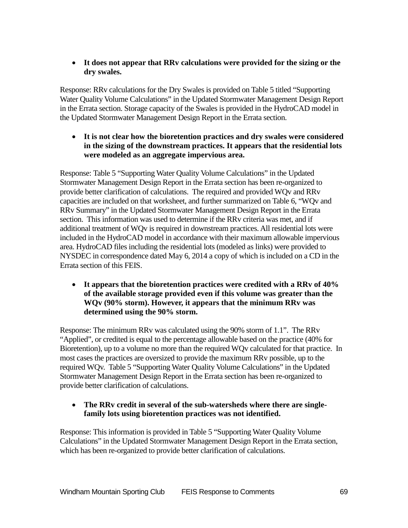### • **It does not appear that RRv calculations were provided for the sizing or the dry swales.**

Response: RRv calculations for the Dry Swales is provided on Table 5 titled "Supporting Water Quality Volume Calculations" in the Updated Stormwater Management Design Report in the Errata section. Storage capacity of the Swales is provided in the HydroCAD model in the Updated Stormwater Management Design Report in the Errata section.

### • **It is not clear how the bioretention practices and dry swales were considered in the sizing of the downstream practices. It appears that the residential lots were modeled as an aggregate impervious area.**

Response: Table 5 "Supporting Water Quality Volume Calculations" in the Updated Stormwater Management Design Report in the Errata section has been re-organized to provide better clarification of calculations. The required and provided WQv and RRv capacities are included on that worksheet, and further summarized on Table 6, "WQv and RRv Summary" in the Updated Stormwater Management Design Report in the Errata section. This information was used to determine if the RRv criteria was met, and if additional treatment of WQv is required in downstream practices. All residential lots were included in the HydroCAD model in accordance with their maximum allowable impervious area. HydroCAD files including the residential lots (modeled as links) were provided to NYSDEC in correspondence dated May 6, 2014 a copy of which is included on a CD in the Errata section of this FEIS.

### • **It appears that the bioretention practices were credited with a RRv of 40% of the available storage provided even if this volume was greater than the WQv (90% storm). However, it appears that the minimum RRv was determined using the 90% storm.**

Response: The minimum RRv was calculated using the 90% storm of 1.1". The RRv "Applied", or credited is equal to the percentage allowable based on the practice (40% for Bioretention), up to a volume no more than the required WQv calculated for that practice. In most cases the practices are oversized to provide the maximum RRv possible, up to the required WQv. Table 5 "Supporting Water Quality Volume Calculations" in the Updated Stormwater Management Design Report in the Errata section has been re-organized to provide better clarification of calculations.

# • **The RRv credit in several of the sub-watersheds where there are singlefamily lots using bioretention practices was not identified.**

Response: This information is provided in Table 5 "Supporting Water Quality Volume Calculations" in the Updated Stormwater Management Design Report in the Errata section, which has been re-organized to provide better clarification of calculations.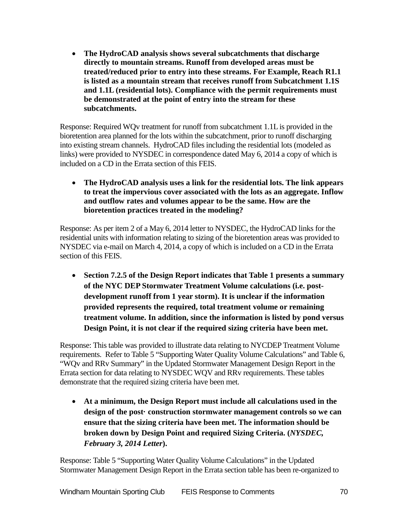• **The HydroCAD analysis shows several subcatchments that discharge directly to mountain streams. Runoff from developed areas must be treated/reduced prior to entry into these streams. For Example, Reach R1.1 is listed as a mountain stream that receives runoff from Subcatchment 1.1S and 1.1L (residential lots). Compliance with the permit requirements must be demonstrated at the point of entry into the stream for these subcatchments.**

Response: Required WQv treatment for runoff from subcatchment 1.1L is provided in the bioretention area planned for the lots within the subcatchment, prior to runoff discharging into existing stream channels. HydroCAD files including the residential lots (modeled as links) were provided to NYSDEC in correspondence dated May 6, 2014 a copy of which is included on a CD in the Errata section of this FEIS.

• **The HydroCAD analysis uses a link for the residential lots. The link appears to treat the impervious cover associated with the lots as an aggregate. Inflow and outflow rates and volumes appear to be the same. How are the bioretention practices treated in the modeling?**

Response: As per item 2 of a May 6, 2014 letter to NYSDEC, the HydroCAD links for the residential units with information relating to sizing of the bioretention areas was provided to NYSDEC via e-mail on March 4, 2014, a copy of which is included on a CD in the Errata section of this FEIS.

• **Section 7.2.5 of the Design Report indicates that Table 1 presents a summary of the NYC DEP Stormwater Treatment Volume calculations (i.e. postdevelopment runoff from 1 year storm). It is unclear if the information provided represents the required, total treatment volume or remaining treatment volume. In addition, since the information is listed by pond versus Design Point, it is not clear if the required sizing criteria have been met.** 

Response: This table was provided to illustrate data relating to NYCDEP Treatment Volume requirements. Refer to Table 5 "Supporting Water Quality Volume Calculations" and Table 6, "WQv and RRv Summary" in the Updated Stormwater Management Design Report in the Errata section for data relating to NYSDEC WQV and RRv requirements. These tables demonstrate that the required sizing criteria have been met.

• **At a minimum, the Design Report must include all calculations used in the design of the post· construction stormwater management controls so we can ensure that the sizing criteria have been met. The information should be broken down by Design Point and required Sizing Criteria. (***NYSDEC, February 3, 2014 Letter***).**

Response: Table 5 "Supporting Water Quality Volume Calculations" in the Updated Stormwater Management Design Report in the Errata section table has been re-organized to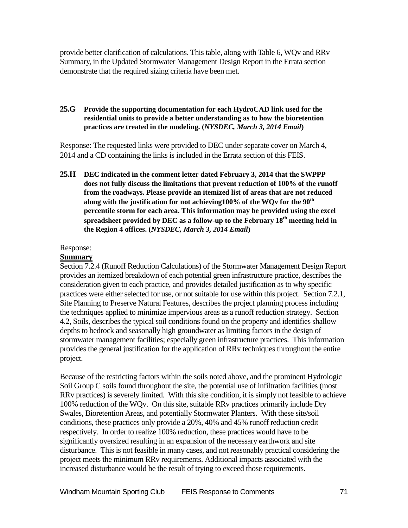provide better clarification of calculations. This table, along with Table 6, WQv and RRv Summary, in the Updated Stormwater Management Design Report in the Errata section demonstrate that the required sizing criteria have been met.

#### **25.G Provide the supporting documentation for each HydroCAD link used for the residential units to provide a better understanding as to how the bioretention practices are treated in the modeling. (***NYSDEC, March 3, 2014 Email***)**

Response: The requested links were provided to DEC under separate cover on March 4, 2014 and a CD containing the links is included in the Errata section of this FEIS.

**25.H DEC indicated in the comment letter dated February 3, 2014 that the SWPPP does not fully discuss the limitations that prevent reduction of 100% of the runoff from the roadways. Please provide an itemized list of areas that are not reduced along with the justification for not achieving100% of the WQv for the 90th percentile storm for each area. This information may be provided using the excel spreadsheet provided by DEC as a follow-up to the February 18th meeting held in the Region 4 offices. (***NYSDEC, March 3, 2014 Email***)**

### Response:

### **Summary**

Section 7.2.4 (Runoff Reduction Calculations) of the Stormwater Management Design Report provides an itemized breakdown of each potential green infrastructure practice, describes the consideration given to each practice, and provides detailed justification as to why specific practices were either selected for use, or not suitable for use within this project. Section 7.2.1, Site Planning to Preserve Natural Features, describes the project planning process including the techniques applied to minimize impervious areas as a runoff reduction strategy. Section 4.2, Soils, describes the typical soil conditions found on the property and identifies shallow depths to bedrock and seasonally high groundwater as limiting factors in the design of stormwater management facilities; especially green infrastructure practices. This information provides the general justification for the application of RRv techniques throughout the entire project.

Because of the restricting factors within the soils noted above, and the prominent Hydrologic Soil Group C soils found throughout the site, the potential use of infiltration facilities (most RRv practices) is severely limited. With this site condition, it is simply not feasible to achieve 100% reduction of the WQv. On this site, suitable RRv practices primarily include Dry Swales, Bioretention Areas, and potentially Stormwater Planters. With these site/soil conditions, these practices only provide a 20%, 40% and 45% runoff reduction credit respectively. In order to realize 100% reduction, these practices would have to be significantly oversized resulting in an expansion of the necessary earthwork and site disturbance. This is not feasible in many cases, and not reasonably practical considering the project meets the minimum RRv requirements. Additional impacts associated with the increased disturbance would be the result of trying to exceed those requirements.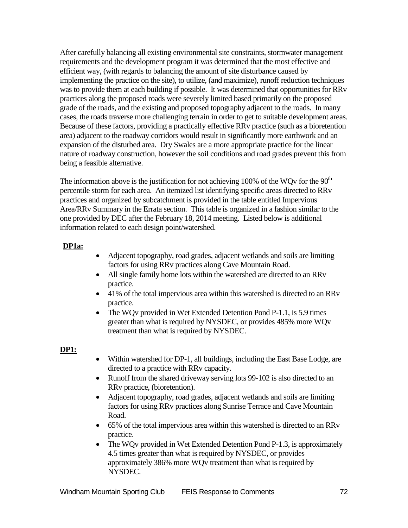After carefully balancing all existing environmental site constraints, stormwater management requirements and the development program it was determined that the most effective and efficient way, (with regards to balancing the amount of site disturbance caused by implementing the practice on the site), to utilize, (and maximize), runoff reduction techniques was to provide them at each building if possible. It was determined that opportunities for RRv practices along the proposed roads were severely limited based primarily on the proposed grade of the roads, and the existing and proposed topography adjacent to the roads. In many cases, the roads traverse more challenging terrain in order to get to suitable development areas. Because of these factors, providing a practically effective RRv practice (such as a bioretention area) adjacent to the roadway corridors would result in significantly more earthwork and an expansion of the disturbed area. Dry Swales are a more appropriate practice for the linear nature of roadway construction, however the soil conditions and road grades prevent this from being a feasible alternative.

The information above is the justification for not achieving 100% of the WQv for the  $90<sup>th</sup>$ percentile storm for each area. An itemized list identifying specific areas directed to RRv practices and organized by subcatchment is provided in the table entitled Impervious Area/RRv Summary in the Errata section. This table is organized in a fashion similar to the one provided by DEC after the February 18, 2014 meeting. Listed below is additional information related to each design point/watershed.

# **DP1a:**

- Adjacent topography, road grades, adjacent wetlands and soils are limiting factors for using RRv practices along Cave Mountain Road.
- All single family home lots within the watershed are directed to an RRv practice.
- 41% of the total impervious area within this watershed is directed to an RRv practice.
- The WQv provided in Wet Extended Detention Pond P-1.1, is 5.9 times greater than what is required by NYSDEC, or provides 485% more WQv treatment than what is required by NYSDEC.

### **DP1:**

- Within watershed for DP-1, all buildings, including the East Base Lodge, are directed to a practice with RRv capacity.
- Runoff from the shared driveway serving lots 99-102 is also directed to an RRv practice, (bioretention).
- Adjacent topography, road grades, adjacent wetlands and soils are limiting factors for using RRv practices along Sunrise Terrace and Cave Mountain Road.
- 65% of the total impervious area within this watershed is directed to an RRv practice.
- The WQv provided in Wet Extended Detention Pond P-1.3, is approximately 4.5 times greater than what is required by NYSDEC, or provides approximately 386% more WQv treatment than what is required by NYSDEC.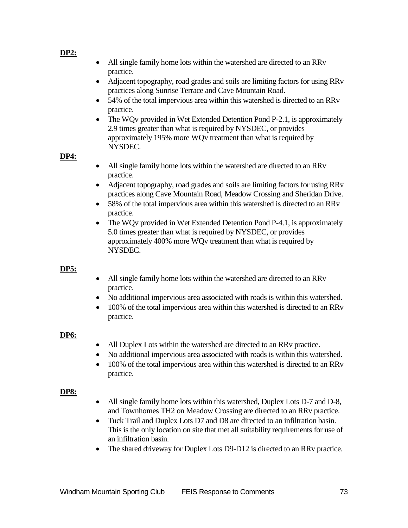#### **DP2:**

- All single family home lots within the watershed are directed to an RRv practice.
- Adjacent topography, road grades and soils are limiting factors for using RRv practices along Sunrise Terrace and Cave Mountain Road.
- 54% of the total impervious area within this watershed is directed to an RRy practice.
- The WQv provided in Wet Extended Detention Pond P-2.1, is approximately 2.9 times greater than what is required by NYSDEC, or provides approximately 195% more WQv treatment than what is required by NYSDEC.

#### **DP4:**

- All single family home lots within the watershed are directed to an RRv practice.
- Adjacent topography, road grades and soils are limiting factors for using RRv practices along Cave Mountain Road, Meadow Crossing and Sheridan Drive.
- 58% of the total impervious area within this watershed is directed to an RRv practice.
- The WQv provided in Wet Extended Detention Pond P-4.1, is approximately 5.0 times greater than what is required by NYSDEC, or provides approximately 400% more WQv treatment than what is required by NYSDEC.

#### **DP5:**

- All single family home lots within the watershed are directed to an RRv practice.
- No additional impervious area associated with roads is within this watershed.
- 100% of the total impervious area within this watershed is directed to an RRv practice.

# **DP6:**

- All Duplex Lots within the watershed are directed to an RRv practice.
- No additional impervious area associated with roads is within this watershed.
- 100% of the total impervious area within this watershed is directed to an RRv practice.

#### **DP8:**

- All single family home lots within this watershed, Duplex Lots D-7 and D-8, and Townhomes TH2 on Meadow Crossing are directed to an RRv practice.
- Tuck Trail and Duplex Lots D7 and D8 are directed to an infiltration basin. This is the only location on site that met all suitability requirements for use of an infiltration basin.
- The shared driveway for Duplex Lots D9-D12 is directed to an RRv practice.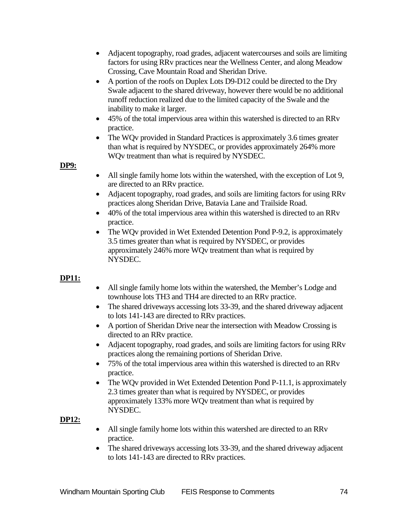- Adjacent topography, road grades, adjacent watercourses and soils are limiting factors for using RRv practices near the Wellness Center, and along Meadow Crossing, Cave Mountain Road and Sheridan Drive.
- A portion of the roofs on Duplex Lots D9-D12 could be directed to the Dry Swale adjacent to the shared driveway, however there would be no additional runoff reduction realized due to the limited capacity of the Swale and the inability to make it larger.
- 45% of the total impervious area within this watershed is directed to an RRv practice.
- The WQv provided in Standard Practices is approximately 3.6 times greater than what is required by NYSDEC, or provides approximately 264% more WQv treatment than what is required by NYSDEC.

# **DP9:**

- All single family home lots within the watershed, with the exception of Lot 9, are directed to an RRv practice.
- Adjacent topography, road grades, and soils are limiting factors for using RRv practices along Sheridan Drive, Batavia Lane and Trailside Road.
- 40% of the total impervious area within this watershed is directed to an RRv practice.
- The WQv provided in Wet Extended Detention Pond P-9.2, is approximately 3.5 times greater than what is required by NYSDEC, or provides approximately 246% more WQv treatment than what is required by NYSDEC.

# **DP11:**

- All single family home lots within the watershed, the Member's Lodge and townhouse lots TH3 and TH4 are directed to an RRv practice.
- The shared driveways accessing lots 33-39, and the shared driveway adjacent to lots 141-143 are directed to RRv practices.
- A portion of Sheridan Drive near the intersection with Meadow Crossing is directed to an RRv practice.
- Adjacent topography, road grades, and soils are limiting factors for using RRv practices along the remaining portions of Sheridan Drive.
- 75% of the total impervious area within this watershed is directed to an RRv practice.
- The WQv provided in Wet Extended Detention Pond P-11.1, is approximately 2.3 times greater than what is required by NYSDEC, or provides approximately 133% more WQv treatment than what is required by NYSDEC.

# **DP12:**

- All single family home lots within this watershed are directed to an RRv practice.
- The shared driveways accessing lots 33-39, and the shared driveway adjacent to lots 141-143 are directed to RRv practices.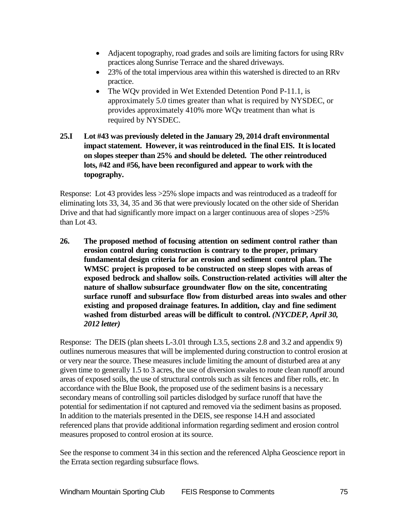- Adjacent topography, road grades and soils are limiting factors for using RRv practices along Sunrise Terrace and the shared driveways.
- 23% of the total impervious area within this watershed is directed to an RRv practice.
- The WQv provided in Wet Extended Detention Pond P-11.1, is approximately 5.0 times greater than what is required by NYSDEC, or provides approximately 410% more WQv treatment than what is required by NYSDEC.

# **25.I Lot #43 was previously deleted in the January 29, 2014 draft environmental impact statement. However, it was reintroduced in the final EIS. It is located on slopes steeper than 25% and should be deleted. The other reintroduced lots, #42 and #56, have been reconfigured and appear to work with the topography.**

Response: Lot 43 provides less >25% slope impacts and was reintroduced as a tradeoff for eliminating lots 33, 34, 35 and 36 that were previously located on the other side of Sheridan Drive and that had significantly more impact on a larger continuous area of slopes >25% than Lot 43.

**26. The proposed method of focusing attention on sediment control rather than erosion control during construction is contrary to the proper, primary fundamental design criteria for an erosion and sediment control plan. The WMSC project is proposed to be constructed on steep slopes with areas of exposed bedrock and shallow soils. Construction-related activities will alter the nature of shallow subsurface groundwater flow on the site, concentrating surface runoff and subsurface flow from disturbed areas into swales and other existing and proposed drainage features.In addition, clay and fine sediment washed from disturbed areas will be difficult to control.** *(NYCDEP, April 30, 2012 letter)*

Response: The DEIS (plan sheets L-3.01 through L3.5, sections 2.8 and 3.2 and appendix 9) outlines numerous measures that will be implemented during construction to control erosion at or very near the source. These measures include limiting the amount of disturbed area at any given time to generally 1.5 to 3 acres, the use of diversion swales to route clean runoff around areas of exposed soils, the use of structural controls such as silt fences and fiber rolls, etc. In accordance with the Blue Book, the proposed use of the sediment basins is a necessary secondary means of controlling soil particles dislodged by surface runoff that have the potential for sedimentation if not captured and removed via the sediment basins as proposed. In addition to the materials presented in the DEIS, see response 14.H and associated referenced plans that provide additional information regarding sediment and erosion control measures proposed to control erosion at its source.

See the response to comment 34 in this section and the referenced Alpha Geoscience report in the Errata section regarding subsurface flows.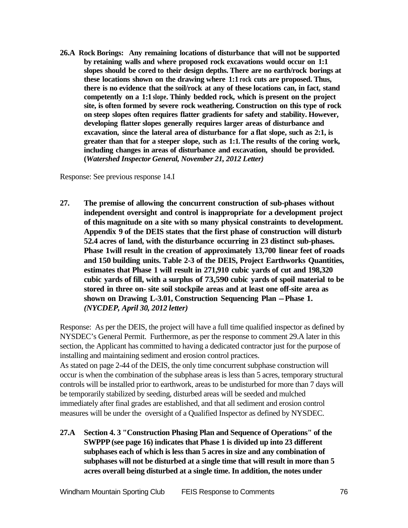**26.A Rock Borings: Any remaining locations of disturbance that will not be supported by retaining walls and where proposed rock excavations would occur on 1:1 slopes should be cored to their design depths. There are no earth/rock borings at these locations shown on the drawing where 1:1 rock cuts are proposed. Thus, there is no evidence that the soil/rock at any of these locations can, in fact, stand competently on a 1:1 slope. Thinly bedded rock, which is present on the project site, is often formed by severe rock weathering. Construction on this type of rock on steep slopes often requires flatter gradients for safety and stability. However, developing flatter slopes generally requires larger areas of disturbance and excavation, since the lateral area of disturbance for a flat slope, such as 2:1, is greater than that for a steeper slope, such as 1:1. The results of the coring work, including changes in areas of disturbance and excavation, should be provided. (***Watershed Inspector General, November 21, 2012 Letter)*

Response: See previous response 14.I

**27. The premise of allowing the concurrent construction of sub-phases without independent oversight and control is inappropriate for a development project of this magnitude on a site with so many physical constraints to development. Appendix 9 of the DEIS states that the first phase of construction will disturb 52.4 acres of land, with the disturbance occurring in 23 distinct sub-phases. Phase 1will result in the creation of approximately 13,700 linear feet of roads and 150 building units. Table 2-3 of the DEIS, Project Earthworks Quantities, estimates that Phase 1 will result in 271,910 cubic yards of cut and 198,320 cubic yards of fill, with a surplus of 73,590 cubic yards of spoil material to be stored in three on- site soil stockpile areas and at least one off-site area as shown on Drawing L-3.01, Construction Sequencing Plan -Phase 1.**  *(NYCDEP, April 30, 2012 letter)*

Response: As per the DEIS, the project will have a full time qualified inspector as defined by NYSDEC's General Permit. Furthermore, as per the response to comment 29.A later in this section, the Applicant has committed to having a dedicated contractor just for the purpose of installing and maintaining sediment and erosion control practices. As stated on page 2-44 of the DEIS, the only time concurrent subphase construction will occur is when the combination of the subphase areas is less than 5 acres, temporary structural controls will be installed prior to earthwork, areas to be undisturbed for more than 7 days will be temporarily stabilized by seeding, disturbed areas will be seeded and mulched immediately after final grades are established, and that all sediment and erosion control measures will be under the oversight of a Qualified Inspector as defined by NYSDEC.

**27.A Section 4. 3 "Construction Phasing Plan and Sequence of Operations" of the SWPPP (see page 16) indicates that Phase 1 is divided up into 23 different subphases each of which is less than 5 acres in size and any combination of subphases will not be disturbed at a single time that will result in more than 5 acres overall being disturbed at a single time. In addition, the notes under**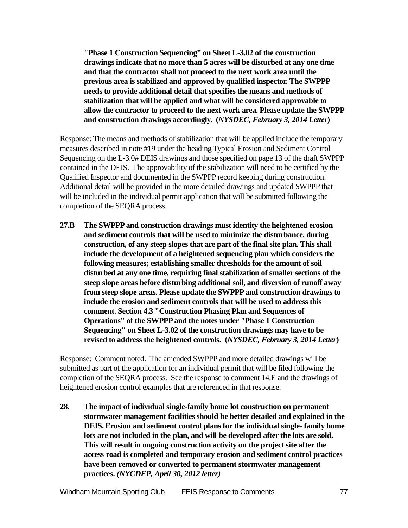**"Phase 1 Construction Sequencing" on Sheet L-3.02 of the construction drawings indicate that no more than 5 acres will be disturbed at any one time and that the contractor shall not proceed to the next work area until the previous area is stabilized and approved by qualified inspector. The SWPPP needs to provide additional detail that specifies the means and methods of stabilization that will be applied and what will be considered approvable to allow the contractor to proceed to the next work area. Please update the SWPPP and construction drawings accordingly. (***NYSDEC, February 3, 2014 Letter***)**

Response: The means and methods of stabilization that will be applied include the temporary measures described in note #19 under the heading Typical Erosion and Sediment Control Sequencing on the L-3.0# DEIS drawings and those specified on page 13 of the draft SWPPP contained in the DEIS. The approvability of the stabilization will need to be certified by the Qualified Inspector and documented in the SWPPP record keeping during construction. Additional detail will be provided in the more detailed drawings and updated SWPPP that will be included in the individual permit application that will be submitted following the completion of the SEQRA process.

**27.B The SWPPP and construction drawings must identity the heightened erosion and sediment controls that will be used to minimize the disturbance, during construction, of any steep slopes that are part of the final site plan. This shall include the development of a heightened sequencing plan which considers the following measures; establishing smaller thresholds for the amount of soil disturbed at any one time, requiring final stabilization of smaller sections of the steep slope areas before disturbing additional soil, and diversion of runoff away from steep slope areas. Please update the SWPPP and construction drawings to include the erosion and sediment controls that will be used to address this comment. Section 4.3 "Construction Phasing Plan and Sequences of Operations" of the SWPPP and the notes under "Phase 1 Construction Sequencing" on Sheet L-3.02 of the construction drawings may have to be revised to address the heightened controls. (***NYSDEC, February 3, 2014 Letter***)**

Response: Comment noted. The amended SWPPP and more detailed drawings will be submitted as part of the application for an individual permit that will be filed following the completion of the SEQRA process. See the response to comment 14.E and the drawings of heightened erosion control examples that are referenced in that response.

**28. The impact of individual single-family home lot construction on permanent stormwater management facilitiesshould be better detailed and explained in the DEIS.Erosion and sediment control plans for the individual single- family home lots are not included in the plan, and will be developed after the lots are sold. This will result in ongoing construction activity on the project site after the access road is completed and temporary erosion and sediment control practices have been removed or converted to permanent stormwater management practices.** *(NYCDEP, April 30, 2012 letter)*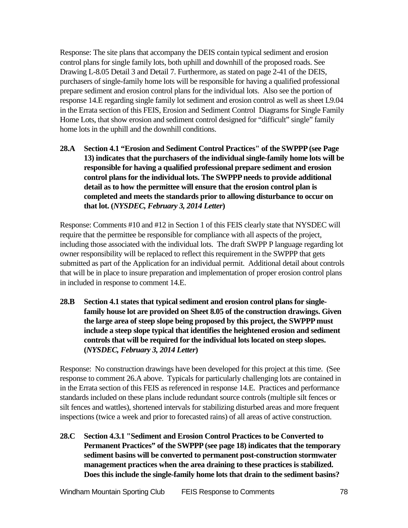Response: The site plans that accompany the DEIS contain typical sediment and erosion control plans for single family lots, both uphill and downhill of the proposed roads. See Drawing L-8.05 Detail 3 and Detail 7. Furthermore, as stated on page 2-41 of the DEIS, purchasers of single-family home lots will be responsible for having a qualified professional prepare sediment and erosion control plans for the individual lots. Also see the portion of response 14.E regarding single family lot sediment and erosion control as well as sheet L9.04 in the Errata section of this FEIS, Erosion and Sediment Control Diagrams for Single Family Home Lots, that show erosion and sediment control designed for "difficult" single" family home lots in the uphill and the downhill conditions.

**28.A Section 4.1 "Erosion and Sediment Control Practices" of the SWPPP (see Page 13) indicates that the purchasers of the individual single-family home lots will be responsible for having a qualified professional prepare sediment and erosion control plans for the individual lots. The SWPPP needs to provide additional detail as to how the permittee will ensure that the erosion control plan is completed and meets the standards prior to allowing disturbance to occur on that lot. (***NYSDEC, February 3, 2014 Letter***)**

Response: Comments #10 and #12 in Section 1 of this FEIS clearly state that NYSDEC will require that the permittee be responsible for compliance with all aspects of the project, including those associated with the individual lots. The draft SWPP P language regarding lot owner responsibility will be replaced to reflect this requirement in the SWPPP that gets submitted as part of the Application for an individual permit. Additional detail about controls that will be in place to insure preparation and implementation of proper erosion control plans in included in response to comment 14.E.

**28.B Section 4.1 states that typical sediment and erosion control plans for singlefamily house lot are provided on Sheet 8.05 of the construction drawings. Given the large area of steep slope being proposed by this project, the SWPPP must include a steep slope typical that identifies the heightened erosion and sediment controls that will be required for the individual lots located on steep slopes. (***NYSDEC, February 3, 2014 Letter***)**

Response: No construction drawings have been developed for this project at this time. (See response to comment 26.A above. Typicals for particularly challenging lots are contained in in the Errata section of this FEIS as referenced in response 14.E. Practices and performance standards included on these plans include redundant source controls (multiple silt fences or silt fences and wattles), shortened intervals for stabilizing disturbed areas and more frequent inspections (twice a week and prior to forecasted rains) of all areas of active construction.

**28.C Section 4.3.1 "Sediment and Erosion Control Practices to be Converted to Permanent Practices" of the SWPPP (see page 18) indicates that the temporary sediment basins will be converted to permanent post-construction stormwater management practices when the area draining to these practices is stabilized. Does this include the single-family home lots that drain to the sediment basins?**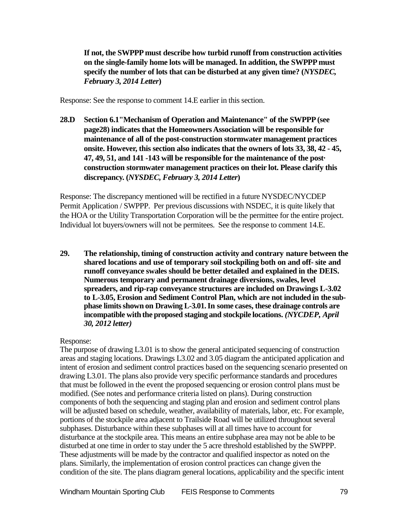**If not, the SWPPP must describe how turbid runoff from construction activities on the single-family home lots will be managed. In addition, the SWPPP must specify the number of lots that can be disturbed at any given time? (***NYSDEC, February 3, 2014 Letter***)**

Response: See the response to comment 14.E earlier in this section.

**28.D Section 6.1"Mechanism of Operation and Maintenance" of the SWPPP (see page28) indicates that the Homeowners Association will be responsible for maintenance of all of the post-construction stormwater management practices onsite. However, this section also indicates that the owners of lots 33, 38, 42 - 45, 47, 49, 51, and 141 -143 will be responsible for the maintenance of the post· construction stormwater management practices on their lot. Please clarify this discrepancy. (***NYSDEC, February 3, 2014 Letter***)**

Response: The discrepancy mentioned will be rectified in a future NYSDEC/NYCDEP Permit Application / SWPPP. Per previous discussions with NSDEC, it is quite likely that the HOA or the Utility Transportation Corporation will be the permittee for the entire project. Individual lot buyers/owners will not be permitees. See the response to comment 14.E.

**29. The relationship, timing of construction activity and contrary nature between the shared locations and use of temporary soil stockpiling both on and off- site and runoff conveyance swales should be better detailed and explained in the DEIS. Numerous temporary and permanent drainage diversions, swales, level spreaders, and rip-rap conveyance structures are included on Drawings L-3.02 to L-3.05, Erosion and Sediment Control Plan, which are not included in the subphase limitsshown on Drawing L-3.01.In some cases, these drainage controls are incompatible withthe proposed staging and stockpile locations.** *(NYCDEP, April 30, 2012 letter)*

#### Response:

The purpose of drawing L3.01 is to show the general anticipated sequencing of construction areas and staging locations. Drawings L3.02 and 3.05 diagram the anticipated application and intent of erosion and sediment control practices based on the sequencing scenario presented on drawing L3.01. The plans also provide very specific performance standards and procedures that must be followed in the event the proposed sequencing or erosion control plans must be modified. (See notes and performance criteria listed on plans). During construction components of both the sequencing and staging plan and erosion and sediment control plans will be adjusted based on schedule, weather, availability of materials, labor, etc. For example, portions of the stockpile area adjacent to Trailside Road will be utilized throughout several subphases. Disturbance within these subphases will at all times have to account for disturbance at the stockpile area. This means an entire subphase area may not be able to be disturbed at one time in order to stay under the 5 acre threshold established by the SWPPP. These adjustments will be made by the contractor and qualified inspector as noted on the plans. Similarly, the implementation of erosion control practices can change given the condition of the site. The plans diagram general locations, applicability and the specific intent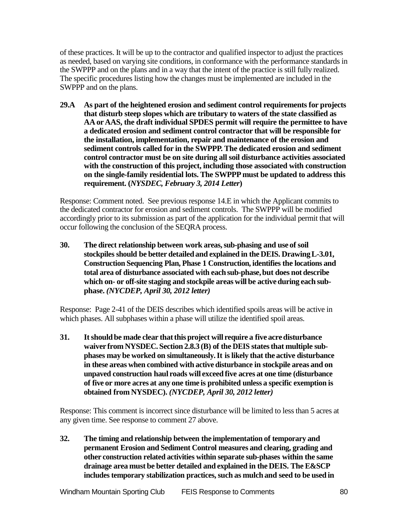of these practices. It will be up to the contractor and qualified inspector to adjust the practices as needed, based on varying site conditions, in conformance with the performance standards in the SWPPP and on the plans and in a way that the intent of the practice is still fully realized. The specific procedures listing how the changes must be implemented are included in the SWPPP and on the plans.

**29.A As part of the heightened erosion and sediment control requirements for projects that disturb steep slopes which are tributary to waters of the state classified as AA or AAS, the draft individual SPDES permit will require the permittee to have a dedicated erosion and sediment control contractor that will be responsible for the installation, implementation, repair and maintenance of the erosion and sediment controls called for in the SWPPP. The dedicated erosion and sediment control contractor must be on site during all soil disturbance activities associated with the construction of this project, including those associated with construction on the single-family residential lots. The SWPPP must be updated to address this requirement. (***NYSDEC, February 3, 2014 Letter***)**

Response: Comment noted. See previous response 14.E in which the Applicant commits to the dedicated contractor for erosion and sediment controls. The SWPPP will be modified accordingly prior to its submission as part of the application for the individual permit that will occur following the conclusion of the SEQRA process.

**30. The direct relationship between work areas,sub-phasing and use of soil stockpiles should be better detailedand explained in the DEIS. DrawingL-3.01, Construction Sequencing Plan, Phase 1 Construction, identifies the locations and total area of disturbance associated with eachsub-phase,but does not describe which on- or off-site staging and stockpile areas will be activeduring each subphase.** *(NYCDEP, April 30, 2012 letter)*

Response: Page 2-41 of the DEIS describes which identified spoils areas will be active in which phases. All subphases within a phase will utilize the identified spoil areas.

**31. Itshouldbe made clear thatthis project will require a five acredisturbance waiver from NYSDEC. Section 2.8.3 (B) of the DEIS statesthat multiple subphases may be worked on simultaneously.It is likely that the active disturbance in these areas when combined with active disturbance in stockpile areas and on unpaved construction haul roads will exceed five acres at one time (disturbance of five or more acres at any one time is prohibited unless a specific exemption is obtained from NYSDEC).** *(NYCDEP, April 30, 2012 letter)*

Response: This comment is incorrect since disturbance will be limited to less than 5 acres at any given time. See response to comment 27 above.

**32. The timing and relationship between the implementation of temporary and permanent Erosion and Sediment Control measures and clearing, grading and other construction related activities within separate sub-phases within the same drainage area must be better detailed and explained in the DEIS. The E&SCP includes temporary stabilization practices,such as mulchand seed to be used in**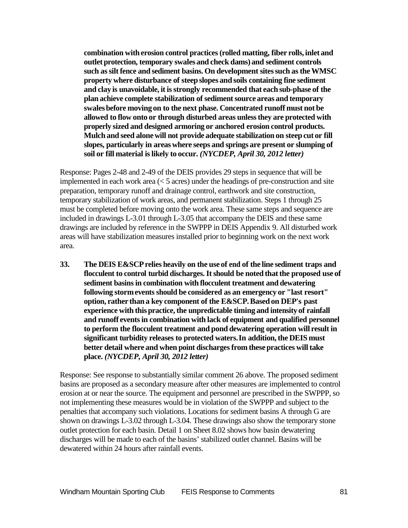**combination with erosion control practices (rolled matting, fiber rolls, inlet and outlet protection, temporary swales and check dams) and sediment controls such assilt fence and sediment basins. On development sitessuch astheWMSC property where disturbance of steepslopes and soils containing fine sediment and clay is unavoidable, it isstrongly recommended that each sub-phase of the plan achieve complete stabilization of sedimentsource areas and temporary swalesbefore moving on to the next phase. Concentrated runoff must not be allowed to flow onto or through disturbed areas unlessthey are protected with properly sized and designed armoring or anchored erosion control products. Mulch and seed alonewill not provide adequate stabilization on steepcut or fill slopes, particularly in areaswhere seeps and springs are present or slumping of soil or fill material islikely to occur.** *(NYCDEP, April 30, 2012 letter)*

Response: Pages 2-48 and 2-49 of the DEIS provides 29 steps in sequence that will be implemented in each work area  $(< 5 \text{ acres})$  under the headings of pre-construction and site preparation, temporary runoff and drainage control, earthwork and site construction, temporary stabilization of work areas, and permanent stabilization. Steps 1 through 25 must be completed before moving onto the work area. These same steps and sequence are included in drawings L-3.01 through L-3.05 that accompany the DEIS and these same drawings are included by reference in the SWPPP in DEIS Appendix 9. All disturbed work areas will have stabilization measures installed prior to beginning work on the next work area.

**33. The DEIS E&SCPrelies heavily on the use of end of the line sediment traps and flocculent to control turbid discharges.Itshould be noted thatthe proposed use of sediment basinsin combination with flocculent treatment and dewatering following stormevents should be considered as an emergency or "last resort" option, rather thana key component of the E&SCP.Based on DEP's past experience with this practice, the unpredictable timing and intensity of rainfall and runoff eventsin combination with lack of equipment and qualified personnel to perform the flocculent treatment and pond dewatering operation will result in significant turbidity releases to protected waters.In addition,the DEIS must better detail where and when point dischargesfrom thesepractices willtake place.** *(NYCDEP, April 30, 2012 letter)*

Response: See response to substantially similar comment 26 above. The proposed sediment basins are proposed as a secondary measure after other measures are implemented to control erosion at or near the source. The equipment and personnel are prescribed in the SWPPP, so not implementing these measures would be in violation of the SWPPP and subject to the penalties that accompany such violations. Locations for sediment basins A through G are shown on drawings L-3.02 through L-3.04. These drawings also show the temporary stone outlet protection for each basin. Detail 1 on Sheet 8.02 shows how basin dewatering discharges will be made to each of the basins' stabilized outlet channel. Basins will be dewatered within 24 hours after rainfall events.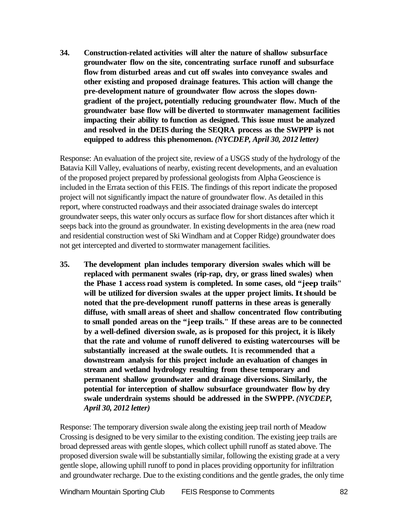**34. Construction-related activities will alter the nature of shallow subsurface groundwater flow on the site, concentrating surface runoff and subsurface flow from disturbed areas and cut off swales into conveyance swales and other existing and proposed drainage features. This action will change the pre-development nature of groundwater flow across the slopes downgradient of the project, potentially reducing groundwater flow. Much of the groundwater base flow will be diverted to stormwater management facilities impacting their ability to function as designed. This issue must be analyzed and resolved in the DEIS during the SEQRA process as the SWPPP is not equipped to address this phenomenon.** *(NYCDEP, April 30, 2012 letter)*

Response: An evaluation of the project site, review of a USGS study of the hydrology of the Batavia Kill Valley, evaluations of nearby, existing recent developments, and an evaluation of the proposed project prepared by professional geologists from Alpha Geoscience is included in the Errata section of this FEIS. The findings of this report indicate the proposed project will not significantly impact the nature of groundwater flow. As detailed in this report, where constructed roadways and their associated drainage swales do intercept groundwater seeps, this water only occurs as surface flow for short distances after which it seeps back into the ground as groundwater. In existing developments in the area (new road and residential construction west of Ski Windham and at Copper Ridge) groundwater does not get intercepted and diverted to stormwater management facilities.

**35. The development plan includes temporary diversion swales which will be replaced with permanent swales (rip-rap, dry, or grass lined swales) when the Phase 1 access road system is completed. In some cases, old "jeep trails" will be utilized for diversion swales at the upper project limits. Itshould be noted that the pre-development runoff patterns in these areas is generally diffuse, with small areas of sheet and shallow concentrated flow contributing to small ponded areas on the "jeep trails." If these areas are to be connected by a well-defined diversion swale, as is proposed for this project, it is likely that the rate and volume of runoff delivered to existing watercourses will be substantially increased at the swale outlets.** Iti**s recommended that a downstream analysis for this project include an evaluation of changes in stream and wetland hydrology resulting from these temporary and permanent shallow groundwater and drainage diversions. Similarly, the potential for interception of shallow subsurface groundwater flow by dry swale underdrain systems should be addressed in the SWPPP.** *(NYCDEP, April 30, 2012 letter)*

Response: The temporary diversion swale along the existing jeep trail north of Meadow Crossing is designed to be very similar to the existing condition. The existing jeep trails are broad depressed areas with gentle slopes, which collect uphill runoff as stated above. The proposed diversion swale will be substantially similar, following the existing grade at a very gentle slope, allowing uphill runoff to pond in places providing opportunity for infiltration and groundwater recharge. Due to the existing conditions and the gentle grades, the only time

Windham Mountain Sporting Club FEIS Response to Comments 82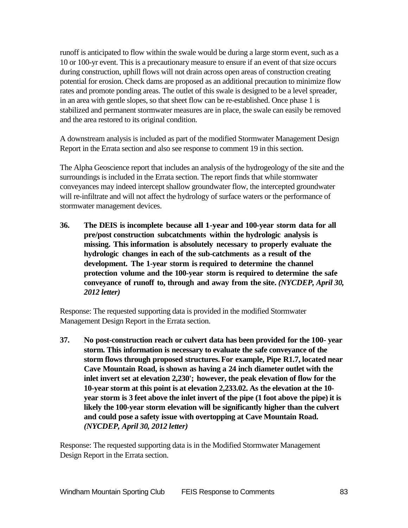runoff is anticipated to flow within the swale would be during a large storm event, such as a 10 or 100-yr event. This is a precautionary measure to ensure if an event of that size occurs during construction, uphill flows will not drain across open areas of construction creating potential for erosion. Check dams are proposed as an additional precaution to minimize flow rates and promote ponding areas. The outlet of this swale is designed to be a level spreader, in an area with gentle slopes, so that sheet flow can be re-established. Once phase 1 is stabilized and permanent stormwater measures are in place, the swale can easily be removed and the area restored to its original condition.

A downstream analysis is included as part of the modified Stormwater Management Design Report in the Errata section and also see response to comment 19 in this section.

The Alpha Geoscience report that includes an analysis of the hydrogeology of the site and the surroundings is included in the Errata section. The report finds that while stormwater conveyances may indeed intercept shallow groundwater flow, the intercepted groundwater will re-infiltrate and will not affect the hydrology of surface waters or the performance of stormwater management devices.

**36. The DEIS is incomplete because all 1-year and 100-year storm data for all pre/post construction subcatchments within the hydrologic analysis is missing. This information is absolutely necessary to properly evaluate the hydrologic changes in each of the sub-catchments as a result of the development. The 1-year storm is required to determine the channel protection volume and the 100-year storm is required to determine the safe conveyance of runoff to, through and away from the site.** *(NYCDEP, April 30, 2012 letter)*

Response: The requested supporting data is provided in the modified Stormwater Management Design Report in the Errata section.

**37. No post-construction reach or culvert data has been provided for the 100- year storm. This information is necessary to evaluate the safe conveyance of the storm flows through proposed structures. For example, Pipe R1.7, located near Cave Mountain Road, isshown as having a 24 inch diameter outlet with the inlet invert set at elevation 2,230'; however, the peak elevation of flow for the 10-year storm at this point is at elevation 2,233.02. As the elevation at the 10 year storm is 3 feet above the inlet invert of the pipe (1 foot above the pipe) it is likely the 100-year storm elevation will be significantly higher than the culvert and could pose a safety issue with overtopping at Cave Mountain Road.**  *(NYCDEP, April 30, 2012 letter)*

Response: The requested supporting data is in the Modified Stormwater Management Design Report in the Errata section.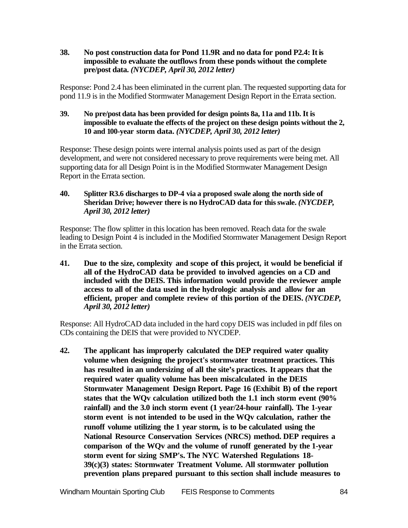**38. No post construction data for Pond 11.9R and no data for pond P2.4: Itis impossible to evaluate the outflows from these ponds without the complete pre/post data.** *(NYCDEP, April 30, 2012 letter)*

Response: Pond 2.4 has been eliminated in the current plan. The requested supporting data for pond 11.9 is in the Modified Stormwater Management Design Report in the Errata section.

#### **39. No pre/post data has been provided for design points 8a, 11a and 11b. It is impossible to evaluate the effects of the project on these design points without the 2, 10 and 100-year storm data.** *(NYCDEP, April 30, 2012 letter)*

Response: These design points were internal analysis points used as part of the design development, and were not considered necessary to prove requirements were being met. All supporting data for all Design Point is in the Modified Stormwater Management Design Report in the Errata section.

### **40. Splitter R3.6 discharges to DP-4 via a proposed swale along the north side of Sheridan Drive; however there is no HydroCAD data for thisswale.** *(NYCDEP, April 30, 2012 letter)*

Response: The flow splitter in this location has been removed. Reach data for the swale leading to Design Point 4 is included in the Modified Stormwater Management Design Report in the Errata section.

**41. Due to the size, complexity and scope of this project, it would be beneficial if all of the HydroCAD data be provided to involved agencies on a CD and included with the DEIS. This information would provide the reviewer ample access to all of the data used in the hydrologic analysis and allow for an efficient, proper and complete review of this portion of the DEIS.** *(NYCDEP, April 30, 2012 letter)*

Response: All HydroCAD data included in the hard copy DEIS was included in pdf files on CDs containing the DEIS that were provided to NYCDEP.

**42. The applicant has improperly calculated the DEP required water quality volume when designing the project's stormwater treatment practices. This has resulted in an undersizing of all the site's practices. It appears that the required water quality volume has been miscalculated in the DEIS Stormwater Management Design Report. Page 16 (Exhibit B) of the report states that the WQv calculation utilized both the 1.1 inch storm event (90% rainfall) and the 3.0 inch storm event (1 year/24-hour rainfall). The 1-year storm event is not intended to be used in the WQv calculation, rather the runoff volume utilizing the 1 year storm, is to be calculated using the National Resource Conservation Services (NRCS) method. DEP requires a comparison of the WQv and the volume of runoff generated by the 1-year storm event for sizing SMP's. The NYC Watershed Regulations 18- 39(c)(3) states: Stormwater Treatment Volume. All stormwater pollution prevention plans prepared pursuant to this section shall include measures to**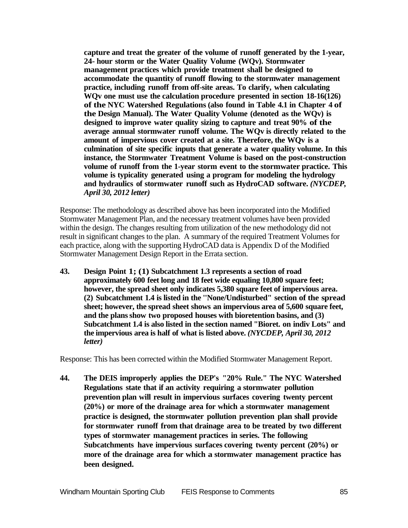**capture and treat the greater of the volume of runoff generated by the 1-year, 24- hour storm or the Water Quality Volume (WQv). Stormwater management practices which provide treatment shall be designed to accommodate the quantity of runoff flowing to the stormwater management practice, including runoff from off-site areas. To clarify, when calculating WQv one must use the calculation procedure presented in section 18-16(126) of the NYC Watershed Regulations (also found in Table 4.1 in Chapter 4 of the Design Manual). The Water Quality Volume (denoted as the WQv) is designed to improve water quality sizing to capture and treat 90% of the average annual stormwater runoff volume. The WQv is directly related to the amount of impervious cover created at a site. Therefore, the WQv is a culmination of site specific inputs that generate a water quality volume. In this instance, the Stormwater Treatment Volume is based on the post-construction volume of runoff from the 1-year storm event to the stormwater practice. This volume is typicality generated using a program for modeling the hydrology and hydraulics of stormwater runoff such as HydroCAD software.** *(NYCDEP, April 30, 2012 letter)*

Response: The methodology as described above has been incorporated into the Modified Stormwater Management Plan, and the necessary treatment volumes have been provided within the design. The changes resulting from utilization of the new methodology did not result in significant changes to the plan. A summary of the required Treatment Volumes for each practice, along with the supporting HydroCAD data is Appendix D of the Modified Stormwater Management Design Report in the Errata section.

**43. Design Point 1; (1) Subcatchment 1.3 represents a section of road approximately 600 feet long and 18 feet wide equaling 10,800 square feet; however, the spread sheet only indicates 5,380 square feet of impervious area. (2) Subcatchment 1.4 is listed in the ''None/Undisturbed" section of the spread sheet; however, the spread sheet shows an impervious area of 5,600 square feet, and the plansshow two proposed houses with bioretention basins, and (3) Subcatchment 1.4 is also listed in the section named "Bioret. on indiv Lots" and the impervious area is half of what is listed above.** *(NYCDEP, April 30, 2012 letter)*

Response: This has been corrected within the Modified Stormwater Management Report.

**44. The DEIS improperly applies the DEP's "20% Rule." The NYC Watershed Regulations state that if an activity requiring a stormwater pollution prevention plan will result in impervious surfaces covering twenty percent (20%) or more of the drainage area for which a stormwater management practice is designed, the stormwater pollution prevention plan shall provide for stormwater runoff from that drainage area to be treated by two different types of stormwater management practices in series. The following Subcatchments have impervious surfaces covering twenty percent (20%) or more of the drainage area for which a stormwater management practice has been designed.**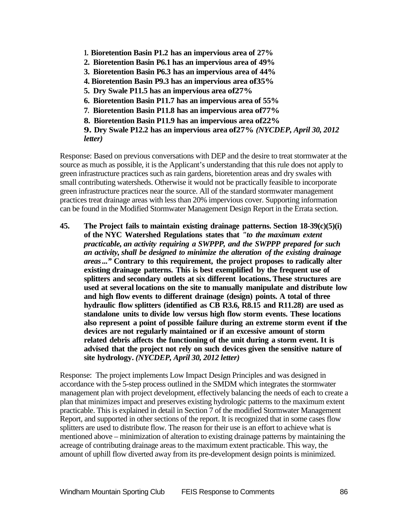- **1. Bioretention Basin P1.2 has an impervious area of 27%**
- **2. Bioretention Basin P6.1 has an impervious area of 49%**
- **3. Bioretention Basin P6.3 has an impervious area of 44%**
- **4. Bioretention Basin P9.3 has an impervious area of35%**
- **5. Dry Swale P11.5 has an impervious area of27%**
- **6. Bioretention Basin P11.7 has an impervious area of 55%**
- **7. Bioretention Basin P11.8 has an impervious area of77%**
- **8. Bioretention Basin P11.9 has an impervious area of22%**

**9. Dry Swale P12.2 has an impervious area of27%** *(NYCDEP, April 30, 2012 letter)*

Response: Based on previous conversations with DEP and the desire to treat stormwater at the source as much as possible, it is the Applicant's understanding that this rule does not apply to green infrastructure practices such as rain gardens, bioretention areas and dry swales with small contributing watersheds. Otherwise it would not be practically feasible to incorporate green infrastructure practices near the source. All of the standard stormwater management practices treat drainage areas with less than 20% impervious cover. Supporting information can be found in the Modified Stormwater Management Design Report in the Errata section.

**45. The Project fails to maintain existing drainage patterns. Section 18-39(c)(5)(i) of the NYC Watershed Regulations states that** *"to the maximum extent practicable, an activity requiring a SWPPP, and the SWPPP prepared for such an activity, shall be designed to minimize the alteration of the existing drainage areas..."* **Contrary to this requirement, the project proposes to radically alter existing drainage patterns. This is best exemplified by the frequent use of splitters and secondary outlets at six different locations.These structures are used at several locations on the site to manually manipulate and distribute low and high flow events to different drainage (design) points. A total of three hydraulic flow splitters (identified as CB R3.6, R8.15 and R11.28) are used as standalone units to divide low versus high flow storm events. These locations also represent a point of possible failure during an extreme storm event if the devices are not regularly maintained or if an excessive amount of storm related debris affects the functioning of the unit during a storm event. It is advised that the project not rely on such devices given the sensitive nature of site hydrology.** *(NYCDEP, April 30, 2012 letter)*

Response: The project implements Low Impact Design Principles and was designed in accordance with the 5-step process outlined in the SMDM which integrates the stormwater management plan with project development, effectively balancing the needs of each to create a plan that minimizes impact and preserves existing hydrologic patterns to the maximum extent practicable. This is explained in detail in Section 7 of the modified Stormwater Management Report, and supported in other sections of the report. It is recognized that in some cases flow splitters are used to distribute flow. The reason for their use is an effort to achieve what is mentioned above – minimization of alteration to existing drainage patterns by maintaining the acreage of contributing drainage areas to the maximum extent practicable. This way, the amount of uphill flow diverted away from its pre-development design points is minimized.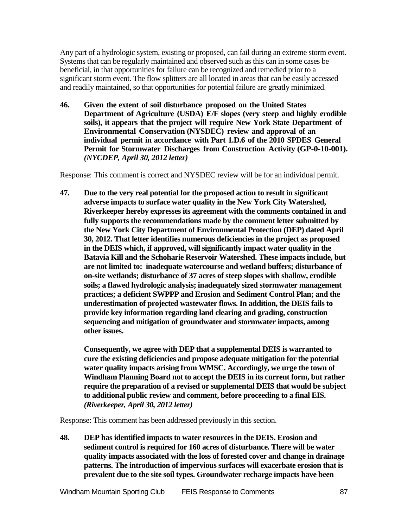Any part of a hydrologic system, existing or proposed, can fail during an extreme storm event. Systems that can be regularly maintained and observed such as this can in some cases be beneficial, in that opportunities for failure can be recognized and remedied prior to a significant storm event. The flow splitters are all located in areas that can be easily accessed and readily maintained, so that opportunities for potential failure are greatly minimized.

**46. Given the extent of soil disturbance proposed on the United States Department of Agriculture (USDA) E/F slopes (very steep and highly erodible soils), it appears that the project will require New York State Department of Environmental Conservation (NYSDEC) review and approval of an individual permit in accordance with Part 1.D.6 of the 2010 SPDES General Permit for Stormwater Discharges from Construction Activity (GP-0-10-001).**  *(NYCDEP, April 30, 2012 letter)*

Response: This comment is correct and NYSDEC review will be for an individual permit.

**47. Due to the very real potential for the proposed action to result in significant adverse impacts to surface water quality in the New York City Watershed, Riverkeeper hereby expresses its agreement with the comments contained in and fully supports the recommendations made by the comment letter submitted by the New York City Department of Environmental Protection (DEP) dated April 30, 2012. That letter identifies numerous deficiencies in the project as proposed in the DEIS which, if approved, will significantly impact water quality in the Batavia Kill and the Schoharie Reservoir Watershed. These impacts include, but are not limited to: inadequate watercourse and wetland buffers; disturbance of on-site wetlands; disturbance of 37 acres of steep slopes with shallow, erodible soils; a flawed hydrologic analysis; inadequately sized stormwater management practices; a deficient SWPPP and Erosion and Sediment Control Plan; and the underestimation of projected wastewater flows. In addition, the DEIS fails to provide key information regarding land clearing and grading, construction sequencing and mitigation of groundwater and stormwater impacts, among other issues.**

**Consequently, we agree with DEP that a supplemental DEIS is warranted to cure the existing deficiencies and propose adequate mitigation for the potential water quality impacts arising from WMSC. Accordingly, we urge the town of Windham Planning Board not to accept the DEIS in its current form, but rather require the preparation of a revised or supplemental DEIS that would be subject to additional public review and comment, before proceeding to a final EIS.**  *(Riverkeeper, April 30, 2012 letter)*

Response: This comment has been addressed previously in this section.

**48. DEP has identified impacts to water resources in the DEIS. Erosion and sediment control is required for 160 acres of disturbance. There will be water quality impacts associated with the loss of forested cover and change in drainage patterns. The introduction of impervious surfaces will exacerbate erosion that is prevalent due to the site soil types. Groundwater recharge impacts have been**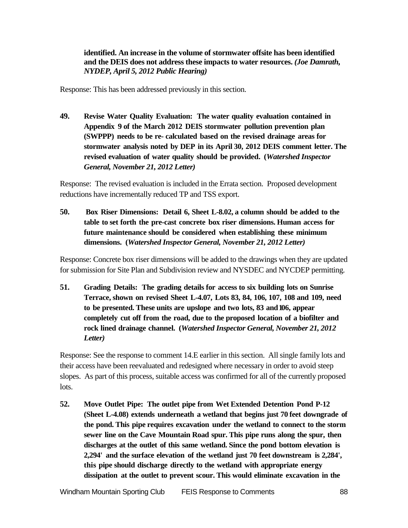**identified. An increase in the volume of stormwater offsite has been identified and the DEIS does not address these impacts to water resources.** *(Joe Damrath, NYDEP, April 5, 2012 Public Hearing)*

Response: This has been addressed previously in this section.

**49. Revise Water Quality Evaluation: The water quality evaluation contained in Appendix 9 of the March 2012 DEIS stormwater pollution prevention plan (SWPPP) needs to be re- calculated based on the revised drainage areas for stormwater analysis noted by DEP in its April 30, 2012 DEIS comment letter. The revised evaluation of water quality should be provided. (***Watershed Inspector General, November 21, 2012 Letter)*

Response: The revised evaluation is included in the Errata section. Proposed development reductions have incrementally reduced TP and TSS export.

**50. Box Riser Dimensions: Detail 6, Sheet L-8.02, a column should be added to the table to set forth the pre-cast concrete box riser dimensions. Human access for future maintenance should be considered when establishing these minimum dimensions. (***Watershed Inspector General, November 21, 2012 Letter)*

Response: Concrete box riser dimensions will be added to the drawings when they are updated for submission for Site Plan and Subdivision review and NYSDEC and NYCDEP permitting.

**51. Grading Details: The grading details for access to six building lots on Sunrise Terrace, shown on revised Sheet L-4.07, Lots 83, 84, 106, 107, 108 and 109, need to be presented. These units are upslope and two lots, 83 and106, appear completely cut off from the road, due to the proposed location of a biofilter and rock lined drainage channel. (***Watershed Inspector General, November 21, 2012 Letter)*

Response: See the response to comment 14.E earlier in this section. All single family lots and their access have been reevaluated and redesigned where necessary in order to avoid steep slopes. As part of this process, suitable access was confirmed for all of the currently proposed lots.

**52. Move Outlet Pipe: The outlet pipe from Wet Extended Detention Pond P-12 (Sheet L-4.08) extends underneath a wetland that begins just 70 feet downgrade of the pond. This pipe requires excavation under the wetland to connect to the storm sewer line on the Cave Mountain Road spur. This pipe runs along the spur, then discharges at the outlet of this same wetland. Since the pond bottom elevation is 2,294' and the surface elevation of the wetland just 70 feet downstream is 2,284', this pipe should discharge directly to the wetland with appropriate energy dissipation at the outlet to prevent scour. This would eliminate excavation in the**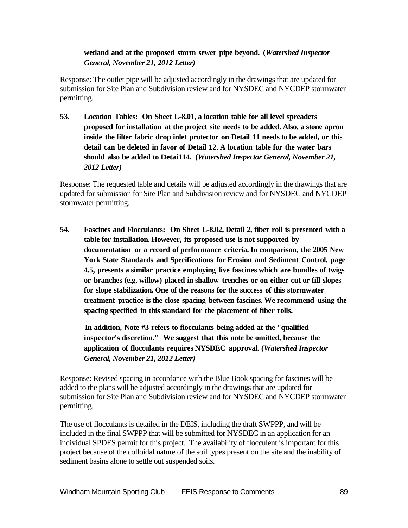# **wetland and at the proposed storm sewer pipe beyond. (***Watershed Inspector General, November 21, 2012 Letter)*

Response: The outlet pipe will be adjusted accordingly in the drawings that are updated for submission for Site Plan and Subdivision review and for NYSDEC and NYCDEP stormwater permitting.

**53. Location Tables: On Sheet L-8.01, a location table for all level spreaders proposed for installation at the project site needs to be added. Also, a stone apron inside the filter fabric drop inlet protector on Detail 11 needs to be added, or this detail can be deleted in favor of Detail 12. A location table for the water bars should also be added to Detai114. (***Watershed Inspector General, November 21, 2012 Letter)*

Response: The requested table and details will be adjusted accordingly in the drawings that are updated for submission for Site Plan and Subdivision review and for NYSDEC and NYCDEP stormwater permitting.

**54. Fascines and Flocculants: On Sheet L-8.02, Detail 2, fiber roll is presented with a table for installation. However, its proposed use is not supported by documentation or a record of performance criteria. In comparison, the 2005 New York State Standards and Specifications for Erosion and Sediment Control, page 4.5, presents a similar practice employing live fascines which are bundles of twigs or branches (e.g. willow) placed in shallow trenches or on either cut or fill slopes for slope stabilization. One of the reasons for the success of this stormwater treatment practice is the close spacing between fascines. We recommend using the spacing specified in this standard for the placement of fiber rolls.**

**In addition, Note #3 refers to flocculants being added at the "qualified inspector's discretion." We suggest that this note be omitted, because the application of flocculants requires NYSDEC approval. (***Watershed Inspector General, November 21, 2012 Letter)*

Response: Revised spacing in accordance with the Blue Book spacing for fascines will be added to the plans will be adjusted accordingly in the drawings that are updated for submission for Site Plan and Subdivision review and for NYSDEC and NYCDEP stormwater permitting.

The use of flocculants is detailed in the DEIS, including the draft SWPPP, and will be included in the final SWPPP that will be submitted for NYSDEC in an application for an individual SPDES permit for this project. The availability of flocculent is important for this project because of the colloidal nature of the soil types present on the site and the inability of sediment basins alone to settle out suspended soils.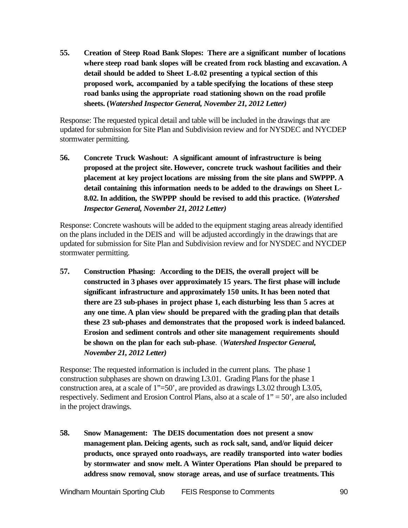**55. Creation of Steep Road Bank Slopes: There are a significant number of locations where steep road bank slopes will be created from rock blasting and excavation. A detail should be added to Sheet L-8.02 presenting a typical section of this proposed work, accompanied by a table specifying the locations of these steep road banks using the appropriate road stationing shown on the road profile sheets. (***Watershed Inspector General, November 21, 2012 Letter)*

Response: The requested typical detail and table will be included in the drawings that are updated for submission for Site Plan and Subdivision review and for NYSDEC and NYCDEP stormwater permitting.

**56. Concrete Truck Washout: A significant amount of infrastructure is being proposed at the project site. However, concrete truck washout facilities and their placement at key project locations are missing from the site plans and SWPPP. A detail containing this information needs to be added to the drawings on Sheet L-8.02. In addition, the SWPPP should be revised to add this practice. (***Watershed Inspector General, November 21, 2012 Letter)*

Response: Concrete washouts will be added to the equipment staging areas already identified on the plans included in the DEIS and will be adjusted accordingly in the drawings that are updated for submission for Site Plan and Subdivision review and for NYSDEC and NYCDEP stormwater permitting.

**57. Construction Phasing: According to the DEIS, the overall project will be constructed in 3 phases over approximately 15 years. The first phase will include significant infrastructure and approximately 150 units. It has been noted that there are 23 sub-phases in project phase 1, each disturbing less than 5 acres at any one time. A plan view should be prepared with the grading plan that details these 23 sub-phases and demonstrates that the proposed work is indeed balanced. Erosion and sediment controls and other site management requirements should be shown on the plan for each sub-phase**. (*Watershed Inspector General, November 21, 2012 Letter)*

Response: The requested information is included in the current plans. The phase 1 construction subphases are shown on drawing L3.01. Grading Plans for the phase 1 construction area, at a scale of 1"=50', are provided as drawings L3.02 through L3.05, respectively. Sediment and Erosion Control Plans, also at a scale of 1" = 50', are also included in the project drawings.

**58. Snow Management: The DEIS documentation does not present a snow management plan. Deicing agents, such as rock salt, sand, and/or liquid deicer products, once sprayed onto roadways, are readily transported into water bodies by stormwater and snow melt. A Winter Operations Plan should be prepared to address snow removal, snow storage areas, and use of surface treatments. This**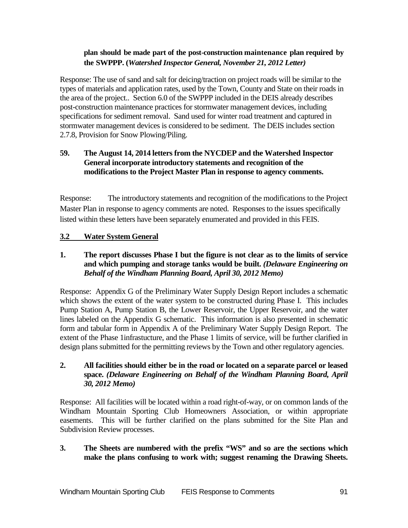# **plan should be made part of the post-construction maintenance plan required by the SWPPP. (***Watershed Inspector General, November 21, 2012 Letter)*

Response: The use of sand and salt for deicing/traction on project roads will be similar to the types of materials and application rates, used by the Town, County and State on their roads in the area of the project.. Section 6.0 of the SWPPP included in the DEIS already describes post-construction maintenance practices for stormwater management devices, including specifications for sediment removal. Sand used for winter road treatment and captured in stormwater management devices is considered to be sediment. The DEIS includes section 2.7.8, Provision for Snow Plowing/Piling.

# **59. The August 14, 2014 letters from the NYCDEP and the Watershed Inspector General incorporate introductory statements and recognition of the modifications to the Project Master Plan in response to agency comments.**

Response: The introductory statements and recognition of the modifications to the Project Master Plan in response to agency comments are noted. Responses to the issues specifically listed within these letters have been separately enumerated and provided in this FEIS.

# **3.2 Water System General**

# **1. The report discusses Phase I but the figure is not clear as to the limits of service and which pumping and storage tanks would be built.** *(Delaware Engineering on Behalf of the Windham Planning Board, April 30, 2012 Memo)*

Response: Appendix G of the Preliminary Water Supply Design Report includes a schematic which shows the extent of the water system to be constructed during Phase I. This includes Pump Station A, Pump Station B, the Lower Reservoir, the Upper Reservoir, and the water lines labeled on the Appendix G schematic. This information is also presented in schematic form and tabular form in Appendix A of the Preliminary Water Supply Design Report. The extent of the Phase 1infrastucture, and the Phase 1 limits of service, will be further clarified in design plans submitted for the permitting reviews by the Town and other regulatory agencies.

# **2. All facilities should either be in the road or located on a separate parcel or leased space.** *(Delaware Engineering on Behalf of the Windham Planning Board, April 30, 2012 Memo)*

Response: All facilities will be located within a road right-of-way, or on common lands of the Windham Mountain Sporting Club Homeowners Association, or within appropriate easements. This will be further clarified on the plans submitted for the Site Plan and Subdivision Review processes.

# **3. The Sheets are numbered with the prefix "WS" and so are the sections which make the plans confusing to work with; suggest renaming the Drawing Sheets.**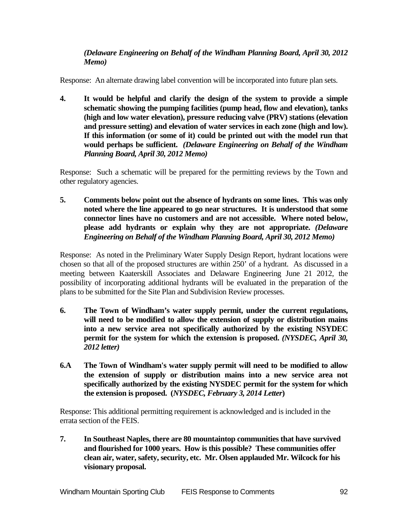# *(Delaware Engineering on Behalf of the Windham Planning Board, April 30, 2012 Memo)*

Response: An alternate drawing label convention will be incorporated into future plan sets.

**4. It would be helpful and clarify the design of the system to provide a simple schematic showing the pumping facilities (pump head, flow and elevation), tanks (high and low water elevation), pressure reducing valve (PRV) stations (elevation and pressure setting) and elevation of water services in each zone (high and low). If this information (or some of it) could be printed out with the model run that would perhaps be sufficient.** *(Delaware Engineering on Behalf of the Windham Planning Board, April 30, 2012 Memo)*

Response: Such a schematic will be prepared for the permitting reviews by the Town and other regulatory agencies.

**5. Comments below point out the absence of hydrants on some lines. This was only noted where the line appeared to go near structures. It is understood that some connector lines have no customers and are not accessible. Where noted below, please add hydrants or explain why they are not appropriate.** *(Delaware Engineering on Behalf of the Windham Planning Board, April 30, 2012 Memo)*

Response: As noted in the Preliminary Water Supply Design Report, hydrant locations were chosen so that all of the proposed structures are within 250' of a hydrant. As discussed in a meeting between Kaaterskill Associates and Delaware Engineering June 21 2012, the possibility of incorporating additional hydrants will be evaluated in the preparation of the plans to be submitted for the Site Plan and Subdivision Review processes.

- **6. The Town of Windham's water supply permit, under the current regulations, will need to be modified to allow the extension of supply or distribution mains into a new service area not specifically authorized by the existing NSYDEC permit for the system for which the extension is proposed.** *(NYSDEC, April 30, 2012 letter)*
- **6.A The Town of Windham's water supply permit will need to be modified to allow the extension of supply or distribution mains into a new service area not specifically authorized by the existing NYSDEC permit for the system for which the extension is proposed. (***NYSDEC, February 3, 2014 Letter***)**

Response: This additional permitting requirement is acknowledged and is included in the errata section of the FEIS.

**7. In Southeast Naples, there are 80 mountaintop communities that have survived and flourished for 1000 years. How is this possible? These communities offer clean air, water, safety, security, etc. Mr. Olsen applauded Mr. Wilcock for his visionary proposal.**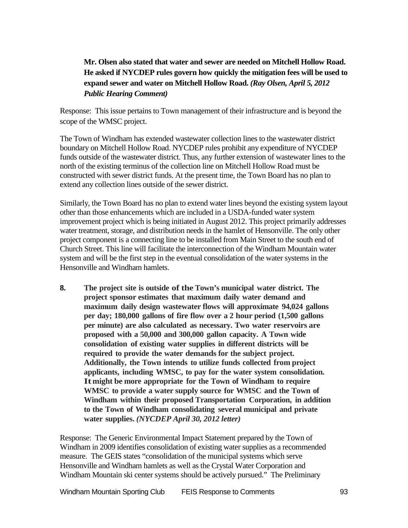# **Mr. Olsen also stated that water and sewer are needed on Mitchell Hollow Road. He asked if NYCDEP rules govern how quickly the mitigation fees will be used to expand sewer and water on Mitchell Hollow Road.** *(Ray Olsen, April 5, 2012 Public Hearing Comment)*

Response: This issue pertains to Town management of their infrastructure and is beyond the scope of the WMSC project.

The Town of Windham has extended wastewater collection lines to the wastewater district boundary on Mitchell Hollow Road. NYCDEP rules prohibit any expenditure of NYCDEP funds outside of the wastewater district. Thus, any further extension of wastewater lines to the north of the existing terminus of the collection line on Mitchell Hollow Road must be constructed with sewer district funds. At the present time, the Town Board has no plan to extend any collection lines outside of the sewer district.

Similarly, the Town Board has no plan to extend water lines beyond the existing system layout other than those enhancements which are included in a USDA-funded water system improvement project which is being initiated in August 2012. This project primarily addresses water treatment, storage, and distribution needs in the hamlet of Hensonville. The only other project component is a connecting line to be installed from Main Street to the south end of Church Street. This line will facilitate the interconnection of the Windham Mountain water system and will be the first step in the eventual consolidation of the water systems in the Hensonville and Windham hamlets.

**8. The project site is outside of the Town's municipal water district. The project sponsor estimates that maximum daily water demand and maximum daily design wastewater flows will approximate 94,024 gallons per day; 180,000 gallons of fire flow over a 2 hour period (1,500 gallons per minute) are also calculated as necessary. Two water reservoirs are proposed with a 50,000 and 300,000 gallon capacity. A Town wide consolidation of existing water supplies in different districts will be required to provide the water demands for the subject project. Additionally, the Town intends to utilize funds collected from project applicants, including WMSC, to pay for the water system consolidation. Itmight be more appropriate for the Town of Windham to require WMSC to provide a water supply source for WMSC and the Town of Windham within their proposed Transportation Corporation, in addition to the Town of Windham consolidating several municipal and private water supplies.** *(NYCDEP April 30, 2012 letter)*

Response: The Generic Environmental Impact Statement prepared by the Town of Windham in 2009 identifies consolidation of existing water supplies as a recommended measure. The GEIS states "consolidation of the municipal systems which serve Hensonville and Windham hamlets as well as the Crystal Water Corporation and Windham Mountain ski center systems should be actively pursued." The Preliminary

Windham Mountain Sporting Club FEIS Response to Comments 93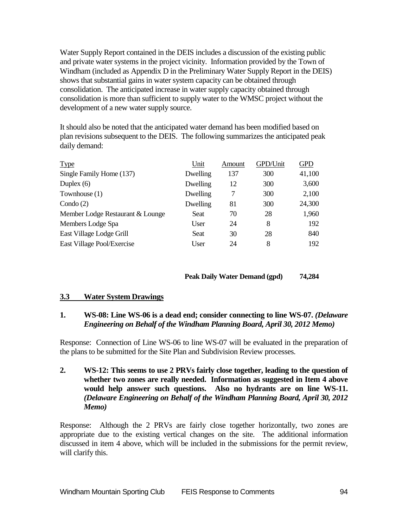Water Supply Report contained in the DEIS includes a discussion of the existing public and private water systems in the project vicinity. Information provided by the Town of Windham (included as Appendix D in the Preliminary Water Supply Report in the DEIS) shows that substantial gains in water system capacity can be obtained through consolidation. The anticipated increase in water supply capacity obtained through consolidation is more than sufficient to supply water to the WMSC project without the development of a new water supply source.

It should also be noted that the anticipated water demand has been modified based on plan revisions subsequent to the DEIS. The following summarizes the anticipated peak daily demand:

| <b>Type</b>                      | Unit     | Amount | GPD/Unit | <b>GPD</b> |
|----------------------------------|----------|--------|----------|------------|
| Single Family Home (137)         | Dwelling | 137    | 300      | 41,100     |
| Duplex $(6)$                     | Dwelling | 12     | 300      | 3,600      |
| Townhouse (1)                    | Dwelling | 7      | 300      | 2,100      |
| Condo $(2)$                      | Dwelling | 81     | 300      | 24,300     |
| Member Lodge Restaurant & Lounge | Seat     | 70     | 28       | 1,960      |
| Members Lodge Spa                | User     | 24     | 8        | 192        |
| East Village Lodge Grill         | Seat     | 30     | 28       | 840        |
| East Village Pool/Exercise       | User     | 24     | 8        | 192        |
|                                  |          |        |          |            |

# **Peak Daily Water Demand (gpd) 74,284**

#### **3.3 Water System Drawings**

# **1. WS-08: Line WS-06 is a dead end; consider connecting to line WS-07.** *(Delaware Engineering on Behalf of the Windham Planning Board, April 30, 2012 Memo)*

Response: Connection of Line WS-06 to line WS-07 will be evaluated in the preparation of the plans to be submitted for the Site Plan and Subdivision Review processes.

### **2. WS-12: This seems to use 2 PRVs fairly close together, leading to the question of whether two zones are really needed. Information as suggested in Item 4 above would help answer such questions. Also no hydrants are on line WS-11.**  *(Delaware Engineering on Behalf of the Windham Planning Board, April 30, 2012 Memo)*

Response: Although the 2 PRVs are fairly close together horizontally, two zones are appropriate due to the existing vertical changes on the site. The additional information discussed in item 4 above, which will be included in the submissions for the permit review, will clarify this.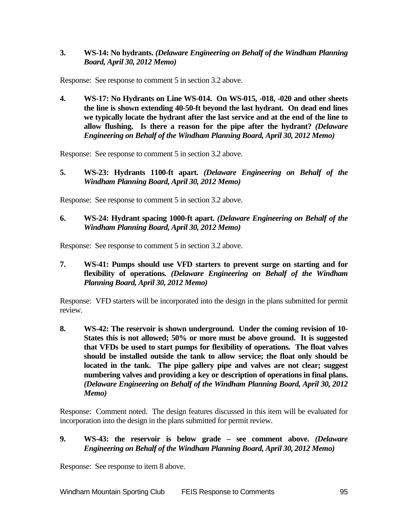## **3. WS-14: No hydrants.** *(Delaware Engineering on Behalf of the Windham Planning Board, April 30, 2012 Memo)*

Response: See response to comment 5 in section 3.2 above.

**4. WS-17: No Hydrants on Line WS-014. On WS-015, -018, -020 and other sheets the line is shown extending 40-50-ft beyond the last hydrant. On dead end lines we typically locate the hydrant after the last service and at the end of the line to allow flushing. Is there a reason for the pipe after the hydrant?** *(Delaware Engineering on Behalf of the Windham Planning Board, April 30, 2012 Memo)*

Response: See response to comment 5 in section 3.2 above.

**5. WS-23: Hydrants 1100-ft apart.** *(Delaware Engineering on Behalf of the Windham Planning Board, April 30, 2012 Memo)*

Response: See response to comment 5 in section 3.2 above.

**6. WS-24: Hydrant spacing 1000-ft apart.** *(Delaware Engineering on Behalf of the Windham Planning Board, April 30, 2012 Memo)*

Response: See response to comment 5 in section 3.2 above.

**7. WS-41: Pumps should use VFD starters to prevent surge on starting and for flexibility of operations.** *(Delaware Engineering on Behalf of the Windham Planning Board, April 30, 2012 Memo)*

Response: VFD starters will be incorporated into the design in the plans submitted for permit review.

**8. WS-42: The reservoir is shown underground. Under the coming revision of 10- States this is not allowed; 50% or more must be above ground. It is suggested that VFDs be used to start pumps for flexibility of operations. The float valves should be installed outside the tank to allow service; the float only should be located in the tank. The pipe gallery pipe and valves are not clear; suggest numbering valves and providing a key or description of operations in final plans.**  *(Delaware Engineering on Behalf of the Windham Planning Board, April 30, 2012 Memo)*

Response: Comment noted. The design features discussed in this item will be evaluated for incorporation into the design in the plans submitted for permit review.

#### **9. WS-43: the reservoir is below grade – see comment above.** *(Delaware Engineering on Behalf of the Windham Planning Board, April 30, 2012 Memo)*

Response: See response to item 8 above.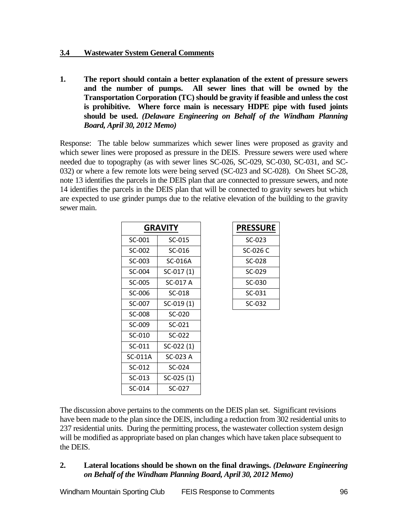# **3.4 Wastewater System General Comments**

**1. The report should contain a better explanation of the extent of pressure sewers and the number of pumps. All sewer lines that will be owned by the Transportation Corporation (TC) should be gravity if feasible and unless the cost is prohibitive. Where force main is necessary HDPE pipe with fused joints should be used.** *(Delaware Engineering on Behalf of the Windham Planning Board, April 30, 2012 Memo)*

Response: The table below summarizes which sewer lines were proposed as gravity and which sewer lines were proposed as pressure in the DEIS. Pressure sewers were used where needed due to topography (as with sewer lines SC-026, SC-029, SC-030, SC-031, and SC-032) or where a few remote lots were being served (SC-023 and SC-028). On Sheet SC-28, note 13 identifies the parcels in the DEIS plan that are connected to pressure sewers, and note 14 identifies the parcels in the DEIS plan that will be connected to gravity sewers but which are expected to use grinder pumps due to the relative elevation of the building to the gravity sewer main.

| <b>GRAVITY</b> |             | <b>PRESSURE</b> |
|----------------|-------------|-----------------|
| SC-001         | $SC-015$    | $SC-023$        |
| SC-002         | SC-016      | SC-026 C        |
| SC-003         | SC-016A     | SC-028          |
| SC-004         | $SC-017(1)$ | SC-029          |
| SC-005         | SC-017 A    | SC-030          |
| SC-006         | SC-018      | $SC-031$        |
| SC-007         | $SC-019(1)$ | $SC-032$        |
| SC-008         | SC-020      |                 |
| SC-009         | $SC-021$    |                 |
| $SC-010$       | $SC-022$    |                 |
| SC-011         | SC-022 (1)  |                 |
| SC-011A        | SC-023 A    |                 |
| $SC-012$       | SC-024      |                 |
| SC-013         | SC-025 (1)  |                 |
| SC-014         | SC-027      |                 |

| <b>PRESSURE</b> |
|-----------------|
| SC-023          |
| SC-026 C        |
| SC-028          |
| SC-029          |
| SC-030          |
| SC-031          |
| SC-032          |

The discussion above pertains to the comments on the DEIS plan set. Significant revisions have been made to the plan since the DEIS, including a reduction from 302 residential units to 237 residential units. During the permitting process, the wastewater collection system design will be modified as appropriate based on plan changes which have taken place subsequent to the DEIS.

# **2. Lateral locations should be shown on the final drawings.** *(Delaware Engineering on Behalf of the Windham Planning Board, April 30, 2012 Memo)*

Windham Mountain Sporting Club FEIS Response to Comments 96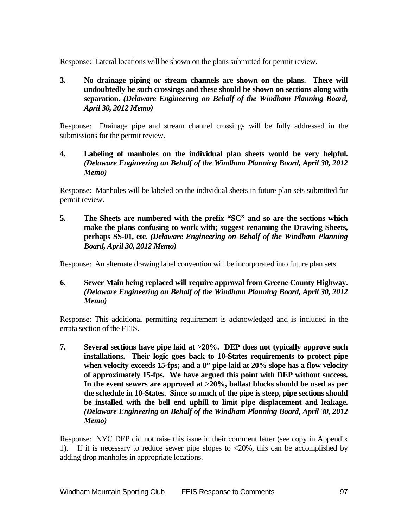Response: Lateral locations will be shown on the plans submitted for permit review.

**3. No drainage piping or stream channels are shown on the plans. There will undoubtedly be such crossings and these should be shown on sections along with separation.** *(Delaware Engineering on Behalf of the Windham Planning Board, April 30, 2012 Memo)*

Response: Drainage pipe and stream channel crossings will be fully addressed in the submissions for the permit review.

**4. Labeling of manholes on the individual plan sheets would be very helpful.** *(Delaware Engineering on Behalf of the Windham Planning Board, April 30, 2012 Memo)*

Response: Manholes will be labeled on the individual sheets in future plan sets submitted for permit review.

**5. The Sheets are numbered with the prefix "SC" and so are the sections which make the plans confusing to work with; suggest renaming the Drawing Sheets, perhaps SS-01, etc.** *(Delaware Engineering on Behalf of the Windham Planning Board, April 30, 2012 Memo)*

Response: An alternate drawing label convention will be incorporated into future plan sets.

**6. Sewer Main being replaced will require approval from Greene County Highway.** *(Delaware Engineering on Behalf of the Windham Planning Board, April 30, 2012 Memo)*

Response: This additional permitting requirement is acknowledged and is included in the errata section of the FEIS.

**7. Several sections have pipe laid at >20%. DEP does not typically approve such installations. Their logic goes back to 10-States requirements to protect pipe when velocity exceeds 15-fps; and a 8" pipe laid at 20% slope has a flow velocity of approximately 15-fps. We have argued this point with DEP without success. In the event sewers are approved at >20%, ballast blocks should be used as per the schedule in 10-States. Since so much of the pipe is steep, pipe sections should be installed with the bell end uphill to limit pipe displacement and leakage.**  *(Delaware Engineering on Behalf of the Windham Planning Board, April 30, 2012 Memo)*

Response: NYC DEP did not raise this issue in their comment letter (see copy in Appendix 1). If it is necessary to reduce sewer pipe slopes to  $\langle 20\%$ , this can be accomplished by adding drop manholes in appropriate locations.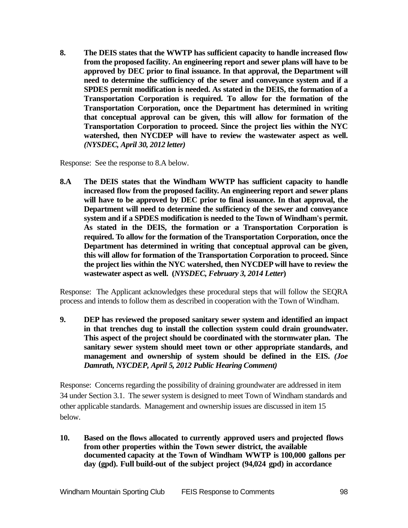**8. The DEIS states that the WWTP has sufficient capacity to handle increased flow from the proposed facility. An engineering report and sewer plans will have to be approved by DEC prior to final issuance. In that approval, the Department will need to determine the sufficiency of the sewer and conveyance system and if a SPDES permit modification is needed. As stated in the DEIS, the formation of a Transportation Corporation is required. To allow for the formation of the Transportation Corporation, once the Department has determined in writing that conceptual approval can be given, this will allow for formation of the Transportation Corporation to proceed. Since the project lies within the NYC watershed, then NYCDEP will have to review the wastewater aspect as well.**  *(NYSDEC, April 30, 2012 letter)*

Response: See the response to 8.A below.

**8.A The DEIS states that the Windham WWTP has sufficient capacity to handle increased flow from the proposed facility. An engineering report and sewer plans will have to be approved by DEC prior to final issuance. In that approval, the Department will need to determine the sufficiency of the sewer and conveyance system and if a SPDES modification is needed to the Town of Windham's permit. As stated in the DEIS, the formation or a Transportation Corporation is required. To allow for the formation of the Transportation Corporation, once the Department has determined in writing that conceptual approval can be given, this will allow for formation of the Transportation Corporation to proceed. Since the project lies within the NYC watershed, then NYCDEP will have to review the wastewater aspect as well. (***NYSDEC, February 3, 2014 Letter***)**

Response: The Applicant acknowledges these procedural steps that will follow the SEQRA process and intends to follow them as described in cooperation with the Town of Windham.

**9. DEP has reviewed the proposed sanitary sewer system and identified an impact in that trenches dug to install the collection system could drain groundwater. This aspect of the project should be coordinated with the stormwater plan. The sanitary sewer system should meet town or other appropriate standards, and management and ownership of system should be defined in the EIS.** *(Joe Damrath, NYCDEP, April 5, 2012 Public Hearing Comment)*

Response: Concerns regarding the possibility of draining groundwater are addressed in item 34 under Section 3.1. The sewer system is designed to meet Town of Windham standards and other applicable standards. Management and ownership issues are discussed in item 15 below.

**10. Based on the flows allocated to currently approved users and projected flows from other properties within the Town sewer district, the available documented capacity at the Town of Windham WWTP is 100,000 gallons per day (gpd). Full build-out of the subject project (94,024 gpd) in accordance**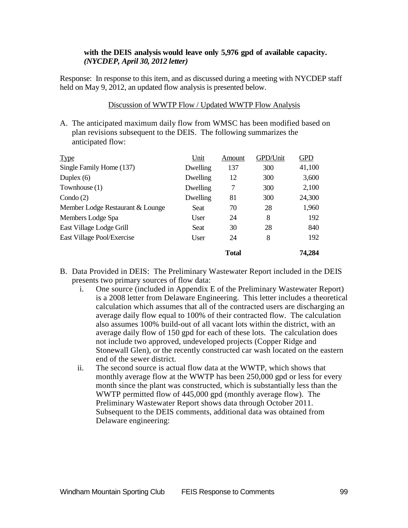#### **with the DEIS analysis would leave only 5,976 gpd of available capacity.**  *(NYCDEP, April 30, 2012 letter)*

Response: In response to this item, and as discussed during a meeting with NYCDEP staff held on May 9, 2012, an updated flow analysis is presented below.

### Discussion of WWTP Flow / Updated WWTP Flow Analysis

A. The anticipated maximum daily flow from WMSC has been modified based on plan revisions subsequent to the DEIS. The following summarizes the anticipated flow:

| <b>Type</b>                      | Unit     | Amount       | GPD/Unit | <b>GPD</b> |
|----------------------------------|----------|--------------|----------|------------|
| Single Family Home (137)         | Dwelling | 137          | 300      | 41,100     |
| Duplex $(6)$                     | Dwelling | 12           | 300      | 3,600      |
| Townhouse $(1)$                  | Dwelling | 7            | 300      | 2,100      |
| Condo $(2)$                      | Dwelling | 81           | 300      | 24,300     |
| Member Lodge Restaurant & Lounge | Seat     | 70           | 28       | 1,960      |
| Members Lodge Spa                | User     | 24           | 8        | 192        |
| East Village Lodge Grill         | Seat     | 30           | 28       | 840        |
| East Village Pool/Exercise       | User     | 24           | 8        | 192        |
|                                  |          | <b>Total</b> |          | 74,284     |

- B. Data Provided in DEIS: The Preliminary Wastewater Report included in the DEIS presents two primary sources of flow data:
	- i. One source (included in Appendix E of the Preliminary Wastewater Report) is a 2008 letter from Delaware Engineering. This letter includes a theoretical calculation which assumes that all of the contracted users are discharging an average daily flow equal to 100% of their contracted flow. The calculation also assumes 100% build-out of all vacant lots within the district, with an average daily flow of 150 gpd for each of these lots. The calculation does not include two approved, undeveloped projects (Copper Ridge and Stonewall Glen), or the recently constructed car wash located on the eastern end of the sewer district.
	- ii. The second source is actual flow data at the WWTP, which shows that monthly average flow at the WWTP has been 250,000 gpd or less for every month since the plant was constructed, which is substantially less than the WWTP permitted flow of 445,000 gpd (monthly average flow). The Preliminary Wastewater Report shows data through October 2011. Subsequent to the DEIS comments, additional data was obtained from Delaware engineering: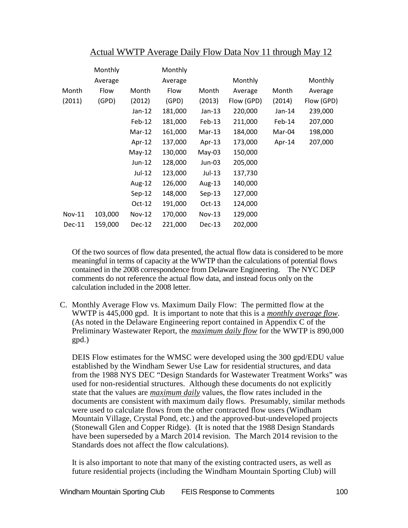|        | Monthly |          | Monthly |          |            |          |            |
|--------|---------|----------|---------|----------|------------|----------|------------|
|        | Average |          | Average |          | Monthly    |          | Monthly    |
| Month  | Flow    | Month    | Flow    | Month    | Average    | Month    | Average    |
| (2011) | (GPD)   | (2012)   | (GPD)   | (2013)   | Flow (GPD) | (2014)   | Flow (GPD) |
|        |         | Jan-12   | 181,000 | $Jan-13$ | 220,000    | $Jan-14$ | 239,000    |
|        |         | $Feb-12$ | 181,000 | Feb-13   | 211,000    | Feb-14   | 207,000    |
|        |         | $Mar-12$ | 161,000 | $Mar-13$ | 184,000    | Mar-04   | 198,000    |
|        |         | Apr-12   | 137,000 | Apr-13   | 173,000    | Apr-14   | 207,000    |
|        |         | $May-12$ | 130,000 | $May-03$ | 150,000    |          |            |
|        |         | $Jun-12$ | 128,000 | Jun-03   | 205,000    |          |            |
|        |         | Jul-12   | 123,000 | Jul-13   | 137,730    |          |            |
|        |         | Aug-12   | 126,000 | Aug-13   | 140,000    |          |            |
|        |         | $Sep-12$ | 148,000 | $Sep-13$ | 127,000    |          |            |
|        |         | $Oct-12$ | 191,000 | $Oct-13$ | 124,000    |          |            |
| Nov-11 | 103,000 | $Nov-12$ | 170,000 | $Nov-13$ | 129,000    |          |            |
| Dec-11 | 159,000 | $Dec-12$ | 221,000 | Dec-13   | 202,000    |          |            |

## Actual WWTP Average Daily Flow Data Nov 11 through May 12

Of the two sources of flow data presented, the actual flow data is considered to be more meaningful in terms of capacity at the WWTP than the calculations of potential flows contained in the 2008 correspondence from Delaware Engineering. The NYC DEP comments do not reference the actual flow data, and instead focus only on the calculation included in the 2008 letter.

C. Monthly Average Flow vs. Maximum Daily Flow: The permitted flow at the WWTP is 445,000 gpd. It is important to note that this is a *monthly average flow*. (As noted in the Delaware Engineering report contained in Appendix C of the Preliminary Wastewater Report, the *maximum daily flow* for the WWTP is 890,000 gpd.)

DEIS Flow estimates for the WMSC were developed using the 300 gpd/EDU value established by the Windham Sewer Use Law for residential structures, and data from the 1988 NYS DEC "Design Standards for Wastewater Treatment Works" was used for non-residential structures. Although these documents do not explicitly state that the values are *maximum daily* values, the flow rates included in the documents are consistent with maximum daily flows. Presumably, similar methods were used to calculate flows from the other contracted flow users (Windham Mountain Village, Crystal Pond, etc.) and the approved-but-undeveloped projects (Stonewall Glen and Copper Ridge). (It is noted that the 1988 Design Standards have been superseded by a March 2014 revision. The March 2014 revision to the Standards does not affect the flow calculations).

It is also important to note that many of the existing contracted users, as well as future residential projects (including the Windham Mountain Sporting Club) will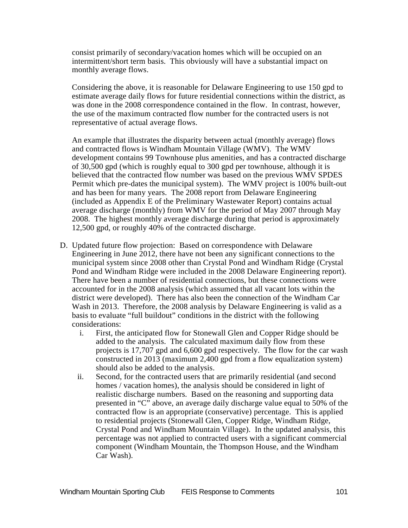consist primarily of secondary/vacation homes which will be occupied on an intermittent/short term basis. This obviously will have a substantial impact on monthly average flows.

Considering the above, it is reasonable for Delaware Engineering to use 150 gpd to estimate average daily flows for future residential connections within the district, as was done in the 2008 correspondence contained in the flow. In contrast, however, the use of the maximum contracted flow number for the contracted users is not representative of actual average flows.

An example that illustrates the disparity between actual (monthly average) flows and contracted flows is Windham Mountain Village (WMV). The WMV development contains 99 Townhouse plus amenities, and has a contracted discharge of 30,500 gpd (which is roughly equal to 300 gpd per townhouse, although it is believed that the contracted flow number was based on the previous WMV SPDES Permit which pre-dates the municipal system). The WMV project is 100% built-out and has been for many years. The 2008 report from Delaware Engineering (included as Appendix E of the Preliminary Wastewater Report) contains actual average discharge (monthly) from WMV for the period of May 2007 through May 2008. The highest monthly average discharge during that period is approximately 12,500 gpd, or roughly 40% of the contracted discharge.

- D. Updated future flow projection: Based on correspondence with Delaware Engineering in June 2012, there have not been any significant connections to the municipal system since 2008 other than Crystal Pond and Windham Ridge (Crystal Pond and Windham Ridge were included in the 2008 Delaware Engineering report). There have been a number of residential connections, but these connections were accounted for in the 2008 analysis (which assumed that all vacant lots within the district were developed). There has also been the connection of the Windham Car Wash in 2013. Therefore, the 2008 analysis by Delaware Engineering is valid as a basis to evaluate "full buildout" conditions in the district with the following considerations:
	- i. First, the anticipated flow for Stonewall Glen and Copper Ridge should be added to the analysis. The calculated maximum daily flow from these projects is 17,707 gpd and 6,600 gpd respectively. The flow for the car wash constructed in 2013 (maximum 2,400 gpd from a flow equalization system) should also be added to the analysis.
	- ii. Second, for the contracted users that are primarily residential (and second homes / vacation homes), the analysis should be considered in light of realistic discharge numbers. Based on the reasoning and supporting data presented in "C" above, an average daily discharge value equal to 50% of the contracted flow is an appropriate (conservative) percentage. This is applied to residential projects (Stonewall Glen, Copper Ridge, Windham Ridge, Crystal Pond and Windham Mountain Village). In the updated analysis, this percentage was not applied to contracted users with a significant commercial component (Windham Mountain, the Thompson House, and the Windham Car Wash).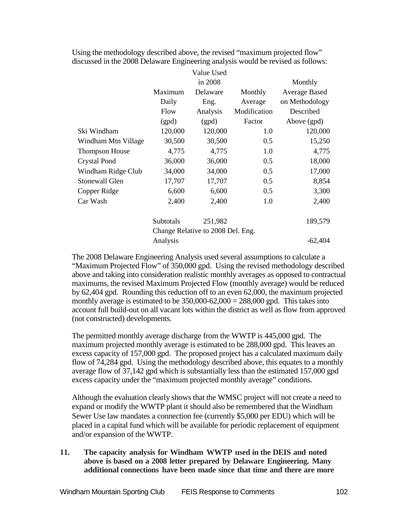|                                   |           | Value Used |              |                |  |
|-----------------------------------|-----------|------------|--------------|----------------|--|
|                                   |           | in 2008    |              | Monthly        |  |
|                                   | Maximum   | Delaware   | Monthly      | Average Based  |  |
|                                   | Daily     | Eng.       | Average      | on Methodology |  |
|                                   | Flow      | Analysis   | Modification | Described      |  |
|                                   | (gpd)     | (gpd)      | Factor       | Above (gpd)    |  |
| Ski Windham                       | 120,000   | 120,000    | 1.0          | 120,000        |  |
| Windham Mtn Village               | 30,500    | 30,500     | 0.5          | 15,250         |  |
| <b>Thompson House</b>             | 4,775     | 4,775      | 1.0          | 4,775          |  |
| <b>Crystal Pond</b>               | 36,000    | 36,000     | 0.5          | 18,000         |  |
| Windham Ridge Club                | 34,000    | 34,000     | 0.5          | 17,000         |  |
| <b>Stonewall Glen</b>             | 17,707    | 17,707     | 0.5          | 8,854          |  |
| Copper Ridge                      | 6,600     | 6,600      | 0.5          | 3,300          |  |
| Car Wash                          | 2,400     | 2,400      | 1.0          | 2,400          |  |
|                                   | Subtotals | 251,982    |              | 189,579        |  |
| Change Relative to 2008 Del. Eng. |           |            |              |                |  |
|                                   | Analysis  |            |              | $-62,404$      |  |

Using the methodology described above, the revised "maximum projected flow" discussed in the 2008 Delaware Engineering analysis would be revised as follows:

The 2008 Delaware Engineering Analysis used several assumptions to calculate a "Maximum Projected Flow" of 350,000 gpd. Using the revised methodology described above and taking into consideration realistic monthly averages as opposed to contractual maximums, the revised Maximum Projected Flow (monthly average) would be reduced by 62,404 gpd. Rounding this reduction off to an even 62,000, the maximum projected monthly average is estimated to be  $350,000-62,000 = 288,000$  gpd. This takes into account full build-out on all vacant lots within the district as well as flow from approved (not constructed) developments.

The permitted monthly average discharge from the WWTP is 445,000 gpd. The maximum projected monthly average is estimated to be 288,000 gpd. This leaves an excess capacity of 157,000 gpd. The proposed project has a calculated maximum daily flow of 74,284 gpd. Using the methodology described above, this equates to a monthly average flow of 37,142 gpd which is substantially less than the estimated 157,000 gpd excess capacity under the "maximum projected monthly average" conditions.

Although the evaluation clearly shows that the WMSC project will not create a need to expand or modify the WWTP plant it should also be remembered that the Windham Sewer Use law mandates a connection fee (currently \$5,000 per EDU) which will be placed in a capital fund which will be available for periodic replacement of equipment and/or expansion of the WWTP.

**11. The capacity analysis for Windham WWTP used in the DEIS and noted above is based on a 2008 letter prepared by Delaware Engineering. Many additional connections have been made since that time and there are more**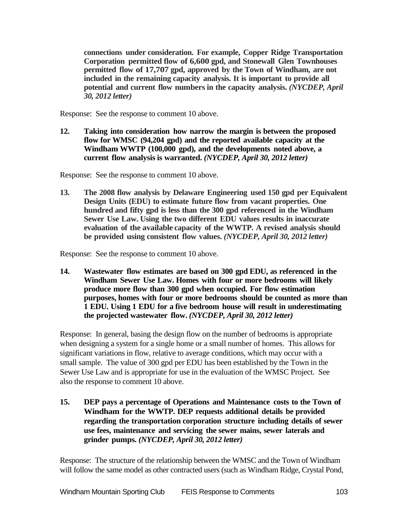**connections under consideration. For example, Copper Ridge Transportation Corporation permitted flow of 6,600 gpd, and Stonewall Glen Townhouses permitted flow of 17,707 gpd, approved by the Town of Windham, are not included in the remaining capacity analysis. It is important to provide all potential and current flow numbers in the capacity analysis.** *(NYCDEP, April 30, 2012 letter)*

Response: See the response to comment 10 above.

**12. Taking into consideration how narrow the margin is between the proposed flow for WMSC (94,204 gpd) and the reported available capacity at the Windham WWTP (100,000 gpd), and the developments noted above, a current flow analysis is warranted.** *(NYCDEP, April 30, 2012 letter)*

Response: See the response to comment 10 above.

**13. The 2008 flow analysis by Delaware Engineering used 150 gpd per Equivalent Design Units (EDU) to estimate future flow from vacant properties. One hundred and fifty gpd is less than the 300 gpd referenced in the Windham Sewer Use Law. Using the two different EDU values results in inaccurate evaluation of the available capacity of the WWTP. A revised analysis should be provided using consistent flow values.** *(NYCDEP, April 30, 2012 letter)*

Response: See the response to comment 10 above.

**14. Wastewater flow estimates are based on 300 gpd EDU, as referenced in the Windham Sewer Use Law. Homes with four or more bedrooms will likely produce more flow than 300 gpd when occupied. For flow estimation purposes, homes with four or more bedrooms should be counted as more than 1 EDU. Using 1 EDU for a five bedroom house will result in underestimating the projected wastewater flow.** *(NYCDEP, April 30, 2012 letter)*

Response: In general, basing the design flow on the number of bedrooms is appropriate when designing a system for a single home or a small number of homes. This allows for significant variations in flow, relative to average conditions, which may occur with a small sample. The value of 300 gpd per EDU has been established by the Town in the Sewer Use Law and is appropriate for use in the evaluation of the WMSC Project. See also the response to comment 10 above.

**15. DEP pays a percentage of Operations and Maintenance costs to the Town of Windham for the WWTP. DEP requests additional details be provided regarding the transportation corporation structure including details of sewer use fees, maintenance and servicing the sewer mains, sewer laterals and grinder pumps.** *(NYCDEP, April 30, 2012 letter)*

Response: The structure of the relationship between the WMSC and the Town of Windham will follow the same model as other contracted users (such as Windham Ridge, Crystal Pond,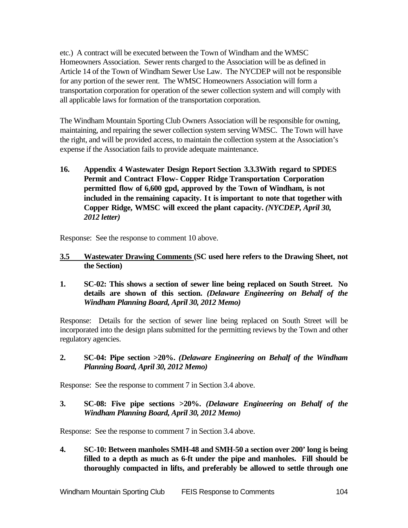etc.) A contract will be executed between the Town of Windham and the WMSC Homeowners Association. Sewer rents charged to the Association will be as defined in Article 14 of the Town of Windham Sewer Use Law. The NYCDEP will not be responsible for any portion of the sewer rent. The WMSC Homeowners Association will form a transportation corporation for operation of the sewer collection system and will comply with all applicable laws for formation of the transportation corporation.

The Windham Mountain Sporting Club Owners Association will be responsible for owning, maintaining, and repairing the sewer collection system serving WMSC. The Town will have the right, and will be provided access, to maintain the collection system at the Association's expense if the Association fails to provide adequate maintenance.

**16. Appendix 4 Wastewater Design Report Section 3.3.3With regard to SPDES Permit and Contract Flow- Copper Ridge Transportation Corporation permitted flow of 6,600 gpd, approved by the Town of Windham, is not included in the remaining capacity. It is important to note that together with Copper Ridge, WMSC will exceed the plant capacity.** *(NYCDEP, April 30, 2012 letter)*

Response: See the response to comment 10 above.

- **3.5 Wastewater Drawing Comments (SC used here refers to the Drawing Sheet, not the Section)**
- **1. SC-02: This shows a section of sewer line being replaced on South Street. No details are shown of this section.** *(Delaware Engineering on Behalf of the Windham Planning Board, April 30, 2012 Memo)*

Response: Details for the section of sewer line being replaced on South Street will be incorporated into the design plans submitted for the permitting reviews by the Town and other regulatory agencies.

**2. SC-04: Pipe section >20%.** *(Delaware Engineering on Behalf of the Windham Planning Board, April 30, 2012 Memo)*

Response: See the response to comment 7 in Section 3.4 above.

**3. SC-08: Five pipe sections >20%.** *(Delaware Engineering on Behalf of the Windham Planning Board, April 30, 2012 Memo)*

Response: See the response to comment 7 in Section 3.4 above.

**4. SC-10: Between manholes SMH-48 and SMH-50 a section over 200' long is being filled to a depth as much as 6-ft under the pipe and manholes. Fill should be thoroughly compacted in lifts, and preferably be allowed to settle through one**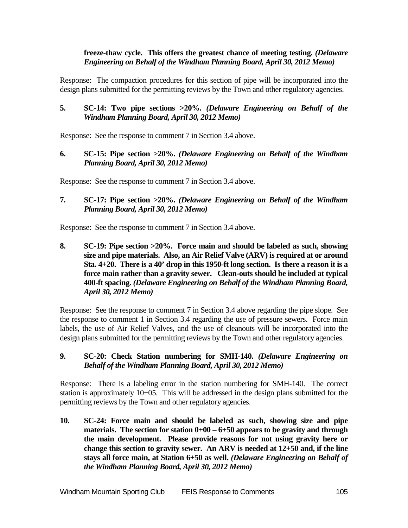#### **freeze-thaw cycle. This offers the greatest chance of meeting testing.** *(Delaware Engineering on Behalf of the Windham Planning Board, April 30, 2012 Memo)*

Response: The compaction procedures for this section of pipe will be incorporated into the design plans submitted for the permitting reviews by the Town and other regulatory agencies.

**5. SC-14: Two pipe sections >20%.** *(Delaware Engineering on Behalf of the Windham Planning Board, April 30, 2012 Memo)*

Response: See the response to comment 7 in Section 3.4 above.

**6. SC-15: Pipe section >20%.** *(Delaware Engineering on Behalf of the Windham Planning Board, April 30, 2012 Memo)*

Response: See the response to comment 7 in Section 3.4 above.

**7. SC-17: Pipe section >20%.** *(Delaware Engineering on Behalf of the Windham Planning Board, April 30, 2012 Memo)*

Response: See the response to comment 7 in Section 3.4 above.

**8. SC-19: Pipe section >20%. Force main and should be labeled as such, showing size and pipe materials. Also, an Air Relief Valve (ARV) is required at or around Sta. 4+20. There is a 40' drop in this 1950-ft long section. Is there a reason it is a force main rather than a gravity sewer. Clean-outs should be included at typical 400-ft spacing.** *(Delaware Engineering on Behalf of the Windham Planning Board, April 30, 2012 Memo)*

Response: See the response to comment 7 in Section 3.4 above regarding the pipe slope. See the response to comment 1 in Section 3.4 regarding the use of pressure sewers. Force main labels, the use of Air Relief Valves, and the use of cleanouts will be incorporated into the design plans submitted for the permitting reviews by the Town and other regulatory agencies.

### **9. SC-20: Check Station numbering for SMH-140.** *(Delaware Engineering on Behalf of the Windham Planning Board, April 30, 2012 Memo)*

Response: There is a labeling error in the station numbering for SMH-140. The correct station is approximately 10+05. This will be addressed in the design plans submitted for the permitting reviews by the Town and other regulatory agencies.

**10. SC-24: Force main and should be labeled as such, showing size and pipe materials. The section for station 0+00 – 6+50 appears to be gravity and through the main development. Please provide reasons for not using gravity here or change this section to gravity sewer. An ARV is needed at 12+50 and, if the line stays all force main, at Station 6+50 as well.** *(Delaware Engineering on Behalf of the Windham Planning Board, April 30, 2012 Memo)*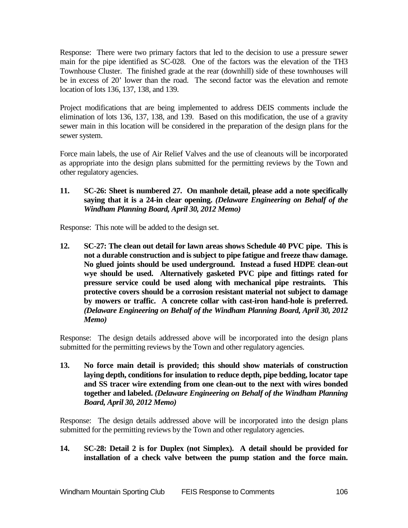Response: There were two primary factors that led to the decision to use a pressure sewer main for the pipe identified as SC-028. One of the factors was the elevation of the TH3 Townhouse Cluster. The finished grade at the rear (downhill) side of these townhouses will be in excess of 20' lower than the road. The second factor was the elevation and remote location of lots 136, 137, 138, and 139.

Project modifications that are being implemented to address DEIS comments include the elimination of lots 136, 137, 138, and 139. Based on this modification, the use of a gravity sewer main in this location will be considered in the preparation of the design plans for the sewer system.

Force main labels, the use of Air Relief Valves and the use of cleanouts will be incorporated as appropriate into the design plans submitted for the permitting reviews by the Town and other regulatory agencies.

**11. SC-26: Sheet is numbered 27. On manhole detail, please add a note specifically saying that it is a 24-in clear opening.** *(Delaware Engineering on Behalf of the Windham Planning Board, April 30, 2012 Memo)*

Response: This note will be added to the design set.

**12. SC-27: The clean out detail for lawn areas shows Schedule 40 PVC pipe. This is not a durable construction and is subject to pipe fatigue and freeze thaw damage. No glued joints should be used underground. Instead a fused HDPE clean-out wye should be used. Alternatively gasketed PVC pipe and fittings rated for pressure service could be used along with mechanical pipe restraints. This protective covers should be a corrosion resistant material not subject to damage by mowers or traffic. A concrete collar with cast-iron hand-hole is preferred.** *(Delaware Engineering on Behalf of the Windham Planning Board, April 30, 2012 Memo)*

Response: The design details addressed above will be incorporated into the design plans submitted for the permitting reviews by the Town and other regulatory agencies.

**13. No force main detail is provided; this should show materials of construction laying depth, conditions for insulation to reduce depth, pipe bedding, locator tape and SS tracer wire extending from one clean-out to the next with wires bonded together and labeled.** *(Delaware Engineering on Behalf of the Windham Planning Board, April 30, 2012 Memo)*

Response: The design details addressed above will be incorporated into the design plans submitted for the permitting reviews by the Town and other regulatory agencies.

# **14. SC-28: Detail 2 is for Duplex (not Simplex). A detail should be provided for installation of a check valve between the pump station and the force main.**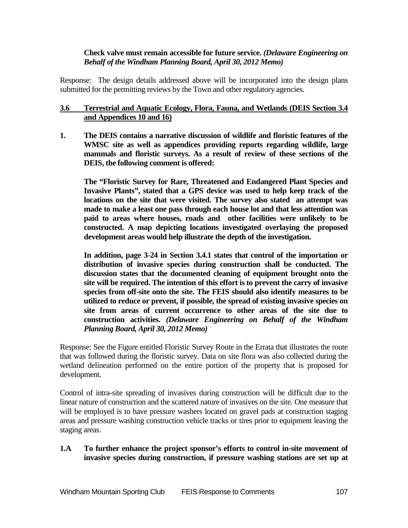#### **Check valve must remain accessible for future service.** *(Delaware Engineering on Behalf of the Windham Planning Board, April 30, 2012 Memo)*

Response: The design details addressed above will be incorporated into the design plans submitted for the permitting reviews by the Town and other regulatory agencies.

## **3.6 Terrestrial and Aquatic Ecology, Flora, Fauna, and Wetlands (DEIS Section 3.4 and Appendices 10 and 16)**

**1. The DEIS contains a narrative discussion of wildlife and floristic features of the WMSC site as well as appendices providing reports regarding wildlife, large mammals and floristic surveys. As a result of review of these sections of the DEIS, the following comment is offered:**

**The "Floristic Survey for Rare, Threatened and Endangered Plant Species and Invasive Plants", stated that a GPS device was used to help keep track of the locations on the site that were visited. The survey also stated an attempt was made to make a least one pass through each house lot and that less attention was paid to areas where houses, roads and other facilities were unlikely to be constructed. A map depicting locations investigated overlaying the proposed development areas would help illustrate the depth of the investigation.**

**In addition, page 3-24 in Section 3.4.1 states that control of the importation or distribution of invasive species during construction shall be conducted. The discussion states that the documented cleaning of equipment brought onto the site will be required. The intention of this effort is to prevent the carry of invasive species from off-site onto the site. The FEIS should also identify measures to be utilized to reduce or prevent, if possible, the spread of existing invasive species on site from areas of current occurrence to other areas of the site due to construction activities.** *(Delaware Engineering on Behalf of the Windham Planning Board, April 30, 2012 Memo)*

Response: See the Figure entitled Floristic Survey Route in the Errata that illustrates the route that was followed during the floristic survey. Data on site flora was also collected during the wetland delineation performed on the entire portion of the property that is proposed for development.

Control of intra-site spreading of invasives during construction will be difficult due to the linear nature of construction and the scattered nature of invasives on the site. One measure that will be employed is to have pressure washers located on gravel pads at construction staging areas and pressure washing construction vehicle tracks or tires prior to equipment leaving the staging areas.

### **1.A To further enhance the project sponsor's efforts to control in-site movement of invasive species during construction, if pressure washing stations are set up at**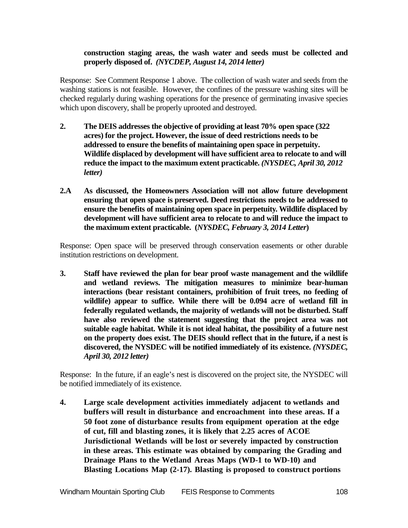#### **construction staging areas, the wash water and seeds must be collected and properly disposed of.** *(NYCDEP, August 14, 2014 letter)*

Response: See Comment Response 1 above. The collection of wash water and seeds from the washing stations is not feasible. However, the confines of the pressure washing sites will be checked regularly during washing operations for the presence of germinating invasive species which upon discovery, shall be properly uprooted and destroyed.

- **2. The DEIS addresses the objective of providing at least 70% open space (322 acres) for the project. However, the issue of deed restrictions needs to be addressed to ensure the benefits of maintaining open space in perpetuity. Wildlife displaced by development will have sufficient area to relocate to and will reduce the impact to the maximum extent practicable.** *(NYSDEC, April 30, 2012 letter)*
- **2.A As discussed, the Homeowners Association will not allow future development ensuring that open space is preserved. Deed restrictions needs to be addressed to ensure the benefits of maintaining open space in perpetuity. Wildlife displaced by development will have sufficient area to relocate to and will reduce the impact to the maximum extent practicable. (***NYSDEC, February 3, 2014 Letter***)**

Response: Open space will be preserved through conservation easements or other durable institution restrictions on development.

**3. Staff have reviewed the plan for bear proof waste management and the wildlife and wetland reviews. The mitigation measures to minimize bear-human interactions (bear resistant containers, prohibition of fruit trees, no feeding of wildlife) appear to suffice. While there will be 0.094 acre of wetland fill in federally regulated wetlands, the majority of wetlands will not be disturbed. Staff have also reviewed the statement suggesting that the project area was not suitable eagle habitat. While it is not ideal habitat, the possibility of a future nest on the property does exist. The DEIS should reflect that in the future, if a nest is discovered, the NYSDEC will be notified immediately of its existence.** *(NYSDEC, April 30, 2012 letter)*

Response: In the future, if an eagle's nest is discovered on the project site, the NYSDEC will be notified immediately of its existence.

**4. Large scale development activities immediately adjacent to wetlands and buffers will result in disturbance and encroachment into these areas. If a 50 foot zone of disturbance results from equipment operation at the edge of cut, fill and blasting zones, it is likely that 2.25 acres of ACOE Jurisdictional Wetlands will be lost or severely impacted by construction in these areas. This estimate was obtained by comparing the Grading and Drainage Plans to the Wetland Areas Maps (WD-1 to WD-10) and Blasting Locations Map (2-17). Blasting is proposed to construct portions**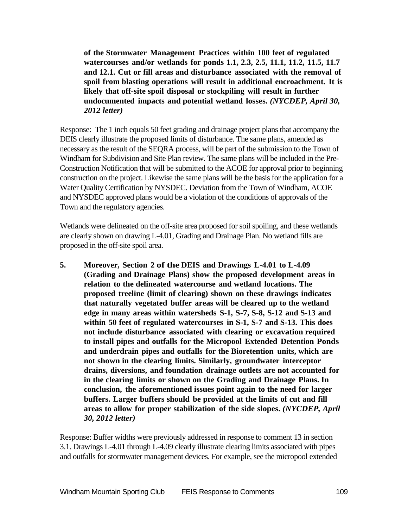**of the Stormwater Management Practices within 100 feet of regulated watercourses and/or wetlands for ponds 1.1, 2.3, 2.5, 11.1, 11.2, 11.5, 11.7 and 12.1. Cut or fill areas and disturbance associated with the removal of spoil from blasting operations will result in additional encroachment. It is likely that off-site spoil disposal or stockpiling will result in further undocumented impacts and potential wetland losses.** *(NYCDEP, April 30, 2012 letter)*

Response: The 1 inch equals 50 feet grading and drainage project plans that accompany the DEIS clearly illustrate the proposed limits of disturbance. The same plans, amended as necessary as the result of the SEQRA process, will be part of the submission to the Town of Windham for Subdivision and Site Plan review. The same plans will be included in the Pre-Construction Notification that will be submitted to the ACOE for approval prior to beginning construction on the project. Likewise the same plans will be the basis for the application for a Water Quality Certification by NYSDEC. Deviation from the Town of Windham, ACOE and NYSDEC approved plans would be a violation of the conditions of approvals of the Town and the regulatory agencies.

Wetlands were delineated on the off-site area proposed for soil spoiling, and these wetlands are clearly shown on drawing L-4.01, Grading and Drainage Plan. No wetland fills are proposed in the off-site spoil area.

**5. Moreover, Section 2 of the DEIS and Drawings L-4.01 to L-4.09 (Grading and Drainage Plans) show the proposed development areas in relation to the delineated watercourse and wetland locations. The proposed treeline (limit of clearing) shown on these drawings indicates that naturally vegetated buffer areas will be cleared up to the wetland edge in many areas within watersheds S-1, S-7, S-8, S-12 and S-13 and within 50 feet of regulated watercourses in S-1, S-7 and S-13. This does not include disturbance associated with clearing or excavation required to install pipes and outfalls for the Micropool Extended Detention Ponds and underdrain pipes and outfalls for the Bioretention units, which are not shown in the clearing limits. Similarly, groundwater interceptor drains, diversions, and foundation drainage outlets are not accounted for in the clearing limits or shown on the Grading and Drainage Plans. In conclusion, the aforementioned issues point again to the need for larger buffers. Larger buffers should be provided at the limits of cut and fill areas to allow for proper stabilization of the side slopes.** *(NYCDEP, April 30, 2012 letter)*

Response: Buffer widths were previously addressed in response to comment 13 in section 3.1. Drawings L-4.01 through L-4.09 clearly illustrate clearing limits associated with pipes and outfalls for stormwater management devices. For example, see the micropool extended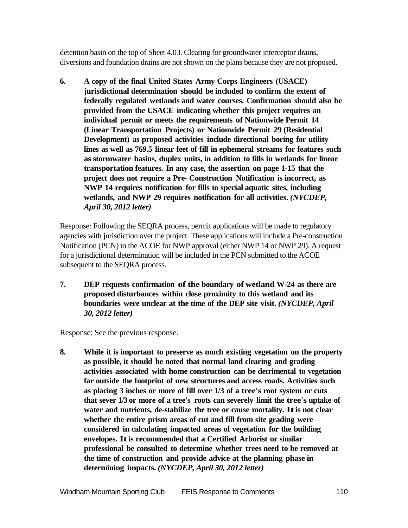detention basin on the top of Sheet 4.03. Clearing for groundwater interceptor drains, diversions and foundation drains are not shown on the plans because they are not proposed.

**6. A copy of the final United States Army Corps Engineers (USACE) jurisdictional determination should be included to confirm the extent of federally regulated wetlands and water courses. Confirmation should also be provided from the USACE indicating whether this project requires an individual permit or meets the requirements of Nationwide Permit 14 (Linear Transportation Projects) or Nationwide Permit 29 (Residential Development) as proposed activities include directional boring for utility lines as well as 769.5 linear feet of fill in ephemeral streams for features such as stormwater basins, duplex units, in addition to fills in wetlands for linear transportation features. In any case, the assertion on page 1-15 that the project does not require a Pre- Construction Notification is incorrect, as NWP 14 requires notification for fills to special aquatic sites, including wetlands, and NWP 29 requires notification for all activities.** *(NYCDEP, April 30, 2012 letter)*

Response: Following the SEQRA process, permit applications will be made to regulatory agencies with jurisdiction over the project. These applications will include a Pre-construction Notification (PCN) to the ACOE for NWP approval (either NWP 14 or NWP 29). A request for a jurisdictional determination will be included in the PCN submitted to the ACOE subsequent to the SEQRA process.

**7. DEP requests confirmation of the boundary of wetland W-24 as there are proposed disturbances within close proximity to this wetland and its boundaries were unclear at the time of the DEP site visit.** *(NYCDEP, April 30, 2012 letter)*

Response: See the previous response.

**8. While it is important to preserve as much existing vegetation on the property as possible, it should be noted that normal land clearing and grading activities associated with home construction can be detrimental to vegetation far outside the footprint of new structures and access roads. Activities such as placing 3 inches or more of fill over 1/3 of a tree's root system or cuts that sever 1/3 or more of a tree's roots can severely limit the tree's uptake of water and nutrients, de-stabilize the tree or cause mortality. Itis not clear whether the entire prism areas of cut and fill from site grading were considered in calculating impacted areas of vegetation for the building envelopes. Itis recommended that a Certified Arborist or similar professional be consulted to determine whether trees need to be removed at the time of construction and provide advice at the planning phase in determining impacts.** *(NYCDEP, April 30, 2012 letter)*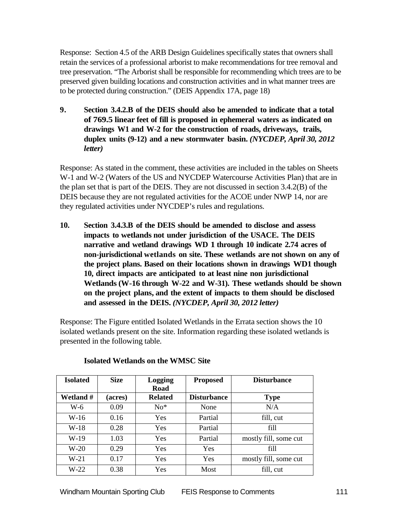Response: Section 4.5 of the ARB Design Guidelines specifically states that owners shall retain the services of a professional arborist to make recommendations for tree removal and tree preservation. "The Arborist shall be responsible for recommending which trees are to be preserved given building locations and construction activities and in what manner trees are to be protected during construction." (DEIS Appendix 17A, page 18)

**9. Section 3.4.2.B of the DEIS should also be amended to indicate that a total of 769.5 linear feet of fill is proposed in ephemeral waters as indicated on drawings W1 and W-2 for the construction of roads, driveways, trails, duplex units (9-12) and a new stormwater basin.** *(NYCDEP, April 30, 2012 letter)*

Response: As stated in the comment, these activities are included in the tables on Sheets W-1 and W-2 (Waters of the US and NYCDEP Watercourse Activities Plan) that are in the plan set that is part of the DEIS. They are not discussed in section 3.4.2(B) of the DEIS because they are not regulated activities for the ACOE under NWP 14, nor are they regulated activities under NYCDEP's rules and regulations.

**10. Section 3.4.3.B of the DEIS should be amended to disclose and assess impacts to wetlands not under jurisdiction of the USACE. The DEIS narrative and wetland drawings WD 1 through 10 indicate 2.74 acres of non-jurisdictional wetlands on site. These wetlands are not shown on any of the project plans. Based on their locations shown in drawings WD1 though 10, direct impacts are anticipated to at least nine non jurisdictional Wetlands(W-16 through W-22 and W-31). These wetlands should be shown on the project plans, and the extent of impacts to them should be disclosed and assessed in the DEIS.** *(NYCDEP, April 30, 2012 letter)*

Response: The Figure entitled Isolated Wetlands in the Errata section shows the 10 isolated wetlands present on the site. Information regarding these isolated wetlands is presented in the following table.

| <b>Isolated</b> | <b>Size</b> | Logging<br>Road | <b>Proposed</b>    | <b>Disturbance</b>    |
|-----------------|-------------|-----------------|--------------------|-----------------------|
| Wetland #       | (acres)     | <b>Related</b>  | <b>Disturbance</b> | <b>Type</b>           |
| W-6             | 0.09        | $No*$           | None               | N/A                   |
| W-16            | 0.16        | Yes             | Partial            | fill, cut             |
| $W-18$          | 0.28        | Yes             | Partial            | fill                  |
| $W-19$          | 1.03        | Yes             | Partial            | mostly fill, some cut |
| $W-20$          | 0.29        | <b>Yes</b>      | Yes                | fill                  |
| $W-21$          | 0.17        | Yes             | Yes                | mostly fill, some cut |
| $W-22$          | 0.38        | Yes             | Most               | fill, cut             |

# **Isolated Wetlands on the WMSC Site**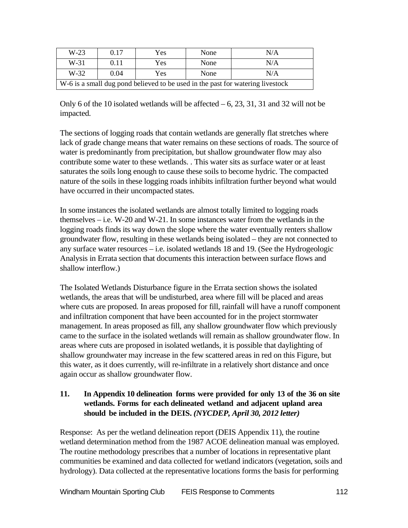| $W-23$                                                                         | 0.17 | Yes | None | N/A |  |  |  |
|--------------------------------------------------------------------------------|------|-----|------|-----|--|--|--|
| $W-31$                                                                         | 0.11 | Yes | None | N/A |  |  |  |
| $W-32$                                                                         | 0.04 | Yes | None | N/A |  |  |  |
| W-6 is a small dug pond believed to be used in the past for watering livestock |      |     |      |     |  |  |  |

Only 6 of the 10 isolated wetlands will be affected – 6, 23, 31, 31 and 32 will not be impacted.

The sections of logging roads that contain wetlands are generally flat stretches where lack of grade change means that water remains on these sections of roads. The source of water is predominantly from precipitation, but shallow groundwater flow may also contribute some water to these wetlands. . This water sits as surface water or at least saturates the soils long enough to cause these soils to become hydric. The compacted nature of the soils in these logging roads inhibits infiltration further beyond what would have occurred in their uncompacted states.

In some instances the isolated wetlands are almost totally limited to logging roads themselves – i.e. W-20 and W-21. In some instances water from the wetlands in the logging roads finds its way down the slope where the water eventually renters shallow groundwater flow, resulting in these wetlands being isolated – they are not connected to any surface water resources – i.e. isolated wetlands 18 and 19. (See the Hydrogeologic Analysis in Errata section that documents this interaction between surface flows and shallow interflow.)

The Isolated Wetlands Disturbance figure in the Errata section shows the isolated wetlands, the areas that will be undisturbed, area where fill will be placed and areas where cuts are proposed. In areas proposed for fill, rainfall will have a runoff component and infiltration component that have been accounted for in the project stormwater management. In areas proposed as fill, any shallow groundwater flow which previously came to the surface in the isolated wetlands will remain as shallow groundwater flow. In areas where cuts are proposed in isolated wetlands, it is possible that daylighting of shallow groundwater may increase in the few scattered areas in red on this Figure, but this water, as it does currently, will re-infiltrate in a relatively short distance and once again occur as shallow groundwater flow.

# **11. In Appendix 10 delineation forms were provided for only 13 of the 36 on site wetlands. Forms for each delineated wetland and adjacent upland area should be included in the DEIS.** *(NYCDEP, April 30, 2012 letter)*

Response: As per the wetland delineation report (DEIS Appendix 11), the routine wetland determination method from the 1987 ACOE delineation manual was employed. The routine methodology prescribes that a number of locations in representative plant communities be examined and data collected for wetland indicators (vegetation, soils and hydrology). Data collected at the representative locations forms the basis for performing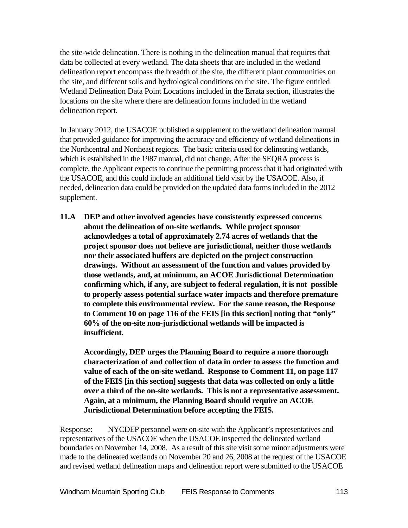the site-wide delineation. There is nothing in the delineation manual that requires that data be collected at every wetland. The data sheets that are included in the wetland delineation report encompass the breadth of the site, the different plant communities on the site, and different soils and hydrological conditions on the site. The figure entitled Wetland Delineation Data Point Locations included in the Errata section, illustrates the locations on the site where there are delineation forms included in the wetland delineation report.

In January 2012, the USACOE published a supplement to the wetland delineation manual that provided guidance for improving the accuracy and efficiency of wetland delineations in the Northcentral and Northeast regions. The basic criteria used for delineating wetlands, which is established in the 1987 manual, did not change. After the SEQRA process is complete, the Applicant expects to continue the permitting process that it had originated with the USACOE, and this could include an additional field visit by the USACOE. Also, if needed, delineation data could be provided on the updated data forms included in the 2012 supplement.

**11.A DEP and other involved agencies have consistently expressed concerns about the delineation of on-site wetlands. While project sponsor acknowledges a total of approximately 2.74 acres of wetlands that the project sponsor does not believe are jurisdictional, neither those wetlands nor their associated buffers are depicted on the project construction drawings. Without an assessment of the function and values provided by those wetlands, and, at minimum, an ACOE Jurisdictional Determination confirming which, if any, are subject to federal regulation, it is not possible to properly assess potential surface water impacts and therefore premature to complete this environmental review. For the same reason, the Response to Comment 10 on page 116 of the FEIS [in this section] noting that "only" 60% of the on-site non-jurisdictional wetlands will be impacted is insufficient.** 

**Accordingly, DEP urges the Planning Board to require a more thorough characterization of and collection of data in order to assess the function and value of each of the on-site wetland. Response to Comment 11, on page 117 of the FEIS [in this section] suggests that data was collected on only a little over a third of the on-site wetlands. This is not a representative assessment. Again, at a minimum, the Planning Board should require an ACOE Jurisdictional Determination before accepting the FEIS.**

Response: NYCDEP personnel were on-site with the Applicant's representatives and representatives of the USACOE when the USACOE inspected the delineated wetland boundaries on November 14, 2008. As a result of this site visit some minor adjustments were made to the delineated wetlands on November 20 and 26, 2008 at the request of the USACOE and revised wetland delineation maps and delineation report were submitted to the USACOE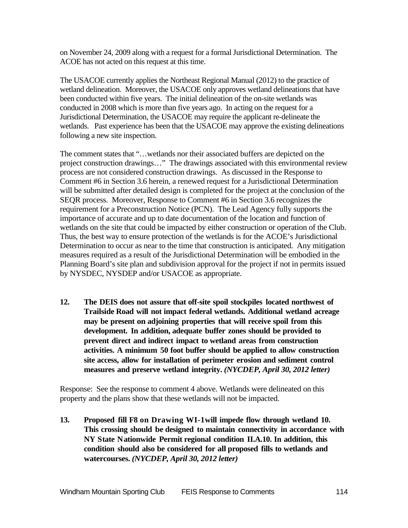on November 24, 2009 along with a request for a formal Jurisdictional Determination. The ACOE has not acted on this request at this time.

The USACOE currently applies the Northeast Regional Manual (2012) to the practice of wetland delineation. Moreover, the USACOE only approves wetland delineations that have been conducted within five years. The initial delineation of the on-site wetlands was conducted in 2008 which is more than five years ago. In acting on the request for a Jurisdictional Determination, the USACOE may require the applicant re-delineate the wetlands. Past experience has been that the USACOE may approve the existing delineations following a new site inspection.

The comment states that "…wetlands nor their associated buffers are depicted on the project construction drawings…" The drawings associated with this environmental review process are not considered construction drawings. As discussed in the Response to Comment #6 in Section 3.6 herein, a renewed request for a Jurisdictional Determination will be submitted after detailed design is completed for the project at the conclusion of the SEQR process. Moreover, Response to Comment #6 in Section 3.6 recognizes the requirement for a Preconstruction Notice (PCN). The Lead Agency fully supports the importance of accurate and up to date documentation of the location and function of wetlands on the site that could be impacted by either construction or operation of the Club. Thus, the best way to ensure protection of the wetlands is for the ACOE's Jurisdictional Determination to occur as near to the time that construction is anticipated. Any mitigation measures required as a result of the Jurisdictional Determination will be embodied in the Planning Board's site plan and subdivision approval for the project if not in permits issued by NYSDEC, NYSDEP and/or USACOE as appropriate.

**12. The DEIS does not assure that off-site spoil stockpiles located northwest of Trailside Road will not impact federal wetlands. Additional wetland acreage may be present on adjoining properties that will receive spoil from this development. In addition, adequate buffer zones should be provided to prevent direct and indirect impact to wetland areas from construction activities. A minimum 50 foot buffer should be applied to allow construction site access, allow for installation of perimeter erosion and sediment control measures and preserve wetland integrity.** *(NYCDEP, April 30, 2012 letter)*

Response: See the response to comment 4 above. Wetlands were delineated on this property and the plans show that these wetlands will not be impacted.

**13. Proposed fill F8 on Drawing WI-1will impede flow through wetland 10. This crossing should be designed to maintain connectivity in accordance with NY State Nationwide Permit regional condition II.A.10. In addition, this condition should also be considered for all proposed fills to wetlands and watercourses.** *(NYCDEP, April 30, 2012 letter)*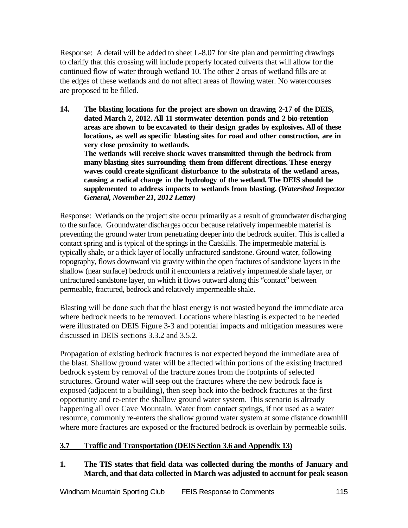Response: A detail will be added to sheet L-8.07 for site plan and permitting drawings to clarify that this crossing will include properly located culverts that will allow for the continued flow of water through wetland 10. The other 2 areas of wetland fills are at the edges of these wetlands and do not affect areas of flowing water. No watercourses are proposed to be filled.

**14. The blasting locations for the project are shown on drawing 2-17 of the DEIS, dated March 2, 2012. All 11 stormwater detention ponds and 2 bio-retention areas are shown to be excavated to their design grades by explosives. All of these locations, as well as specific blasting sites for road and other construction, are in very close proximity to wetlands.**

**The wetlands will receive shock waves transmitted through the bedrock from many blasting sites surrounding them from different directions. These energy waves could create significant disturbance to the substrata of the wetland areas, causing a radical change in the hydrology of the wetland. The DEIS should be supplemented to address impacts to wetlands from blasting. (***Watershed Inspector General, November 21, 2012 Letter)*

Response: Wetlands on the project site occur primarily as a result of groundwater discharging to the surface. Groundwater discharges occur because relatively impermeable material is preventing the ground water from penetrating deeper into the bedrock aquifer. This is called a contact spring and is typical of the springs in the Catskills. The impermeable material is typically shale, or a thick layer of locally unfractured sandstone. Ground water, following topography, flows downward via gravity within the open fractures of sandstone layers in the shallow (near surface) bedrock until it encounters a relatively impermeable shale layer, or unfractured sandstone layer, on which it flows outward along this "contact" between permeable, fractured, bedrock and relatively impermeable shale.

Blasting will be done such that the blast energy is not wasted beyond the immediate area where bedrock needs to be removed. Locations where blasting is expected to be needed were illustrated on DEIS Figure 3-3 and potential impacts and mitigation measures were discussed in DEIS sections 3.3.2 and 3.5.2.

Propagation of existing bedrock fractures is not expected beyond the immediate area of the blast. Shallow ground water will be affected within portions of the existing fractured bedrock system by removal of the fracture zones from the footprints of selected structures. Ground water will seep out the fractures where the new bedrock face is exposed (adjacent to a building), then seep back into the bedrock fractures at the first opportunity and re-enter the shallow ground water system. This scenario is already happening all over Cave Mountain. Water from contact springs, if not used as a water resource, commonly re-enters the shallow ground water system at some distance downhill where more fractures are exposed or the fractured bedrock is overlain by permeable soils.

# **3.7 Traffic and Transportation (DEIS Section 3.6 and Appendix 13)**

**1. The TIS states that field data was collected during the months of January and March, and that data collected in March was adjusted to account for peak season**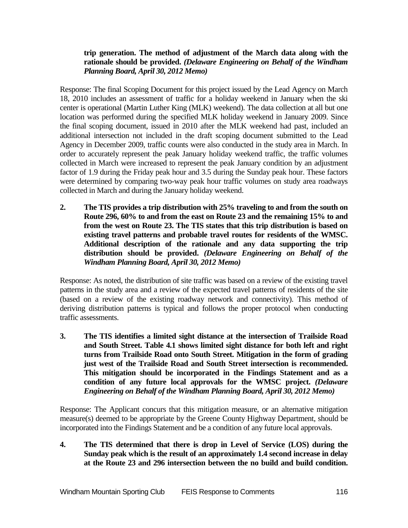## **trip generation. The method of adjustment of the March data along with the rationale should be provided.** *(Delaware Engineering on Behalf of the Windham Planning Board, April 30, 2012 Memo)*

Response: The final Scoping Document for this project issued by the Lead Agency on March 18, 2010 includes an assessment of traffic for a holiday weekend in January when the ski center is operational (Martin Luther King (MLK) weekend). The data collection at all but one location was performed during the specified MLK holiday weekend in January 2009. Since the final scoping document, issued in 2010 after the MLK weekend had past, included an additional intersection not included in the draft scoping document submitted to the Lead Agency in December 2009, traffic counts were also conducted in the study area in March. In order to accurately represent the peak January holiday weekend traffic, the traffic volumes collected in March were increased to represent the peak January condition by an adjustment factor of 1.9 during the Friday peak hour and 3.5 during the Sunday peak hour. These factors were determined by comparing two-way peak hour traffic volumes on study area roadways collected in March and during the January holiday weekend.

**2. The TIS provides a trip distribution with 25% traveling to and from the south on Route 296, 60% to and from the east on Route 23 and the remaining 15% to and from the west on Route 23. The TIS states that this trip distribution is based on existing travel patterns and probable travel routes for residents of the WMSC. Additional description of the rationale and any data supporting the trip distribution should be provided.** *(Delaware Engineering on Behalf of the Windham Planning Board, April 30, 2012 Memo)*

Response: As noted, the distribution of site traffic was based on a review of the existing travel patterns in the study area and a review of the expected travel patterns of residents of the site (based on a review of the existing roadway network and connectivity). This method of deriving distribution patterns is typical and follows the proper protocol when conducting traffic assessments.

**3. The TIS identifies a limited sight distance at the intersection of Trailside Road and South Street. Table 4.1 shows limited sight distance for both left and right turns from Trailside Road onto South Street. Mitigation in the form of grading just west of the Trailside Road and South Street intersection is recommended. This mitigation should be incorporated in the Findings Statement and as a condition of any future local approvals for the WMSC project.** *(Delaware Engineering on Behalf of the Windham Planning Board, April 30, 2012 Memo)*

Response: The Applicant concurs that this mitigation measure, or an alternative mitigation measure(s) deemed to be appropriate by the Greene County Highway Department, should be incorporated into the Findings Statement and be a condition of any future local approvals.

**4. The TIS determined that there is drop in Level of Service (LOS) during the Sunday peak which is the result of an approximately 1.4 second increase in delay at the Route 23 and 296 intersection between the no build and build condition.**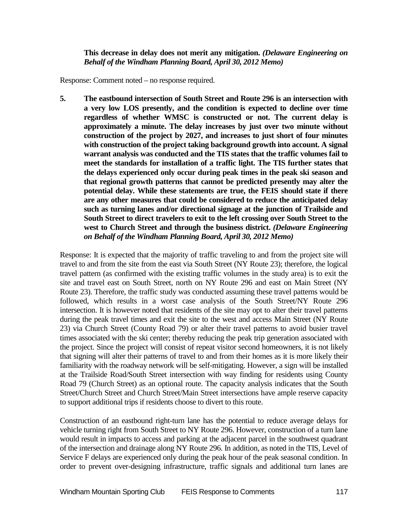**This decrease in delay does not merit any mitigation.** *(Delaware Engineering on Behalf of the Windham Planning Board, April 30, 2012 Memo)*

Response: Comment noted – no response required.

**5. The eastbound intersection of South Street and Route 296 is an intersection with a very low LOS presently, and the condition is expected to decline over time regardless of whether WMSC is constructed or not. The current delay is approximately a minute. The delay increases by just over two minute without construction of the project by 2027, and increases to just short of four minutes with construction of the project taking background growth into account. A signal warrant analysis was conducted and the TIS states that the traffic volumes fail to meet the standards for installation of a traffic light. The TIS further states that the delays experienced only occur during peak times in the peak ski season and that regional growth patterns that cannot be predicted presently may alter the potential delay. While these statements are true, the FEIS should state if there are any other measures that could be considered to reduce the anticipated delay such as turning lanes and/or directional signage at the junction of Trailside and South Street to direct travelers to exit to the left crossing over South Street to the west to Church Street and through the business district.** *(Delaware Engineering on Behalf of the Windham Planning Board, April 30, 2012 Memo)*

Response: It is expected that the majority of traffic traveling to and from the project site will travel to and from the site from the east via South Street (NY Route 23); therefore, the logical travel pattern (as confirmed with the existing traffic volumes in the study area) is to exit the site and travel east on South Street, north on NY Route 296 and east on Main Street (NY Route 23). Therefore, the traffic study was conducted assuming these travel patterns would be followed, which results in a worst case analysis of the South Street/NY Route 296 intersection. It is however noted that residents of the site may opt to alter their travel patterns during the peak travel times and exit the site to the west and access Main Street (NY Route 23) via Church Street (County Road 79) or alter their travel patterns to avoid busier travel times associated with the ski center; thereby reducing the peak trip generation associated with the project. Since the project will consist of repeat visitor second homeowners, it is not likely that signing will alter their patterns of travel to and from their homes as it is more likely their familiarity with the roadway network will be self-mitigating. However, a sign will be installed at the Trailside Road/South Street intersection with way finding for residents using County Road 79 (Church Street) as an optional route. The capacity analysis indicates that the South Street/Church Street and Church Street/Main Street intersections have ample reserve capacity to support additional trips if residents choose to divert to this route.

Construction of an eastbound right-turn lane has the potential to reduce average delays for vehicle turning right from South Street to NY Route 296. However, construction of a turn lane would result in impacts to access and parking at the adjacent parcel in the southwest quadrant of the intersection and drainage along NY Route 296. In addition, as noted in the TIS, Level of Service F delays are experienced only during the peak hour of the peak seasonal condition. In order to prevent over-designing infrastructure, traffic signals and additional turn lanes are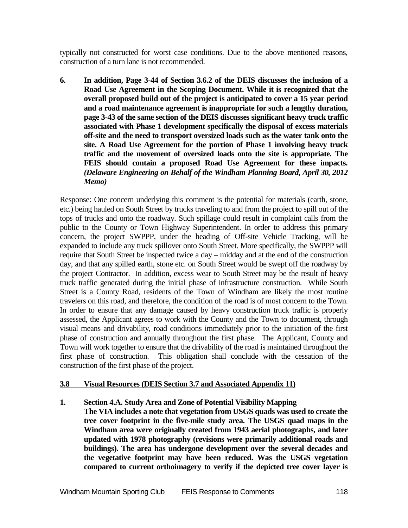typically not constructed for worst case conditions. Due to the above mentioned reasons, construction of a turn lane is not recommended.

**6. In addition, Page 3-44 of Section 3.6.2 of the DEIS discusses the inclusion of a Road Use Agreement in the Scoping Document. While it is recognized that the overall proposed build out of the project is anticipated to cover a 15 year period and a road maintenance agreement is inappropriate for such a lengthy duration, page 3-43 of the same section of the DEIS discusses significant heavy truck traffic associated with Phase 1 development specifically the disposal of excess materials off-site and the need to transport oversized loads such as the water tank onto the site. A Road Use Agreement for the portion of Phase 1 involving heavy truck traffic and the movement of oversized loads onto the site is appropriate. The FEIS should contain a proposed Road Use Agreement for these impacts.**  *(Delaware Engineering on Behalf of the Windham Planning Board, April 30, 2012 Memo)*

Response: One concern underlying this comment is the potential for materials (earth, stone, etc.) being hauled on South Street by trucks traveling to and from the project to spill out of the tops of trucks and onto the roadway. Such spillage could result in complaint calls from the public to the County or Town Highway Superintendent. In order to address this primary concern, the project SWPPP, under the heading of Off-site Vehicle Tracking, will be expanded to include any truck spillover onto South Street. More specifically, the SWPPP will require that South Street be inspected twice a day – midday and at the end of the construction day, and that any spilled earth, stone etc. on South Street would be swept off the roadway by the project Contractor. In addition, excess wear to South Street may be the result of heavy truck traffic generated during the initial phase of infrastructure construction. While South Street is a County Road, residents of the Town of Windham are likely the most routine travelers on this road, and therefore, the condition of the road is of most concern to the Town. In order to ensure that any damage caused by heavy construction truck traffic is properly assessed, the Applicant agrees to work with the County and the Town to document, through visual means and drivability, road conditions immediately prior to the initiation of the first phase of construction and annually throughout the first phase. The Applicant, County and Town will work together to ensure that the drivability of the road is maintained throughout the first phase of construction. This obligation shall conclude with the cessation of the construction of the first phase of the project.

# **3.8 Visual Resources (DEIS Section 3.7 and Associated Appendix 11)**

# **1. Section 4.A. Study Area and Zone of Potential Visibility Mapping**

**The VIA includes a note that vegetation from USGS quads was used to create the tree cover footprint in the five-mile study area. The USGS quad maps in the Windham area were originally created from 1943 aerial photographs, and later updated with 1978 photography (revisions were primarily additional roads and buildings). The area has undergone development over the several decades and the vegetative footprint may have been reduced. Was the USGS vegetation compared to current orthoimagery to verify if the depicted tree cover layer is**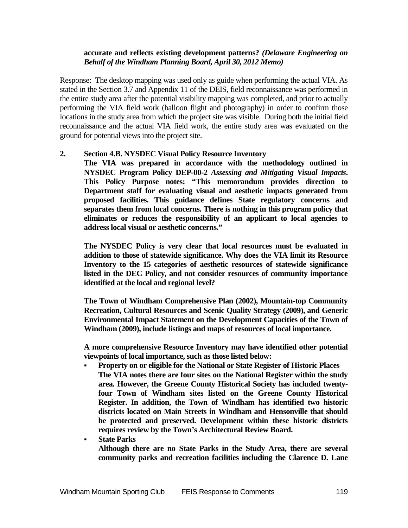#### **accurate and reflects existing development patterns?** *(Delaware Engineering on Behalf of the Windham Planning Board, April 30, 2012 Memo)*

Response: The desktop mapping was used only as guide when performing the actual VIA. As stated in the Section 3.7 and Appendix 11 of the DEIS, field reconnaissance was performed in the entire study area after the potential visibility mapping was completed, and prior to actually performing the VIA field work (balloon flight and photography) in order to confirm those locations in the study area from which the project site was visible. During both the initial field reconnaissance and the actual VIA field work, the entire study area was evaluated on the ground for potential views into the project site.

#### **2. Section 4.B. NYSDEC Visual Policy Resource Inventory**

**The VIA was prepared in accordance with the methodology outlined in NYSDEC Program Policy DEP-00-2** *Assessing and Mitigating Visual Impacts***. This Policy Purpose notes: "This memorandum provides direction to Department staff for evaluating visual and aesthetic impacts generated from proposed facilities. This guidance defines State regulatory concerns and separates them from local concerns. There is nothing in this program policy that eliminates or reduces the responsibility of an applicant to local agencies to address local visual or aesthetic concerns."**

**The NYSDEC Policy is very clear that local resources must be evaluated in addition to those of statewide significance. Why does the VIA limit its Resource Inventory to the 15 categories of aesthetic resources of statewide significance listed in the DEC Policy, and not consider resources of community importance identified at the local and regional level?** 

**The Town of Windham Comprehensive Plan (2002), Mountain-top Community Recreation, Cultural Resources and Scenic Quality Strategy (2009), and Generic Environmental Impact Statement on the Development Capacities of the Town of Windham (2009), include listings and maps of resources of local importance.** 

**A more comprehensive Resource Inventory may have identified other potential viewpoints of local importance, such as those listed below:**

 **Property on or eligible for the National or State Register of Historic Places The VIA notes there are four sites on the National Register within the study area. However, the Greene County Historical Society has included twentyfour Town of Windham sites listed on the Greene County Historical Register. In addition, the Town of Windham has identified two historic districts located on Main Streets in Windham and Hensonville that should be protected and preserved. Development within these historic districts requires review by the Town's Architectural Review Board.**

 **State Parks Although there are no State Parks in the Study Area, there are several community parks and recreation facilities including the Clarence D. Lane**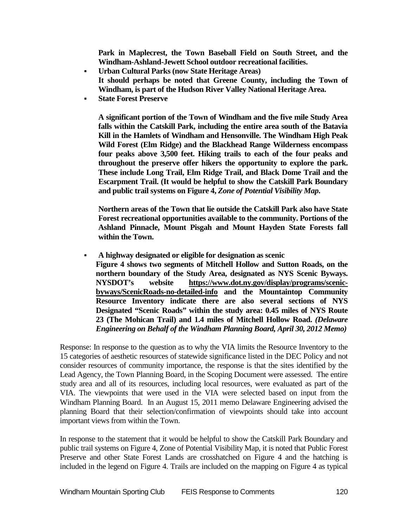**Park in Maplecrest, the Town Baseball Field on South Street, and the Windham-Ashland-Jewett School outdoor recreational facilities.**

- **Urban Cultural Parks (now State Heritage Areas) It should perhaps be noted that Greene County, including the Town of Windham, is part of the Hudson River Valley National Heritage Area.**
- **State Forest Preserve**

**A significant portion of the Town of Windham and the five mile Study Area falls within the Catskill Park, including the entire area south of the Batavia Kill in the Hamlets of Windham and Hensonville. The Windham High Peak Wild Forest (Elm Ridge) and the Blackhead Range Wilderness encompass four peaks above 3,500 feet. Hiking trails to each of the four peaks and throughout the preserve offer hikers the opportunity to explore the park. These include Long Trail, Elm Ridge Trail, and Black Dome Trail and the Escarpment Trail. (It would be helpful to show the Catskill Park Boundary and public trail systems on Figure 4,** *Zone of Potential Visibility Map***.**

**Northern areas of the Town that lie outside the Catskill Park also have State Forest recreational opportunities available to the community. Portions of the Ashland Pinnacle, Mount Pisgah and Mount Hayden State Forests fall within the Town.**

 **A highway designated or eligible for designation as scenic Figure 4 shows two segments of Mitchell Hollow and Sutton Roads, on the northern boundary of the Study Area, designated as NYS Scenic Byways. NYSDOT's website [https://www.dot.ny.gov/display/programs/scenic](https://www.dot.ny.gov/display/programs/scenic-byways/ScenicRoads-no-detailed-info)[byways/ScenicRoads-no-detailed-info](https://www.dot.ny.gov/display/programs/scenic-byways/ScenicRoads-no-detailed-info) and the Mountaintop Community Resource Inventory indicate there are also several sections of NYS Designated "Scenic Roads" within the study area: 0.45 miles of NYS Route 23 (The Mohican Trail) and 1.4 miles of Mitchell Hollow Road.** *(Delaware Engineering on Behalf of the Windham Planning Board, April 30, 2012 Memo)*

Response: In response to the question as to why the VIA limits the Resource Inventory to the 15 categories of aesthetic resources of statewide significance listed in the DEC Policy and not consider resources of community importance, the response is that the sites identified by the Lead Agency, the Town Planning Board, in the Scoping Document were assessed. The entire study area and all of its resources, including local resources, were evaluated as part of the VIA. The viewpoints that were used in the VIA were selected based on input from the Windham Planning Board. In an August 15, 2011 memo Delaware Engineering advised the planning Board that their selection/confirmation of viewpoints should take into account important views from within the Town.

In response to the statement that it would be helpful to show the Catskill Park Boundary and public trail systems on Figure 4, Zone of Potential Visibility Map, it is noted that Public Forest Preserve and other State Forest Lands are crosshatched on Figure 4 and the hatching is included in the legend on Figure 4. Trails are included on the mapping on Figure 4 as typical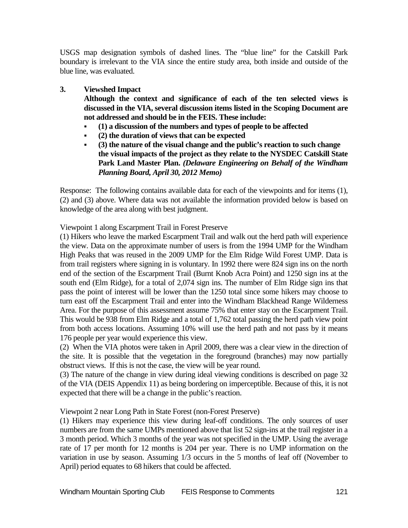USGS map designation symbols of dashed lines. The "blue line" for the Catskill Park boundary is irrelevant to the VIA since the entire study area, both inside and outside of the blue line, was evaluated.

## **3. Viewshed Impact**

**Although the context and significance of each of the ten selected views is discussed in the VIA, several discussion items listed in the Scoping Document are not addressed and should be in the FEIS. These include:**

- **(1) a discussion of the numbers and types of people to be affected**
- **(2) the duration of views that can be expected**
- **(3) the nature of the visual change and the public's reaction to such change the visual impacts of the project as they relate to the NYSDEC Catskill State Park Land Master Plan.** *(Delaware Engineering on Behalf of the Windham Planning Board, April 30, 2012 Memo)*

Response: The following contains available data for each of the viewpoints and for items (1), (2) and (3) above. Where data was not available the information provided below is based on knowledge of the area along with best judgment.

Viewpoint 1 along Escarpment Trail in Forest Preserve

(1) Hikers who leave the marked Escarpment Trail and walk out the herd path will experience the view. Data on the approximate number of users is from the 1994 UMP for the Windham High Peaks that was reused in the 2009 UMP for the Elm Ridge Wild Forest UMP. Data is from trail registers where signing in is voluntary. In 1992 there were 824 sign ins on the north end of the section of the Escarpment Trail (Burnt Knob Acra Point) and 1250 sign ins at the south end (Elm Ridge), for a total of 2,074 sign ins. The number of Elm Ridge sign ins that pass the point of interest will be lower than the 1250 total since some hikers may choose to turn east off the Escarpment Trail and enter into the Windham Blackhead Range Wilderness Area. For the purpose of this assessment assume 75% that enter stay on the Escarpment Trail. This would be 938 from Elm Ridge and a total of 1,762 total passing the herd path view point from both access locations. Assuming 10% will use the herd path and not pass by it means 176 people per year would experience this view.

(2) When the VIA photos were taken in April 2009, there was a clear view in the direction of the site. It is possible that the vegetation in the foreground (branches) may now partially obstruct views. If this is not the case, the view will be year round.

(3) The nature of the change in view during ideal viewing conditions is described on page 32 of the VIA (DEIS Appendix 11) as being bordering on imperceptible. Because of this, it is not expected that there will be a change in the public's reaction.

Viewpoint 2 near Long Path in State Forest (non-Forest Preserve)

(1) Hikers may experience this view during leaf-off conditions. The only sources of user numbers are from the same UMPs mentioned above that list 52 sign-ins at the trail register in a 3 month period. Which 3 months of the year was not specified in the UMP. Using the average rate of 17 per month for 12 months is 204 per year. There is no UMP information on the variation in use by season. Assuming 1/3 occurs in the 5 months of leaf off (November to April) period equates to 68 hikers that could be affected.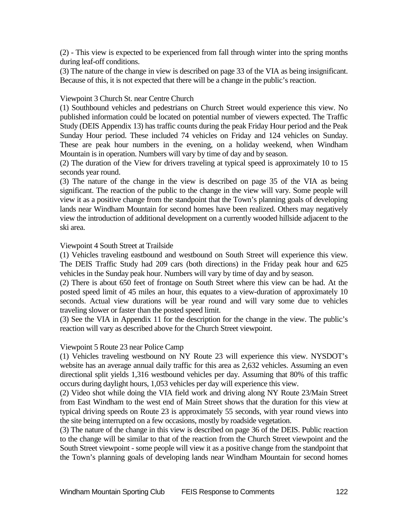(2) - This view is expected to be experienced from fall through winter into the spring months during leaf-off conditions.

(3) The nature of the change in view is described on page 33 of the VIA as being insignificant. Because of this, it is not expected that there will be a change in the public's reaction.

#### Viewpoint 3 Church St. near Centre Church

(1) Southbound vehicles and pedestrians on Church Street would experience this view. No published information could be located on potential number of viewers expected. The Traffic Study (DEIS Appendix 13) has traffic counts during the peak Friday Hour period and the Peak Sunday Hour period. These included 74 vehicles on Friday and 124 vehicles on Sunday. These are peak hour numbers in the evening, on a holiday weekend, when Windham Mountain is in operation. Numbers will vary by time of day and by season.

(2) The duration of the View for drivers traveling at typical speed is approximately 10 to 15 seconds year round.

(3) The nature of the change in the view is described on page 35 of the VIA as being significant. The reaction of the public to the change in the view will vary. Some people will view it as a positive change from the standpoint that the Town's planning goals of developing lands near Windham Mountain for second homes have been realized. Others may negatively view the introduction of additional development on a currently wooded hillside adjacent to the ski area.

#### Viewpoint 4 South Street at Trailside

(1) Vehicles traveling eastbound and westbound on South Street will experience this view. The DEIS Traffic Study had 209 cars (both directions) in the Friday peak hour and 625 vehicles in the Sunday peak hour. Numbers will vary by time of day and by season.

(2) There is about 650 feet of frontage on South Street where this view can be had. At the posted speed limit of 45 miles an hour, this equates to a view-duration of approximately 10 seconds. Actual view durations will be year round and will vary some due to vehicles traveling slower or faster than the posted speed limit.

(3) See the VIA in Appendix 11 for the description for the change in the view. The public's reaction will vary as described above for the Church Street viewpoint.

#### Viewpoint 5 Route 23 near Police Camp

(1) Vehicles traveling westbound on NY Route 23 will experience this view. NYSDOT's website has an average annual daily traffic for this area as 2,632 vehicles. Assuming an even directional split yields 1,316 westbound vehicles per day. Assuming that 80% of this traffic occurs during daylight hours, 1,053 vehicles per day will experience this view.

(2) Video shot while doing the VIA field work and driving along NY Route 23/Main Street from East Windham to the west end of Main Street shows that the duration for this view at typical driving speeds on Route 23 is approximately 55 seconds, with year round views into the site being interrupted on a few occasions, mostly by roadside vegetation.

(3) The nature of the change in this view is described on page 36 of the DEIS. Public reaction to the change will be similar to that of the reaction from the Church Street viewpoint and the South Street viewpoint - some people will view it as a positive change from the standpoint that the Town's planning goals of developing lands near Windham Mountain for second homes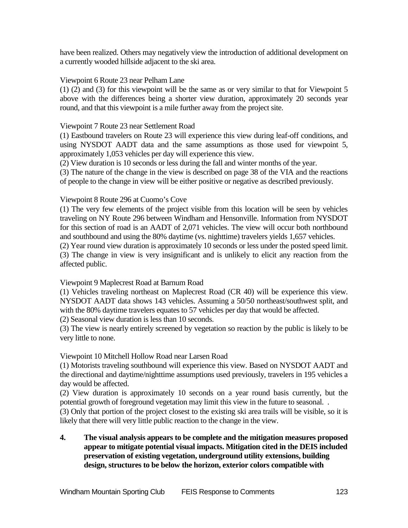have been realized. Others may negatively view the introduction of additional development on a currently wooded hillside adjacent to the ski area.

#### Viewpoint 6 Route 23 near Pelham Lane

(1) (2) and (3) for this viewpoint will be the same as or very similar to that for Viewpoint 5 above with the differences being a shorter view duration, approximately 20 seconds year round, and that this viewpoint is a mile further away from the project site.

#### Viewpoint 7 Route 23 near Settlement Road

(1) Eastbound travelers on Route 23 will experience this view during leaf-off conditions, and using NYSDOT AADT data and the same assumptions as those used for viewpoint 5, approximately 1,053 vehicles per day will experience this view.

(2) View duration is 10 seconds or less during the fall and winter months of the year.

(3) The nature of the change in the view is described on page 38 of the VIA and the reactions of people to the change in view will be either positive or negative as described previously.

#### Viewpoint 8 Route 296 at Cuomo's Cove

(1) The very few elements of the project visible from this location will be seen by vehicles traveling on NY Route 296 between Windham and Hensonville. Information from NYSDOT for this section of road is an AADT of 2,071 vehicles. The view will occur both northbound and southbound and using the 80% daytime (vs. nighttime) travelers yields 1,657 vehicles.

(2) Year round view duration is approximately 10 seconds or less under the posted speed limit. (3) The change in view is very insignificant and is unlikely to elicit any reaction from the affected public.

#### Viewpoint 9 Maplecrest Road at Barnum Road

(1) Vehicles traveling northeast on Maplecrest Road (CR 40) will be experience this view. NYSDOT AADT data shows 143 vehicles. Assuming a 50/50 northeast/southwest split, and with the 80% daytime travelers equates to 57 vehicles per day that would be affected.

(2) Seasonal view duration is less than 10 seconds.

(3) The view is nearly entirely screened by vegetation so reaction by the public is likely to be very little to none.

#### Viewpoint 10 Mitchell Hollow Road near Larsen Road

(1) Motorists traveling southbound will experience this view. Based on NYSDOT AADT and the directional and daytime/nighttime assumptions used previously, travelers in 195 vehicles a day would be affected.

(2) View duration is approximately 10 seconds on a year round basis currently, but the potential growth of foreground vegetation may limit this view in the future to seasonal. .

(3) Only that portion of the project closest to the existing ski area trails will be visible, so it is likely that there will very little public reaction to the change in the view.

**4. The visual analysis appears to be complete and the mitigation measures proposed appear to mitigate potential visual impacts. Mitigation cited in the DEIS included preservation of existing vegetation, underground utility extensions, building design, structures to be below the horizon, exterior colors compatible with**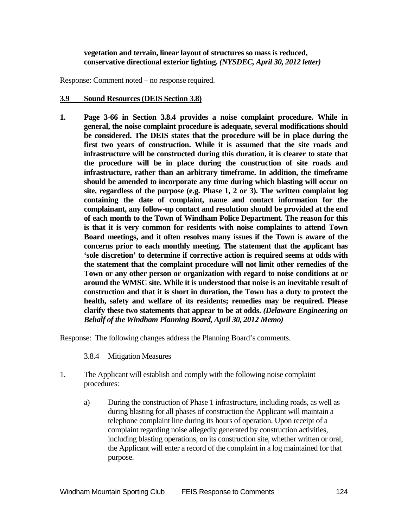#### **vegetation and terrain, linear layout of structures so mass is reduced, conservative directional exterior lighting.** *(NYSDEC, April 30, 2012 letter)*

Response: Comment noted – no response required.

#### **3.9 Sound Resources (DEIS Section 3.8)**

**1. Page 3-66 in Section 3.8.4 provides a noise complaint procedure. While in general, the noise complaint procedure is adequate, several modifications should be considered. The DEIS states that the procedure will be in place during the first two years of construction. While it is assumed that the site roads and infrastructure will be constructed during this duration, it is clearer to state that the procedure will be in place during the construction of site roads and infrastructure, rather than an arbitrary timeframe. In addition, the timeframe should be amended to incorporate any time during which blasting will occur on site, regardless of the purpose (e.g. Phase 1, 2 or 3). The written complaint log containing the date of complaint, name and contact information for the complainant, any follow-up contact and resolution should be provided at the end of each month to the Town of Windham Police Department. The reason for this is that it is very common for residents with noise complaints to attend Town Board meetings, and it often resolves many issues if the Town is aware of the concerns prior to each monthly meeting. The statement that the applicant has 'sole discretion' to determine if corrective action is required seems at odds with the statement that the complaint procedure will not limit other remedies of the Town or any other person or organization with regard to noise conditions at or around the WMSC site. While it is understood that noise is an inevitable result of construction and that it is short in duration, the Town has a duty to protect the health, safety and welfare of its residents; remedies may be required. Please clarify these two statements that appear to be at odds.** *(Delaware Engineering on Behalf of the Windham Planning Board, April 30, 2012 Memo)*

Response: The following changes address the Planning Board's comments.

#### 3.8.4 Mitigation Measures

- 1. The Applicant will establish and comply with the following noise complaint procedures:
	- a) During the construction of Phase 1 infrastructure, including roads, as well as during blasting for all phases of construction the Applicant will maintain a telephone complaint line during its hours of operation. Upon receipt of a complaint regarding noise allegedly generated by construction activities, including blasting operations, on its construction site, whether written or oral, the Applicant will enter a record of the complaint in a log maintained for that purpose.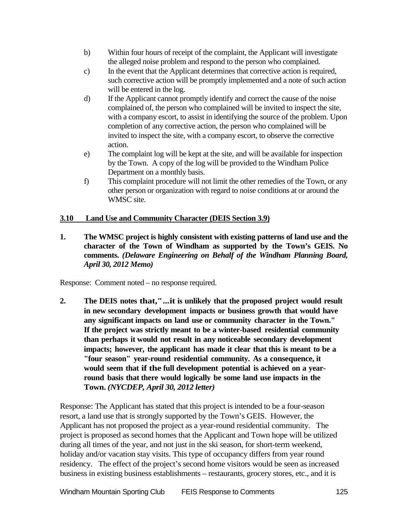- b) Within four hours of receipt of the complaint, the Applicant will investigate the alleged noise problem and respond to the person who complained.
- c) In the event that the Applicant determines that corrective action is required, such corrective action will be promptly implemented and a note of such action will be entered in the log.
- d) If the Applicant cannot promptly identify and correct the cause of the noise complained of, the person who complained will be invited to inspect the site, with a company escort, to assist in identifying the source of the problem. Upon completion of any corrective action, the person who complained will be invited to inspect the site, with a company escort, to observe the corrective action.
- e) The complaint log will be kept at the site, and will be available for inspection by the Town. A copy of the log will be provided to the Windham Police Department on a monthly basis.
- f) This complaint procedure will not limit the other remedies of the Town, or any other person or organization with regard to noise conditions at or around the WMSC site.

# **3.10 Land Use and Community Character (DEIS Section 3.9)**

**1. The WMSC project is highly consistent with existing patterns of land use and the character of the Town of Windham as supported by the Town's GEIS. No comments.** *(Delaware Engineering on Behalf of the Windham Planning Board, April 30, 2012 Memo)*

Response: Comment noted – no response required.

**2. The DEIS notes that,"...it is unlikely that the proposed project would result in new secondary development impacts or business growth that would have any significant impacts on land use or community character in the Town." If the project was strictly meant to be a winter-based residential community than perhaps it would not result in any noticeable secondary development impacts; however, the applicant has made it clear that this is meant to be a "four season" year-round residential community. As a consequence, it would seem that if the full development potential is achieved on a yearround basis that there would logically be some land use impacts in the Town.** *(NYCDEP, April 30, 2012 letter)*

Response: The Applicant has stated that this project is intended to be a four-season resort, a land use that is strongly supported by the Town's GEIS. However, the Applicant has not proposed the project as a year-round residential community. The project is proposed as second homes that the Applicant and Town hope will be utilized during all times of the year, and not just in the ski season, for short-term weekend, holiday and/or vacation stay visits. This type of occupancy differs from year round residency. The effect of the project's second home visitors would be seen as increased business in existing business establishments – restaurants, grocery stores, etc., and it is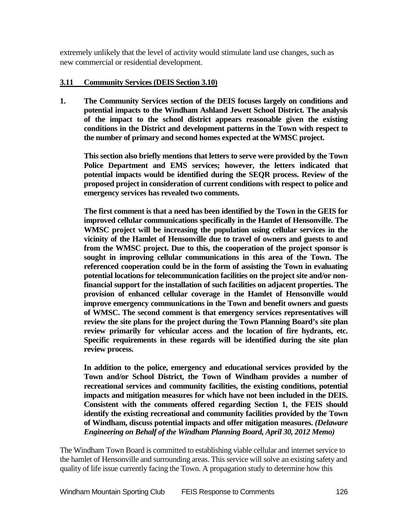extremely unlikely that the level of activity would stimulate land use changes, such as new commercial or residential development.

# **3.11 Community Services (DEIS Section 3.10)**

**1. The Community Services section of the DEIS focuses largely on conditions and potential impacts to the Windham Ashland Jewett School District. The analysis of the impact to the school district appears reasonable given the existing conditions in the District and development patterns in the Town with respect to the number of primary and second homes expected at the WMSC project.** 

**This section also briefly mentions that letters to serve were provided by the Town Police Department and EMS services; however, the letters indicated that potential impacts would be identified during the SEQR process. Review of the proposed project in consideration of current conditions with respect to police and emergency services has revealed two comments.** 

**The first comment is that a need has been identified by the Town in the GEIS for improved cellular communications specifically in the Hamlet of Hensonville. The WMSC project will be increasing the population using cellular services in the vicinity of the Hamlet of Hensonville due to travel of owners and guests to and from the WMSC project. Due to this, the cooperation of the project sponsor is sought in improving cellular communications in this area of the Town. The referenced cooperation could be in the form of assisting the Town in evaluating potential locations for telecommunication facilities on the project site and/or nonfinancial support for the installation of such facilities on adjacent properties. The provision of enhanced cellular coverage in the Hamlet of Hensonville would improve emergency communications in the Town and benefit owners and guests of WMSC. The second comment is that emergency services representatives will review the site plans for the project during the Town Planning Board's site plan review primarily for vehicular access and the location of fire hydrants, etc. Specific requirements in these regards will be identified during the site plan review process.** 

**In addition to the police, emergency and educational services provided by the Town and/or School District, the Town of Windham provides a number of recreational services and community facilities, the existing conditions, potential impacts and mitigation measures for which have not been included in the DEIS. Consistent with the comments offered regarding Section 1, the FEIS should identify the existing recreational and community facilities provided by the Town of Windham, discuss potential impacts and offer mitigation measures.** *(Delaware Engineering on Behalf of the Windham Planning Board, April 30, 2012 Memo)*

The Windham Town Board is committed to establishing viable cellular and internet service to the hamlet of Hensonville and surrounding areas. This service will solve an existing safety and quality of life issue currently facing the Town. A propagation study to determine how this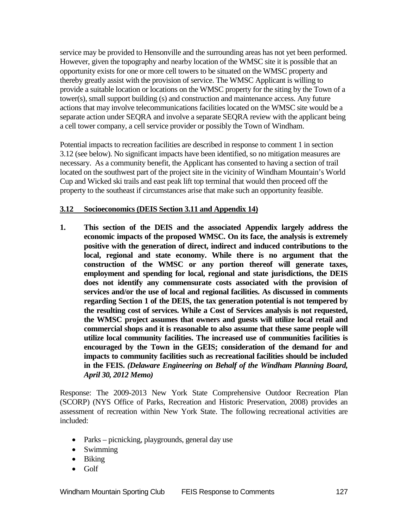service may be provided to Hensonville and the surrounding areas has not yet been performed. However, given the topography and nearby location of the WMSC site it is possible that an opportunity exists for one or more cell towers to be situated on the WMSC property and thereby greatly assist with the provision of service. The WMSC Applicant is willing to provide a suitable location or locations on the WMSC property for the siting by the Town of a tower(s), small support building (s) and construction and maintenance access. Any future actions that may involve telecommunications facilities located on the WMSC site would be a separate action under SEQRA and involve a separate SEQRA review with the applicant being a cell tower company, a cell service provider or possibly the Town of Windham.

Potential impacts to recreation facilities are described in response to comment 1 in section 3.12 (see below). No significant impacts have been identified, so no mitigation measures are necessary. As a community benefit, the Applicant has consented to having a section of trail located on the southwest part of the project site in the vicinity of Windham Mountain's World Cup and Wicked ski trails and east peak lift top terminal that would then proceed off the property to the southeast if circumstances arise that make such an opportunity feasible.

# **3.12 Socioeconomics (DEIS Section 3.11 and Appendix 14)**

**1. This section of the DEIS and the associated Appendix largely address the economic impacts of the proposed WMSC. On its face, the analysis is extremely positive with the generation of direct, indirect and induced contributions to the local, regional and state economy. While there is no argument that the construction of the WMSC or any portion thereof will generate taxes, employment and spending for local, regional and state jurisdictions, the DEIS does not identify any commensurate costs associated with the provision of services and/or the use of local and regional facilities. As discussed in comments regarding Section 1 of the DEIS, the tax generation potential is not tempered by the resulting cost of services. While a Cost of Services analysis is not requested, the WMSC project assumes that owners and guests will utilize local retail and commercial shops and it is reasonable to also assume that these same people will utilize local community facilities. The increased use of communities facilities is encouraged by the Town in the GEIS; consideration of the demand for and impacts to community facilities such as recreational facilities should be included in the FEIS.** *(Delaware Engineering on Behalf of the Windham Planning Board, April 30, 2012 Memo)*

Response: The 2009-2013 New York State Comprehensive Outdoor Recreation Plan (SCORP) (NYS Office of Parks, Recreation and Historic Preservation, 2008) provides an assessment of recreation within New York State. The following recreational activities are included:

- Parks picnicking, playgrounds, general day use
- Swimming
- Biking
- Golf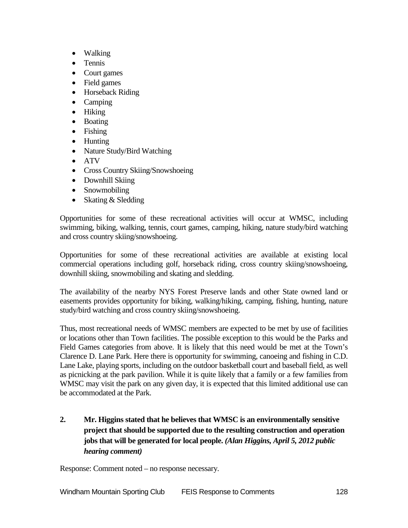- Walking
- Tennis
- Court games
- Field games
- Horseback Riding
- Camping
- Hiking
- Boating
- Fishing
- Hunting
- Nature Study/Bird Watching
- ATV
- Cross Country Skiing/Snowshoeing
- Downhill Skiing
- Snowmobiling
- Skating & Sledding

Opportunities for some of these recreational activities will occur at WMSC, including swimming, biking, walking, tennis, court games, camping, hiking, nature study/bird watching and cross country skiing/snowshoeing.

Opportunities for some of these recreational activities are available at existing local commercial operations including golf, horseback riding, cross country skiing/snowshoeing, downhill skiing, snowmobiling and skating and sledding.

The availability of the nearby NYS Forest Preserve lands and other State owned land or easements provides opportunity for biking, walking/hiking, camping, fishing, hunting, nature study/bird watching and cross country skiing/snowshoeing.

Thus, most recreational needs of WMSC members are expected to be met by use of facilities or locations other than Town facilities. The possible exception to this would be the Parks and Field Games categories from above. It is likely that this need would be met at the Town's Clarence D. Lane Park. Here there is opportunity for swimming, canoeing and fishing in C.D. Lane Lake, playing sports, including on the outdoor basketball court and baseball field, as well as picnicking at the park pavilion. While it is quite likely that a family or a few families from WMSC may visit the park on any given day, it is expected that this limited additional use can be accommodated at the Park.

**2. Mr. Higgins stated that he believes that WMSC is an environmentally sensitive project that should be supported due to the resulting construction and operation jobs that will be generated for local people.** *(Alan Higgins, April 5, 2012 public hearing comment)*

Response: Comment noted – no response necessary.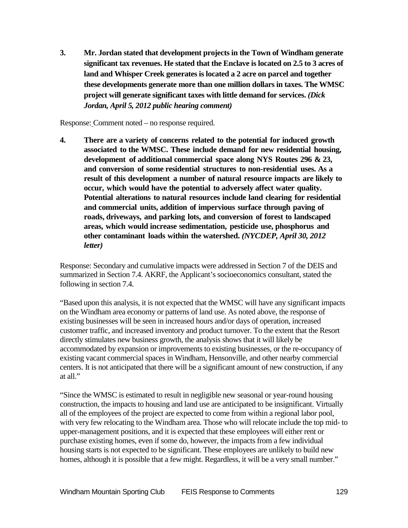**3. Mr. Jordan stated that development projects in the Town of Windham generate significant tax revenues. He stated that the Enclave is located on 2.5 to 3 acres of land and Whisper Creek generates is located a 2 acre on parcel and together these developments generate more than one million dollars in taxes. The WMSC project will generate significant taxes with little demand for services.** *(Dick Jordan, April 5, 2012 public hearing comment)*

Response: Comment noted – no response required.

**4. There are a variety of concerns related to the potential for induced growth associated to the WMSC. These include demand for new residential housing, development of additional commercial space along NYS Routes 296 & 23, and conversion of some residential structures to non-residential uses. As a result of this development a number of natural resource impacts are likely to occur, which would have the potential to adversely affect water quality. Potential alterations to natural resources include land clearing for residential and commercial units, addition of impervious surface through paving of roads, driveways, and parking lots, and conversion of forest to landscaped areas, which would increase sedimentation, pesticide use, phosphorus and other contaminant loads within the watershed.** *(NYCDEP, April 30, 2012 letter)*

Response: Secondary and cumulative impacts were addressed in Section 7 of the DEIS and summarized in Section 7.4. AKRF, the Applicant's socioeconomics consultant, stated the following in section 7.4.

"Based upon this analysis, it is not expected that the WMSC will have any significant impacts on the Windham area economy or patterns of land use. As noted above, the response of existing businesses will be seen in increased hours and/or days of operation, increased customer traffic, and increased inventory and product turnover. To the extent that the Resort directly stimulates new business growth, the analysis shows that it will likely be accommodated by expansion or improvements to existing businesses, or the re-occupancy of existing vacant commercial spaces in Windham, Hensonville, and other nearby commercial centers. It is not anticipated that there will be a significant amount of new construction, if any at all."

"Since the WMSC is estimated to result in negligible new seasonal or year-round housing construction, the impacts to housing and land use are anticipated to be insignificant. Virtually all of the employees of the project are expected to come from within a regional labor pool, with very few relocating to the Windham area. Those who will relocate include the top mid- to upper-management positions, and it is expected that these employees will either rent or purchase existing homes, even if some do, however, the impacts from a few individual housing starts is not expected to be significant. These employees are unlikely to build new homes, although it is possible that a few might. Regardless, it will be a very small number."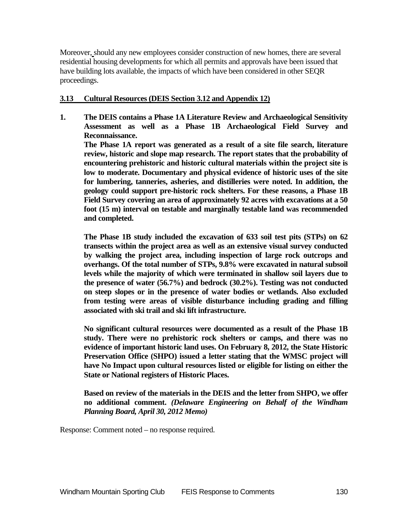Moreover, should any new employees consider construction of new homes, there are several residential housing developments for which all permits and approvals have been issued that have building lots available, the impacts of which have been considered in other SEQR proceedings.

## **3.13 Cultural Resources (DEIS Section 3.12 and Appendix 12)**

**1. The DEIS contains a Phase 1A Literature Review and Archaeological Sensitivity Assessment as well as a Phase 1B Archaeological Field Survey and Reconnaissance.** 

**The Phase 1A report was generated as a result of a site file search, literature review, historic and slope map research. The report states that the probability of encountering prehistoric and historic cultural materials within the project site is low to moderate. Documentary and physical evidence of historic uses of the site for lumbering, tanneries, asheries, and distilleries were noted. In addition, the geology could support pre-historic rock shelters. For these reasons, a Phase 1B Field Survey covering an area of approximately 92 acres with excavations at a 50 foot (15 m) interval on testable and marginally testable land was recommended and completed.** 

**The Phase 1B study included the excavation of 633 soil test pits (STPs) on 62 transects within the project area as well as an extensive visual survey conducted by walking the project area, including inspection of large rock outcrops and overhangs. Of the total number of STPs, 9.8% were excavated in natural subsoil levels while the majority of which were terminated in shallow soil layers due to the presence of water (56.7%) and bedrock (30.2%). Testing was not conducted on steep slopes or in the presence of water bodies or wetlands. Also excluded from testing were areas of visible disturbance including grading and filling associated with ski trail and ski lift infrastructure.** 

**No significant cultural resources were documented as a result of the Phase 1B study. There were no prehistoric rock shelters or camps, and there was no evidence of important historic land uses. On February 8, 2012, the State Historic Preservation Office (SHPO) issued a letter stating that the WMSC project will have No Impact upon cultural resources listed or eligible for listing on either the State or National registers of Historic Places.** 

**Based on review of the materials in the DEIS and the letter from SHPO, we offer no additional comment.** *(Delaware Engineering on Behalf of the Windham Planning Board, April 30, 2012 Memo)*

Response: Comment noted – no response required.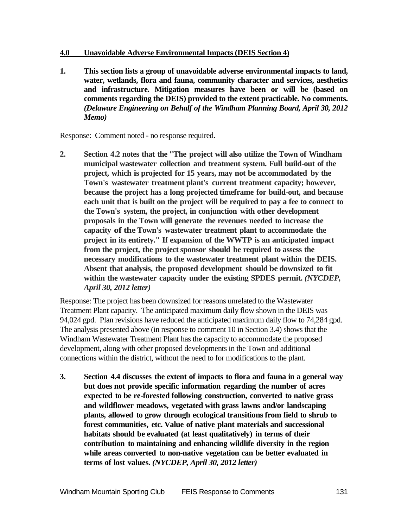#### **4.0 Unavoidable Adverse Environmental Impacts (DEIS Section 4)**

**1. This section lists a group of unavoidable adverse environmental impacts to land, water, wetlands, flora and fauna, community character and services, aesthetics and infrastructure. Mitigation measures have been or will be (based on comments regarding the DEIS) provided to the extent practicable. No comments.** *(Delaware Engineering on Behalf of the Windham Planning Board, April 30, 2012 Memo)*

Response: Comment noted - no response required.

**2. Section 4.2 notes that the "The project will also utilize the Town of Windham municipal wastewater collection and treatment system. Full build-out of the project, which is projected for 15 years, may not be accommodated by the Town's wastewater treatment plant's current treatment capacity; however, because the project has a long projected timeframe for build-out, and because each unit that is built on the project will be required to pay a fee to connect to the Town's system, the project, in conjunction with other development proposals in the Town will generate the revenues needed to increase the capacity of the Town's wastewater treatment plant to accommodate the project in its entirety." If expansion of the WWTP is an anticipated impact from the project, the project sponsor should be required to assess the necessary modifications to the wastewater treatment plant within the DEIS. Absent that analysis, the proposed development should be downsized to fit within the wastewater capacity under the existing SPDES permit.** *(NYCDEP, April 30, 2012 letter)*

Response: The project has been downsized for reasons unrelated to the Wastewater Treatment Plant capacity. The anticipated maximum daily flow shown in the DEIS was 94,024 gpd. Plan revisions have reduced the anticipated maximum daily flow to 74,284 gpd. The analysis presented above (in response to comment 10 in Section 3.4) shows that the Windham Wastewater Treatment Plant has the capacity to accommodate the proposed development, along with other proposed developments in the Town and additional connections within the district, without the need to for modifications to the plant.

**3. Section 4.4 discusses the extent of impacts to flora and fauna in a general way but does not provide specific information regarding the number of acres expected to be re-forested following construction, converted to native grass and wildflower meadows, vegetated with grass lawns and/or landscaping plants, allowed to grow through ecological transitionsfrom field to shrub to forest communities, etc. Value of native plant materials and successional habitats should be evaluated (at least qualitatively) in terms of their contribution to maintaining and enhancing wildlife diversity in the region while areas converted to non-native vegetation can be better evaluated in terms of lost values.** *(NYCDEP, April 30, 2012 letter)*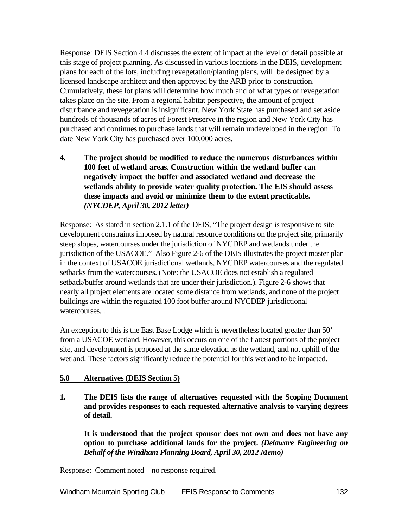Response: DEIS Section 4.4 discusses the extent of impact at the level of detail possible at this stage of project planning. As discussed in various locations in the DEIS, development plans for each of the lots, including revegetation/planting plans, will be designed by a licensed landscape architect and then approved by the ARB prior to construction. Cumulatively, these lot plans will determine how much and of what types of revegetation takes place on the site. From a regional habitat perspective, the amount of project disturbance and revegetation is insignificant. New York State has purchased and set aside hundreds of thousands of acres of Forest Preserve in the region and New York City has purchased and continues to purchase lands that will remain undeveloped in the region. To date New York City has purchased over 100,000 acres.

**4. The project should be modified to reduce the numerous disturbances within 100 feet of wetland areas. Construction within the wetland buffer can negatively impact the buffer and associated wetland and decrease the wetlands ability to provide water quality protection. The EIS should assess these impacts and avoid or minimize them to the extent practicable.**  *(NYCDEP, April 30, 2012 letter)*

Response: As stated in section 2.1.1 of the DEIS, "The project design is responsive to site development constraints imposed by natural resource conditions on the project site, primarily steep slopes, watercourses under the jurisdiction of NYCDEP and wetlands under the jurisdiction of the USACOE." Also Figure 2-6 of the DEIS illustrates the project master plan in the context of USACOE jurisdictional wetlands, NYCDEP watercourses and the regulated setbacks from the watercourses. (Note: the USACOE does not establish a regulated setback/buffer around wetlands that are under their jurisdiction.). Figure 2-6 shows that nearly all project elements are located some distance from wetlands, and none of the project buildings are within the regulated 100 foot buffer around NYCDEP jurisdictional watercourses. .

An exception to this is the East Base Lodge which is nevertheless located greater than 50' from a USACOE wetland. However, this occurs on one of the flattest portions of the project site, and development is proposed at the same elevation as the wetland, and not uphill of the wetland. These factors significantly reduce the potential for this wetland to be impacted.

#### **5.0 Alternatives (DEIS Section 5)**

**1. The DEIS lists the range of alternatives requested with the Scoping Document and provides responses to each requested alternative analysis to varying degrees of detail.** 

**It is understood that the project sponsor does not own and does not have any option to purchase additional lands for the project.** *(Delaware Engineering on Behalf of the Windham Planning Board, April 30, 2012 Memo)*

Response: Comment noted – no response required.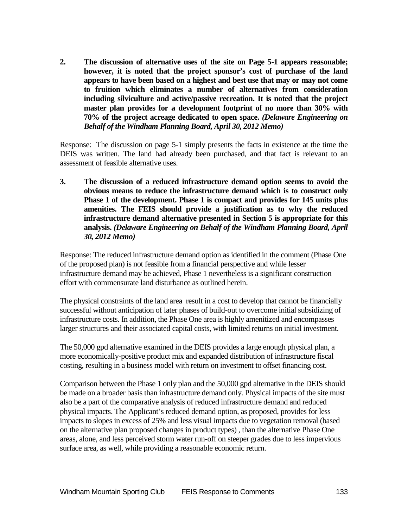**2. The discussion of alternative uses of the site on Page 5-1 appears reasonable; however, it is noted that the project sponsor's cost of purchase of the land appears to have been based on a highest and best use that may or may not come to fruition which eliminates a number of alternatives from consideration including silviculture and active/passive recreation. It is noted that the project master plan provides for a development footprint of no more than 30% with 70% of the project acreage dedicated to open space.** *(Delaware Engineering on Behalf of the Windham Planning Board, April 30, 2012 Memo)*

Response: The discussion on page 5-1 simply presents the facts in existence at the time the DEIS was written. The land had already been purchased, and that fact is relevant to an assessment of feasible alternative uses.

**3. The discussion of a reduced infrastructure demand option seems to avoid the obvious means to reduce the infrastructure demand which is to construct only Phase 1 of the development. Phase 1 is compact and provides for 145 units plus amenities. The FEIS should provide a justification as to why the reduced infrastructure demand alternative presented in Section 5 is appropriate for this analysis.** *(Delaware Engineering on Behalf of the Windham Planning Board, April 30, 2012 Memo)*

Response: The reduced infrastructure demand option as identified in the comment (Phase One of the proposed plan) is not feasible from a financial perspective and while lesser infrastructure demand may be achieved, Phase 1 nevertheless is a significant construction effort with commensurate land disturbance as outlined herein.

The physical constraints of the land area result in a cost to develop that cannot be financially successful without anticipation of later phases of build-out to overcome initial subsidizing of infrastructure costs. In addition, the Phase One area is highly amenitized and encompasses larger structures and their associated capital costs, with limited returns on initial investment.

The 50,000 gpd alternative examined in the DEIS provides a large enough physical plan, a more economically-positive product mix and expanded distribution of infrastructure fiscal costing, resulting in a business model with return on investment to offset financing cost.

Comparison between the Phase 1 only plan and the 50,000 gpd alternative in the DEIS should be made on a broader basis than infrastructure demand only. Physical impacts of the site must also be a part of the comparative analysis of reduced infrastructure demand and reduced physical impacts. The Applicant's reduced demand option, as proposed, provides for less impacts to slopes in excess of 25% and less visual impacts due to vegetation removal (based on the alternative plan proposed changes in product types) , than the alternative Phase One areas, alone, and less perceived storm water run-off on steeper grades due to less impervious surface area, as well, while providing a reasonable economic return.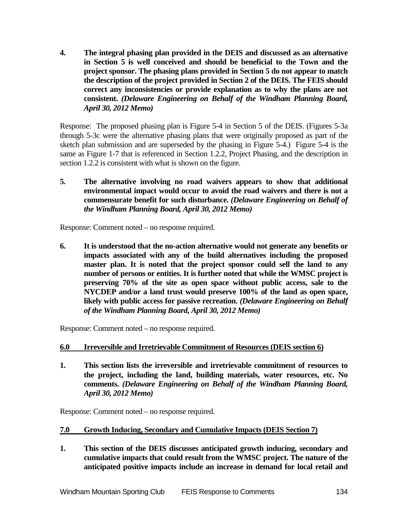**4. The integral phasing plan provided in the DEIS and discussed as an alternative in Section 5 is well conceived and should be beneficial to the Town and the project sponsor. The phasing plans provided in Section 5 do not appear to match the description of the project provided in Section 2 of the DEIS. The FEIS should correct any inconsistencies or provide explanation as to why the plans are not consistent.** *(Delaware Engineering on Behalf of the Windham Planning Board, April 30, 2012 Memo)*

Response: The proposed phasing plan is Figure 5-4 in Section 5 of the DEIS. (Figures 5-3a through 5-3c were the alternative phasing plans that were originally proposed as part of the sketch plan submission and are superseded by the phasing in Figure 5-4.) Figure 5-4 is the same as Figure 1-7 that is referenced in Section 1.2.2, Project Phasing, and the description in section 1.2.2 is consistent with what is shown on the figure.

**5. The alternative involving no road waivers appears to show that additional environmental impact would occur to avoid the road waivers and there is not a commensurate benefit for such disturbance.** *(Delaware Engineering on Behalf of the Windham Planning Board, April 30, 2012 Memo)*

Response: Comment noted – no response required.

**6. It is understood that the no-action alternative would not generate any benefits or impacts associated with any of the build alternatives including the proposed master plan. It is noted that the project sponsor could sell the land to any number of persons or entities. It is further noted that while the WMSC project is preserving 70% of the site as open space without public access, sale to the NYCDEP and/or a land trust would preserve 100% of the land as open space, likely with public access for passive recreation.** *(Delaware Engineering on Behalf of the Windham Planning Board, April 30, 2012 Memo)*

Response: Comment noted – no response required.

# **6.0 Irreversible and Irretrievable Commitment of Resources (DEIS section 6)**

**1. This section lists the irreversible and irretrievable commitment of resources to the project, including the land, building materials, water resources, etc. No comments.** *(Delaware Engineering on Behalf of the Windham Planning Board, April 30, 2012 Memo)*

Response: Comment noted – no response required.

# **7.0 Growth Inducing, Secondary and Cumulative Impacts (DEIS Section 7)**

**1. This section of the DEIS discusses anticipated growth inducing, secondary and cumulative impacts that could result from the WMSC project. The nature of the anticipated positive impacts include an increase in demand for local retail and**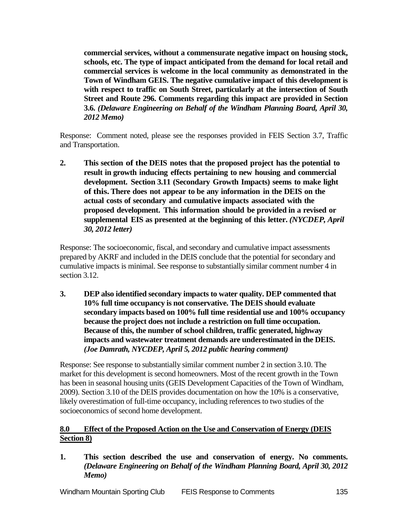**commercial services, without a commensurate negative impact on housing stock, schools, etc. The type of impact anticipated from the demand for local retail and commercial services is welcome in the local community as demonstrated in the Town of Windham GEIS. The negative cumulative impact of this development is with respect to traffic on South Street, particularly at the intersection of South Street and Route 296. Comments regarding this impact are provided in Section 3.6.** *(Delaware Engineering on Behalf of the Windham Planning Board, April 30, 2012 Memo)*

Response: Comment noted, please see the responses provided in FEIS Section 3.7, Traffic and Transportation.

**2. This section of the DEIS notes that the proposed project has the potential to result in growth inducing effects pertaining to new housing and commercial development. Section 3.11 (Secondary Growth Impacts) seems to make light of this.There does not appear to be any information in the DEIS on the actual costs of secondary and cumulative impacts associated with the proposed development. This information should be provided in a revised or supplemental EIS as presented at the beginning of this letter.** *(NYCDEP, April 30, 2012 letter)*

Response: The socioeconomic, fiscal, and secondary and cumulative impact assessments prepared by AKRF and included in the DEIS conclude that the potential for secondary and cumulative impacts is minimal. See response to substantially similar comment number 4 in section 3.12.

**3. DEP also identified secondary impacts to water quality. DEP commented that 10% full time occupancy is not conservative. The DEIS should evaluate secondary impacts based on 100% full time residential use and 100% occupancy because the project does not include a restriction on full time occupation. Because of this, the number of school children, traffic generated, highway impacts and wastewater treatment demands are underestimated in the DEIS.**  *(Joe Damrath, NYCDEP, April 5, 2012 public hearing comment)*

Response: See response to substantially similar comment number 2 in section 3.10. The market for this development is second homeowners. Most of the recent growth in the Town has been in seasonal housing units (GEIS Development Capacities of the Town of Windham, 2009). Section 3.10 of the DEIS provides documentation on how the 10% is a conservative, likely overestimation of full-time occupancy, including references to two studies of the socioeconomics of second home development.

# **8.0 Effect of the Proposed Action on the Use and Conservation of Energy (DEIS Section 8)**

**1. This section described the use and conservation of energy. No comments.** *(Delaware Engineering on Behalf of the Windham Planning Board, April 30, 2012 Memo)*